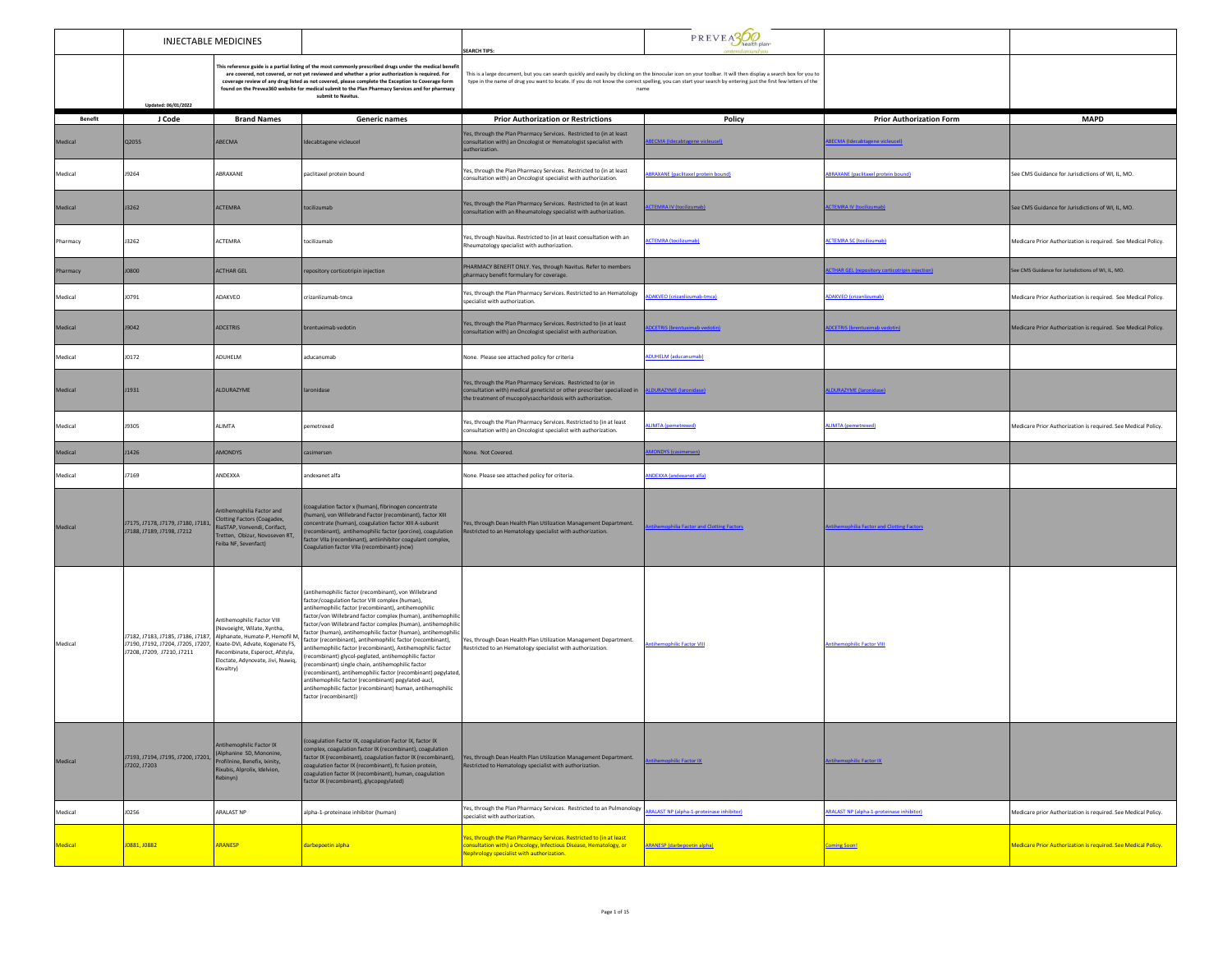|                | <b>INJECTABLE MEDICINES</b>                                                                  |                                                                                                                                                                                                                                                                                           |                                                                                                                                                                                                                                                                                                                                                                                                                                                                                                                                                                                                                                                                                                                                                                                                                     | <b>SEARCH TIPS:</b>                                                                                                                                                                                    | PREVEASOO                                                                                                                                                                                                                                                                                                                                |                                                       |                                                                      |
|----------------|----------------------------------------------------------------------------------------------|-------------------------------------------------------------------------------------------------------------------------------------------------------------------------------------------------------------------------------------------------------------------------------------------|---------------------------------------------------------------------------------------------------------------------------------------------------------------------------------------------------------------------------------------------------------------------------------------------------------------------------------------------------------------------------------------------------------------------------------------------------------------------------------------------------------------------------------------------------------------------------------------------------------------------------------------------------------------------------------------------------------------------------------------------------------------------------------------------------------------------|--------------------------------------------------------------------------------------------------------------------------------------------------------------------------------------------------------|------------------------------------------------------------------------------------------------------------------------------------------------------------------------------------------------------------------------------------------------------------------------------------------------------------------------------------------|-------------------------------------------------------|----------------------------------------------------------------------|
|                | Updated: 06/01/2022                                                                          |                                                                                                                                                                                                                                                                                           | This reference guide is a partial listing of the most commonly prescribed drugs under the medical benefi<br>are covered, not covered, or not yet reviewed and whether a prior authorization is required. For<br>coverage review of any drug listed as not covered, please complete the Exception to Coverage form<br>found on the Prevea360 website for medical submit to the Plan Pharmacy Services and for pharmacy<br>submit to Navitus                                                                                                                                                                                                                                                                                                                                                                          |                                                                                                                                                                                                        | This is a large document, but you can search quickly and easily by clicking on the binocular icon on your toolbar. It will then display a search box for you to<br>type in the name of drug you want to locate. If you do not know the correct spelling, you can start your search by entering just the first few letters of the<br>name |                                                       |                                                                      |
| <b>Benefit</b> | J Code                                                                                       | <b>Brand Names</b>                                                                                                                                                                                                                                                                        | <b>Generic names</b>                                                                                                                                                                                                                                                                                                                                                                                                                                                                                                                                                                                                                                                                                                                                                                                                | <b>Prior Authorization or Restrictions</b>                                                                                                                                                             | Policy                                                                                                                                                                                                                                                                                                                                   | <b>Prior Authorization Form</b>                       | <b>MAPD</b>                                                          |
| Medical        | Q2055                                                                                        | ABECMA                                                                                                                                                                                                                                                                                    | Idecabtagene vicleucel                                                                                                                                                                                                                                                                                                                                                                                                                                                                                                                                                                                                                                                                                                                                                                                              | Yes, through the Plan Pharmacy Services. Restricted to (in at least<br>consultation with) an Oncologist or Hematologist specialist with<br>authorization.                                              | <b>FCMA (Idecabtagene vicieurel)</b>                                                                                                                                                                                                                                                                                                     | <b>BECMA</b> (Idecabtagene vicleucel)                 |                                                                      |
| Medical        | <b>J9264</b>                                                                                 | ABRAXANE                                                                                                                                                                                                                                                                                  | paclitaxel protein bound                                                                                                                                                                                                                                                                                                                                                                                                                                                                                                                                                                                                                                                                                                                                                                                            | Yes, through the Plan Pharmacy Services. Restricted to (in at least<br>consultation with) an Oncologist specialist with authorization.                                                                 | <b>SRAXANE</b> (paclitaxel protein bound)                                                                                                                                                                                                                                                                                                | <b>BRAXANE</b> (paclitaxel protein bound)             | See CMS Guidance for Jurisdictions of WI, IL, MO.                    |
| Medical        | J3262                                                                                        | <b>ACTEMRA</b>                                                                                                                                                                                                                                                                            | tocilizumab                                                                                                                                                                                                                                                                                                                                                                                                                                                                                                                                                                                                                                                                                                                                                                                                         | Yes, through the Plan Pharmacy Services. Restricted to (in at least<br>onsultation with an Rheumatology specialist with authorization.                                                                 | <b>TEMRA IV (tocilizumab)</b>                                                                                                                                                                                                                                                                                                            | <b>CTEMRA IV (tocilizumat</b>                         | See CMS Guidance for Jurisdictions of WI, IL, MO.                    |
| Pharmacy       | <b>J3262</b>                                                                                 | ACTEMRA                                                                                                                                                                                                                                                                                   | tocilizumab                                                                                                                                                                                                                                                                                                                                                                                                                                                                                                                                                                                                                                                                                                                                                                                                         | Yes, through Navitus. Restricted to (in at least consultation with an<br>Rheumatology specialist with authorization.                                                                                   | <b>CTEMRA</b> (tocilizumab)                                                                                                                                                                                                                                                                                                              | <b>ACTEMRA SC (tocilizumab)</b>                       | Medicare Prior Authorization is required. See Medical Policy.        |
| Pharmacy       | J0800                                                                                        | <b>ACTHAR GEL</b>                                                                                                                                                                                                                                                                         | repository corticotripin injection                                                                                                                                                                                                                                                                                                                                                                                                                                                                                                                                                                                                                                                                                                                                                                                  | PHARMACY BENEFIT ONLY. Yes, through Navitus. Refer to members<br>pharmacy benefit formulary for coverage.                                                                                              |                                                                                                                                                                                                                                                                                                                                          | <b>CTHAR GEL (repository corticotripin injection)</b> | See CMS Guidance for Jurisdictions of WI, IL, MO.                    |
| Medical        | J0791                                                                                        | ADAKVEO                                                                                                                                                                                                                                                                                   | crizanlizumab-tmca                                                                                                                                                                                                                                                                                                                                                                                                                                                                                                                                                                                                                                                                                                                                                                                                  | Yes, through the Plan Pharmacy Services. Restricted to an Hematology<br>specialist with authorization                                                                                                  | DAKVEO (crizanlizumab-tmca)                                                                                                                                                                                                                                                                                                              | DAKVEO (crizanlizumab)                                | Medicare Prior Authorization is required. See Medical Policy.        |
| Medical        | <b>J9042</b>                                                                                 | <b>ADCETRIS</b>                                                                                                                                                                                                                                                                           | brentuximab vedotin                                                                                                                                                                                                                                                                                                                                                                                                                                                                                                                                                                                                                                                                                                                                                                                                 | Yes, through the Plan Pharmacy Services. Restricted to (in at least<br>consultation with) an Oncologist specialist with authorization.                                                                 | <b>CETRIS</b> (brentuximab vedotin)                                                                                                                                                                                                                                                                                                      | <b>DCETRIS (brentuximab vedotin</b>                   | Medicare Prior Authorization is required. See Medical Policy.        |
| Medical        | J0172                                                                                        | ADUHELM                                                                                                                                                                                                                                                                                   | aducanumab                                                                                                                                                                                                                                                                                                                                                                                                                                                                                                                                                                                                                                                                                                                                                                                                          | None. Please see attached policy for criteria                                                                                                                                                          | DUHELM (aducanumab)                                                                                                                                                                                                                                                                                                                      |                                                       |                                                                      |
| Medical        | J1931                                                                                        | ALDURAZYME                                                                                                                                                                                                                                                                                | laronidase                                                                                                                                                                                                                                                                                                                                                                                                                                                                                                                                                                                                                                                                                                                                                                                                          | Yes, through the Plan Pharmacy Services. Restricted to (or in<br>onsultation with) medical geneticist or other prescriber specialized in<br>the treatment of mucopolysaccharidosis with authorization. | LDURAZYME (laronidase)                                                                                                                                                                                                                                                                                                                   | <b>DURAZYME</b> (laronidase                           |                                                                      |
| Medical        | <b>J9305</b>                                                                                 | ALIMTA                                                                                                                                                                                                                                                                                    | pemetrexed                                                                                                                                                                                                                                                                                                                                                                                                                                                                                                                                                                                                                                                                                                                                                                                                          | Yes, through the Plan Pharmacy Services. Restricted to (in at least<br>consultation with) an Oncologist specialist with authorization.                                                                 | <b>LIMTA</b> (pemetrexed)                                                                                                                                                                                                                                                                                                                | <b>MLIMTA</b> (pemetrexed)                            | Medicare Prior Authorization is required. See Medical Policy.        |
| Medical        | J1426                                                                                        | <b>AMONDYS</b>                                                                                                                                                                                                                                                                            | casimersen                                                                                                                                                                                                                                                                                                                                                                                                                                                                                                                                                                                                                                                                                                                                                                                                          | None. Not Covered.                                                                                                                                                                                     | <b>MONDYS</b> (casimersen)                                                                                                                                                                                                                                                                                                               |                                                       |                                                                      |
| Medical        | J7169                                                                                        | ANDEXXA                                                                                                                                                                                                                                                                                   | andexanet alfa                                                                                                                                                                                                                                                                                                                                                                                                                                                                                                                                                                                                                                                                                                                                                                                                      | None. Please see attached policy for criteria.                                                                                                                                                         | <b>ANDEXXA</b> (andexanet alfa)                                                                                                                                                                                                                                                                                                          |                                                       |                                                                      |
| Medical        | 17175, 17178, 17179, 17180, 17181, Clotting Factors (Coagadex,<br>J7188, J7189, J7198, J7212 | Antihemophilia Factor and<br>RiaSTAP, Vonvendi, Corifact,<br>Tretten, Obizur, Novoseven RT,<br>Feiba NF, Sevenfact)                                                                                                                                                                       | (coagulation factor x (human), fibrinogen concentrate<br>human), von Willebrand Factor (recombinant), factor XIII<br>concentrate (human), coagulation factor XIII A-subunit<br>recombinant), antihemophilic factor (porcine), coagulation<br>factor VIIa (recombinant), antiinhibitor coagulant complex,<br>Coagulation factor VIIa (recombinant)-jncw)                                                                                                                                                                                                                                                                                                                                                                                                                                                             | Yes, through Dean Health Plan Utilization Management Department.<br>Restricted to an Hematology specialist with authorization.                                                                         | tihemophilia Factor and Clotting Factors                                                                                                                                                                                                                                                                                                 | tihemophilia Factor and Clotting Factor:              |                                                                      |
| Medical        | J7208, J7209, J7210, J7211                                                                   | Antihemophilic Factor VIII<br>Novoeight, Wilate, Xyntha,<br>J7182, J7183, J7185, J7186, J7187, Alphanate, Humate-P, Hemofil M,<br>J7190, J7192, J7204, J7205, J7207, Koate-DVI, Advate, Kogenate FS,<br>tecombinate, Esperoct, Afstyla,<br>Eloctate, Adynovate, Jivi, Nuwiq,<br>Kovaltry) | (antihemophilic factor (recombinant), von Willebrand<br>factor/coagulation factor VIII complex (human),<br>antihemophilic factor (recombinant), antihemophilic<br>factor/von Willebrand factor complex (human), antihemophilic<br>factor/von Willebrand factor complex (human), antihemophilic<br>factor (human), antihemophilic factor (human), antihemophilio<br>factor (recombinant), antihemophilic factor (recombinant),<br>antihemophilic factor (recombinant). Antihemophilic factor<br>recombinant) glycol-peglated, antihemophilic factor<br>(recombinant) single chain, antihemophilic factor<br>recombinant), antihemophilic factor (recombinant) pegylated<br>antihemophilic factor (recombinant) pegylated-aucl,<br>antihemophilic factor (recombinant) human, antihemophilic<br>factor (recombinant)) | Yes, through Dean Health Plan Utilization Management Department.<br>Restricted to an Hematology specialist with authorization.                                                                         | ntihemophilic Factor VIII                                                                                                                                                                                                                                                                                                                | ntihemophilic Factor VIII                             |                                                                      |
| Medical        | J7193, J7194, J7195, J7200, J7201,<br>J7202.J7203                                            | Antihemophilic Factor IX<br>(Alphanine SD, Mononine,<br>rofilnine, Benefix, Ixinity,<br>Rixubis, Alprolix, Idelvion,<br>Rebinyn)                                                                                                                                                          | (coagulation Factor IX, coagulation Factor IX, factor IX<br>complex, coagulation factor IX (recombinant), coagulation<br>coagulation factor IX (recombinant), fc fusion protein,<br>coagulation factor IX (recombinant), human, coagulation<br>factor IX (recombinant), glycopegylated)                                                                                                                                                                                                                                                                                                                                                                                                                                                                                                                             | factor IX (recombinant), coagulation factor IX (recombinant), Yes, through Dean Health Plan Utilization Management Department.<br>Restricted to Hematology specialist with authorization.              | ntihemophilic Factor IX                                                                                                                                                                                                                                                                                                                  | <b>Antihemophilic Factor IX</b>                       |                                                                      |
| Medical        | <b>JO256</b>                                                                                 | ARALAST NP                                                                                                                                                                                                                                                                                | alpha-1-proteinase inhibitor (human)                                                                                                                                                                                                                                                                                                                                                                                                                                                                                                                                                                                                                                                                                                                                                                                | Yes, through the Plan Pharmacy Services. Restricted to an Pulmonology<br>specialist with authorization.                                                                                                | <b>ARALAST NP (alpha-1-proteinase inhibitor)</b>                                                                                                                                                                                                                                                                                         | <b>ARALAST NP</b> (alpha-1-proteinase inhibitor)      | Medicare prior Authorization is required. See Medical Policy.        |
| <b>Medical</b> | J0881, J0882                                                                                 | <b>ARANESP</b>                                                                                                                                                                                                                                                                            | darbepoetin alpha                                                                                                                                                                                                                                                                                                                                                                                                                                                                                                                                                                                                                                                                                                                                                                                                   | Yes, through the Plan Pharmacy Services. Restricted to (in at least<br>consultation with) a Oncology, Infectious Disease, Hematology, or<br><b>Vephrology specialist with authorization.</b>           | <b>ARANESP</b> (darbepoetin alpha)                                                                                                                                                                                                                                                                                                       | <b>Coming Soon!</b>                                   | <b>Medicare Prior Authorization is required. See Medical Policy.</b> |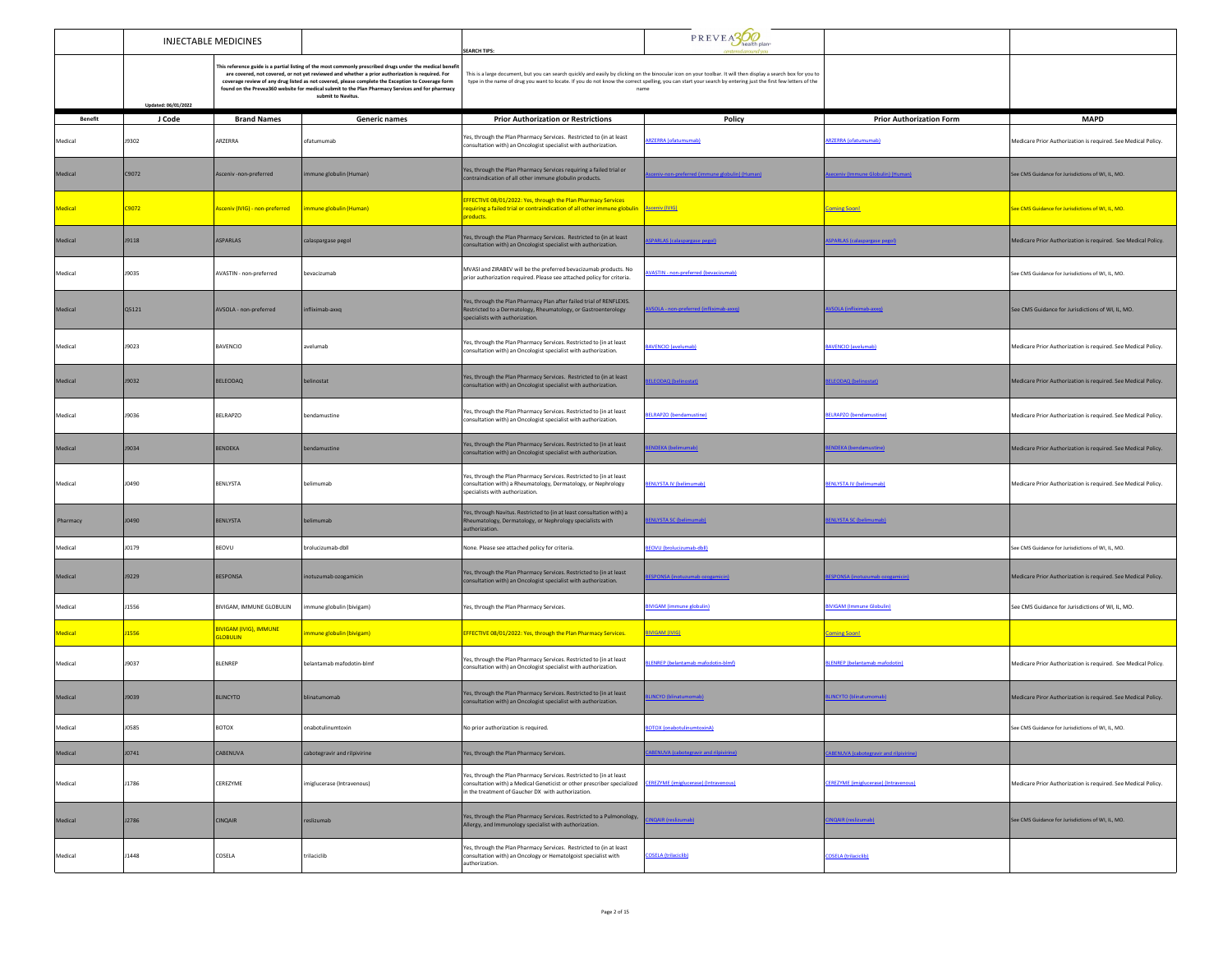|                | INJECTABLE MEDICINES |                                                  |                                                                                                                                                                                                                                                                                                                                                                                                                                             | <b>SEARCH TIPS:</b>                                                                                                                                                                                                                                                                                                                      | PREVEASO                                      |                                               |                                                               |
|----------------|----------------------|--------------------------------------------------|---------------------------------------------------------------------------------------------------------------------------------------------------------------------------------------------------------------------------------------------------------------------------------------------------------------------------------------------------------------------------------------------------------------------------------------------|------------------------------------------------------------------------------------------------------------------------------------------------------------------------------------------------------------------------------------------------------------------------------------------------------------------------------------------|-----------------------------------------------|-----------------------------------------------|---------------------------------------------------------------|
|                | Updated: 06/01/2022  |                                                  | This reference guide is a partial listing of the most commonly prescribed drugs under the medical benefi<br>are covered, not covered, or not yet reviewed and whether a prior authorization is required. For<br>coverage review of any drug listed as not covered, please complete the Exception to Coverage form<br>found on the Prevea360 website for medical submit to the Plan Pharmacy Services and for pharmacy<br>submit to Navitus. | This is a large document, but you can search quickly and easily by clicking on the binocular icon on your toolbar. It will then display a search box for you to<br>type in the name of drug you want to locate. If you do not know the correct spelling, you can start your search by entering just the first few letters of the<br>name |                                               |                                               |                                                               |
| <b>Benefit</b> | J Code               | <b>Brand Names</b>                               | Generic names                                                                                                                                                                                                                                                                                                                                                                                                                               | <b>Prior Authorization or Restrictions</b>                                                                                                                                                                                                                                                                                               | Policy                                        | <b>Prior Authorization Form</b>               | <b>MAPD</b>                                                   |
| Medical        | J9302                | ARZERRA                                          | ofatumumab                                                                                                                                                                                                                                                                                                                                                                                                                                  | Yes, through the Plan Pharmacy Services. Restricted to (in at least<br>consultation with) an Oncologist specialist with authorization.                                                                                                                                                                                                   | <b>RZERRA</b> (ofatumumab)                    | <b>ARZERRA</b> (ofatumumab)                   | Medicare Prior Authorization is required. See Medical Policy. |
| Medical        | C9072                | Asceniv-non-preferred                            | mmune globulin (Human)                                                                                                                                                                                                                                                                                                                                                                                                                      | Yes, through the Plan Pharmacy Services requiring a failed trial or<br>contraindication of all other immune globulin products.                                                                                                                                                                                                           | ceniv-non-preferred (immune globulin) (Human) | seceniv (Immune Globulin) (Human)             | See CMS Guidance for Jurisdictions of WI, IL, MO.             |
| Medical        | C9072                | Asceniv (IVIG) - non-preferred                   | immune globulin (Human)                                                                                                                                                                                                                                                                                                                                                                                                                     | EFFECTIVE 08/01/2022: Yes, through the Plan Pharmacy Services<br>equiring a failed trial or contraindication of all other immune globulin Asceniv (IVIG)<br>products.                                                                                                                                                                    |                                               | <b>Coming Soon!</b>                           | See CMS Guidance for Jurisdictions of WI, IL, MO.             |
| Medical        | J9118                | <b>ASPARLAS</b>                                  | calaspargase pegol                                                                                                                                                                                                                                                                                                                                                                                                                          | Yes, through the Plan Pharmacy Services. Restricted to (in at least<br>consultation with) an Oncologist specialist with authorization.                                                                                                                                                                                                   | <b>PARLAS (calaspargase pegol)</b>            | PARLAS (calaspargase pegol                    | Medicare Prior Authorization is required. See Medical Policy. |
| Medical        | J9035                | AVASTIN - non-preferred                          | bevacizumab                                                                                                                                                                                                                                                                                                                                                                                                                                 | MVASI and ZIRABEV will be the preferred bevacizumab products. No<br>prior authorization required. Please see attached policy for criteria.                                                                                                                                                                                               | <b>WASTIN</b> - non-preferred (bevacizumab)   |                                               | See CMS Guidance for Jurisdictions of WI, IL, MO.             |
| Medical        | Q5121                | AVSOLA - non-preferred                           | pxx6-dsmixilh                                                                                                                                                                                                                                                                                                                                                                                                                               | Yes, through the Plan Pharmacy Plan after failed trial of RENFLEXIS.<br>Restricted to a Dermatology, Rheumatology, or Gastroenterology<br>specialists with authorization.                                                                                                                                                                | VSOLA - non-preferred (infliximab-axxq)       | AVSOLA (infliximab-axxq)                      | See CMS Guidance for Jurisdictions of WI, IL, MO.             |
| Medical        | J9023                | <b>BAVENCIO</b>                                  | avelumab                                                                                                                                                                                                                                                                                                                                                                                                                                    | Yes, through the Plan Pharmacy Services. Restricted to (in at least<br>consultation with) an Oncologist specialist with authorization.                                                                                                                                                                                                   | AVENCIO (avelumab)                            | <b>BAVENCIO (avelumab)</b>                    | Medicare Prior Authorization is required. See Medical Policy. |
| Medical        | J9032                | BELEODAQ                                         | belinostat                                                                                                                                                                                                                                                                                                                                                                                                                                  | Yes, through the Plan Pharmacy Services. Restricted to (in at least<br>consultation with) an Oncologist specialist with authorization.                                                                                                                                                                                                   | <b>ELEODAO</b> (belinostat)                   | <b>IFI FODAO (helinostat)</b>                 | Medicare Prior Authorization is required. See Medical Policy. |
| Medical        | J9036                | <b>BELRAPZO</b>                                  | bendamustine                                                                                                                                                                                                                                                                                                                                                                                                                                | Yes, through the Plan Pharmacy Services. Restricted to (in at least<br>consultation with) an Oncologist specialist with authorization.                                                                                                                                                                                                   | <b>ELRAPZO</b> (bendamustine)                 | <b>BELRAPZO (bendamustine)</b>                | Medicare Prior Authorization is required. See Medical Policy. |
| Medical        | J9034                | <b>BENDEKA</b>                                   | bendamustine                                                                                                                                                                                                                                                                                                                                                                                                                                | Yes, through the Plan Pharmacy Services. Restricted to (in at least<br>consultation with) an Oncologist specialist with authorization.                                                                                                                                                                                                   | NDEKA (belimumab)                             | <b>NDEKA</b> (bendamustine)                   | Medicare Prior Authorization is required. See Medical Policy. |
| Medical        | J0490                | BENLYSTA                                         | belimumab                                                                                                                                                                                                                                                                                                                                                                                                                                   | Yes, through the Plan Pharmacy Services. Restricted to (in at least<br>consultation with) a Rheumatology, Dermatology, or Nephrology<br>specialists with authorization.                                                                                                                                                                  | ENLYSTA IV (belimumab)                        | <b>RENI YSTA IV (helimumah)</b>               | Medicare Prior Authorization is required. See Medical Policy. |
| Pharmacy       | J0490                | <b>BENLYSTA</b>                                  | belimumab                                                                                                                                                                                                                                                                                                                                                                                                                                   | Yes, through Navitus. Restricted to (in at least consultation with) a<br>Rheumatology, Dermatology, or Nephrology specialists with<br>authorization.                                                                                                                                                                                     | ENLYSTA SC (belimumab)                        | <b>SENLYSTA SC (belimumab)</b>                |                                                               |
| Medical        | J0179                | BEOVU                                            | brolucizumab-dbll                                                                                                                                                                                                                                                                                                                                                                                                                           | None. Please see attached policy for criteria.                                                                                                                                                                                                                                                                                           | EOVU (brolucizumab-dbll)                      |                                               | See CMS Guidance for Jurisdictions of WI, IL, MO.             |
| Medical        | J9229                | <b>BESPONSA</b>                                  | inotuzumab ozogamicin                                                                                                                                                                                                                                                                                                                                                                                                                       | Yes, through the Plan Pharmacy Services. Restricted to (in at least<br>consultation with) an Oncologist specialist with authorization.                                                                                                                                                                                                   | SPONSA (inotuzumab ozogamicin)                | <b>ESPONSA (inotuzumab ozogamicin)</b>        | Medicare Prior Authorization is required. See Medical Policy. |
| Medical        | <b>J1556</b>         | BIVIGAM, IMMUNE GLOBULIN                         | mmune globulin (bivigam)                                                                                                                                                                                                                                                                                                                                                                                                                    | Yes, through the Plan Pharmacy Services.                                                                                                                                                                                                                                                                                                 | <b>BIVIGAM</b> (immune globulin)              | <b>BIVIGAM (Immune Globulin)</b>              | See CMS Guidance for Jurisdictions of WI, IL, MO.             |
| Medical        | <b>J1556</b>         | <b>BIVIGAM (IVIG), IMMUNE</b><br><b>GLOBULIN</b> | <mark>ımune globulin (bivigam)</mark>                                                                                                                                                                                                                                                                                                                                                                                                       | EFFECTIVE 08/01/2022: Yes, through the Plan Pharmacy Services.                                                                                                                                                                                                                                                                           | BIVIGAM (IVIG)                                | <b>Coming Soon!</b>                           |                                                               |
| Medical        | J9037                | <b>BLENREP</b>                                   | belantamab mafodotin-blmf                                                                                                                                                                                                                                                                                                                                                                                                                   | Yes, through the Plan Pharmacy Services. Restricted to (in at least<br>consultation with) an Oncologist specialist with authorization.                                                                                                                                                                                                   | LENREP (belantamab mafodotin-blmf)            | <b>BLENREP</b> (belantamab mafodotin)         | Medicare Prior Authorization is required. See Medical Policy. |
| Medical        | J9039                | <b>BLINCYTO</b>                                  | blinatumomab                                                                                                                                                                                                                                                                                                                                                                                                                                | Yes, through the Plan Pharmacy Services. Restricted to (in at least<br>consultation with) an Oncologist specialist with authorization.                                                                                                                                                                                                   | <b>LINCYO</b> (blinatumomab)                  | <b>BLINCYTO (blinatumomab)</b>                | Medicare Piror Authorization is required. See Medical Policy. |
| Medical        | 10585                | <b>BOTOX</b>                                     | inabotulinumtoxin                                                                                                                                                                                                                                                                                                                                                                                                                           | Vo prior authorization is required.                                                                                                                                                                                                                                                                                                      |                                               |                                               | e CMS Guidance for Jurisdictions of WI. IL. MO.               |
| Medical        | J0741                | CABENUVA                                         | cabotegravir and rilpivirine                                                                                                                                                                                                                                                                                                                                                                                                                | Yes, through the Plan Pharmacy Services.                                                                                                                                                                                                                                                                                                 | <b>ABENUVA</b> (cabotegravir and rilpivirine) | <b>ABENUVA</b> (cabotegravir and rilpivirine) |                                                               |
| Medical        | J1786                | CEREZYME                                         | imiglucerase (Intravenous)                                                                                                                                                                                                                                                                                                                                                                                                                  | Yes, through the Plan Pharmacy Services. Restricted to (in at least<br>consultation with) a Medical Geneticist or other prescriber specialized CEREZYME (imiglucerase) (Intravenous)<br>in the treatment of Gaucher DX with authorization.                                                                                               |                                               | <b>CEREZYME</b> (imiglucerase) (Intravenous)  | Medicare Prior Authorization is required. See Medical Policy. |
| Medical        | J2786                | <b>CINQAIR</b>                                   | reslizumab                                                                                                                                                                                                                                                                                                                                                                                                                                  | Yes, through the Plan Pharmacy Services. Restricted to a Pulmonology,<br>Allergy, and Immunology specialist with authorization.                                                                                                                                                                                                          | NQAIR (reslizumab)                            | <b>CINQAIR</b> (reslizumab)                   | See CMS Guidance for Jurisdictions of WI, IL, MO.             |
| Medical        | J1448                | COSELA                                           | trilaciclib                                                                                                                                                                                                                                                                                                                                                                                                                                 | Yes, through the Plan Pharmacy Services. Restricted to (in at least<br>consultation with) an Oncology or Hematolgoist specialist with<br>authorization.                                                                                                                                                                                  | <b>COSELA</b> (trilaciclib)                   | <b>COSELA</b> (trilaciclib)                   |                                                               |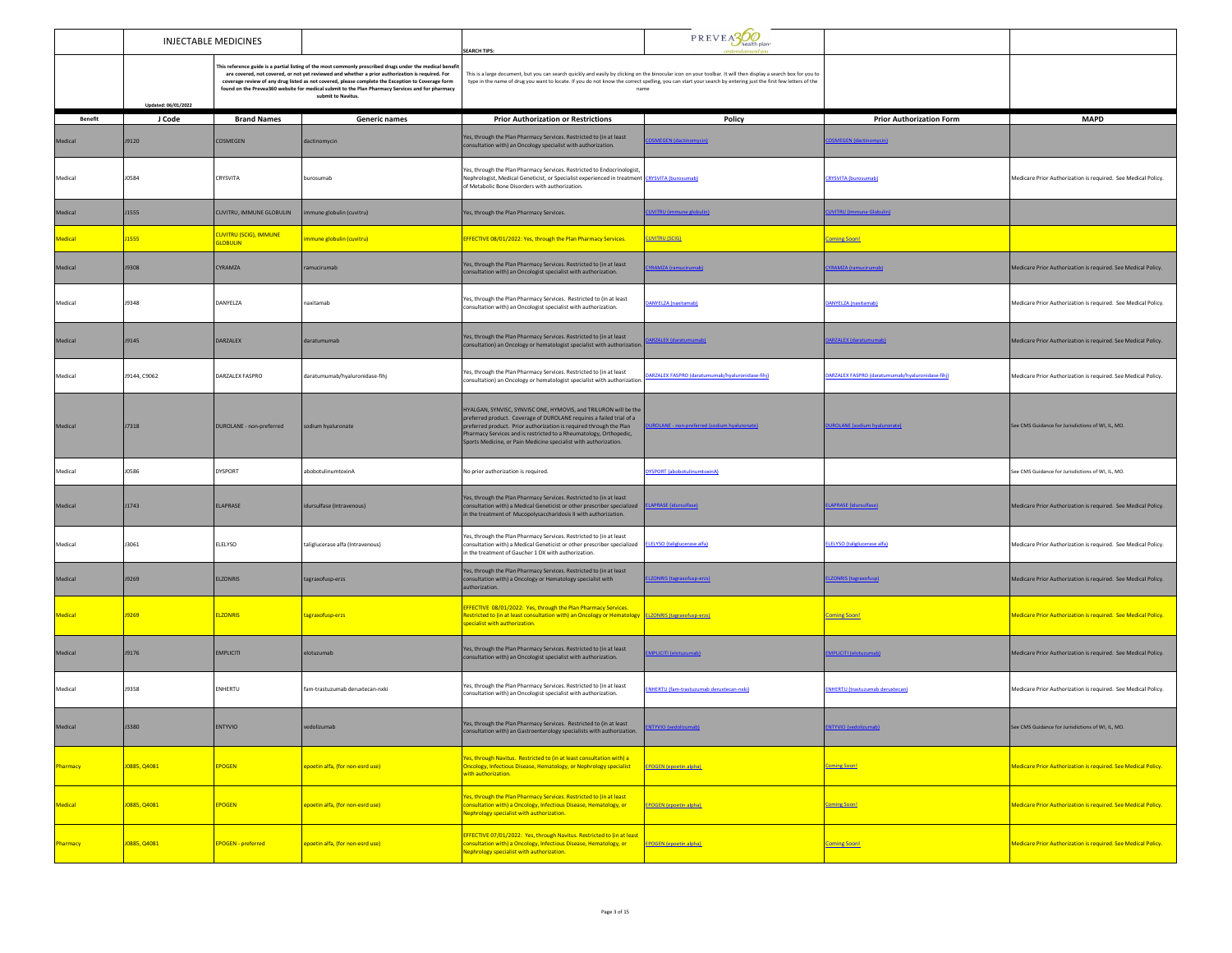|                 | <b>INJECTABLE MEDICINES</b> |                                                  |                                                                                                                                                                                                                                                                                                                                                                                                                                              |                                                                                                                                                                                                                                                                                                                                                           | PREVEASO                                                                                                                                                                                                                                                                                                                                 |                                                  |                                                                      |  |
|-----------------|-----------------------------|--------------------------------------------------|----------------------------------------------------------------------------------------------------------------------------------------------------------------------------------------------------------------------------------------------------------------------------------------------------------------------------------------------------------------------------------------------------------------------------------------------|-----------------------------------------------------------------------------------------------------------------------------------------------------------------------------------------------------------------------------------------------------------------------------------------------------------------------------------------------------------|------------------------------------------------------------------------------------------------------------------------------------------------------------------------------------------------------------------------------------------------------------------------------------------------------------------------------------------|--------------------------------------------------|----------------------------------------------------------------------|--|
|                 | Updated: 06/01/2022         |                                                  | This reference guide is a partial listing of the most commonly prescribed drugs under the medical benefit<br>are covered, not covered, or not yet reviewed and whether a prior authorization is required. For<br>coverage review of any drug listed as not covered, please complete the Exception to Coverage form<br>found on the Prevea360 website for medical submit to the Plan Pharmacy Services and for pharmacy<br>submit to Navitus. | <b>EARCH TIPS:</b>                                                                                                                                                                                                                                                                                                                                        | This is a large document, but you can search quickly and easily by clicking on the binocular icon on your toolbar. It will then display a search box for you to<br>type in the name of drug you want to locate. If you do not know the correct spelling, you can start your search by entering just the first few letters of the<br>name |                                                  |                                                                      |  |
| <b>Benefit</b>  | J Code                      | <b>Brand Names</b>                               | <b>Generic names</b>                                                                                                                                                                                                                                                                                                                                                                                                                         | <b>Prior Authorization or Restrictions</b>                                                                                                                                                                                                                                                                                                                | Policy                                                                                                                                                                                                                                                                                                                                   | <b>Prior Authorization Form</b>                  | <b>MAPD</b>                                                          |  |
| Medical         | J9120                       | COSMEGEN                                         | dactinomycin                                                                                                                                                                                                                                                                                                                                                                                                                                 | Yes, through the Plan Pharmacy Services, Restricted to (in at least<br>consultation with) an Oncology specialist with authorization.                                                                                                                                                                                                                      | <b>SMEGEN</b> (dactinomycin)                                                                                                                                                                                                                                                                                                             | <b>DSMEGEN (dactinomycin)</b>                    |                                                                      |  |
| Medical         | <b>JO584</b>                | CRYSVITA                                         | burosumab                                                                                                                                                                                                                                                                                                                                                                                                                                    | Yes, through the Plan Pharmacy Services. Restricted to Endocrinologist,<br>Nephrologist, Medical Geneticist, or Specialist experienced in treatment CRYSVITA (burosumab<br>of Metabolic Bone Disorders with authorization.                                                                                                                                |                                                                                                                                                                                                                                                                                                                                          | <b>CRYSVITA (burosumab)</b>                      | Medicare Prior Authorization is required. See Medical Policy.        |  |
| Medical         | J1555                       | CUVITRU, IMMUNE GLOBULIN                         | nmune globulin (cuvitru)                                                                                                                                                                                                                                                                                                                                                                                                                     | Yes, through the Plan Pharmacy Services.                                                                                                                                                                                                                                                                                                                  | <b>JVITRU</b> (immune globulin)                                                                                                                                                                                                                                                                                                          | <b>JVITRU</b> (Immune Globulin                   |                                                                      |  |
| Medical         | J1555                       | <b>CUVITRU (SCIG), IMMUNE</b><br><b>GLOBULIN</b> | mmune globulin (cuvitru)                                                                                                                                                                                                                                                                                                                                                                                                                     | EFFECTIVE 08/01/2022: Yes, through the Plan Pharmacy Services.                                                                                                                                                                                                                                                                                            | <b>CUVITRU (SCIG)</b>                                                                                                                                                                                                                                                                                                                    | <b>Coming Soon!</b>                              |                                                                      |  |
| Medical         | J9308                       | <b>CYRAMZA</b>                                   | ramucirumab                                                                                                                                                                                                                                                                                                                                                                                                                                  | Yes, through the Plan Pharmacy Services. Restricted to (in at least<br>consultation with) an Oncologist specialist with authorization.                                                                                                                                                                                                                    | <b>RAMZA (ramucirumab)</b>                                                                                                                                                                                                                                                                                                               | <b>RAMZA (ramucirumab)</b>                       | Medicare Prior Authorization is required. See Medical Policy.        |  |
| Medical         | J9348                       | DANYELZA                                         | naxitamab                                                                                                                                                                                                                                                                                                                                                                                                                                    | Yes, through the Plan Pharmacy Services. Restricted to (in at least<br>consultation with) an Oncologist specialist with authorization.                                                                                                                                                                                                                    | <b>ANYELZA (naxitamab)</b>                                                                                                                                                                                                                                                                                                               | DANYELZA (naxitamab)                             | Medicare Prior Authorization is required. See Medical Policy.        |  |
| Medical         | J9145                       | DARZALEX                                         | daratumumab                                                                                                                                                                                                                                                                                                                                                                                                                                  | Yes, through the Plan Pharmacy Services. Restricted to (in at least<br>consultation) an Oncology or hematologist specialist with authorization                                                                                                                                                                                                            | <b>ARZALEX (daratumumab</b>                                                                                                                                                                                                                                                                                                              | DARZALEX (daratumumab                            | Medicare Prior Authorization is required. See Medical Policy.        |  |
| Medical         | J9144, C9062                | DARZALEX FASPRO                                  | daratumumab/hyaluronidase-fihj                                                                                                                                                                                                                                                                                                                                                                                                               | Yes, through the Plan Pharmacy Services. Restricted to (in at least<br>consultation) an Oncology or hematologist specialist with authorization                                                                                                                                                                                                            | ARZALEX FASPRO (daratumumab/hyaluronidase-fihi)                                                                                                                                                                                                                                                                                          | MARZALEX FASPRO (daratumumab/hyaluronidase-fihil | Medicare Prior Authorization is required. See Medical Policy.        |  |
| Medical         | J7318                       | DUROLANE - non-preferred                         | sodium hyaluronate                                                                                                                                                                                                                                                                                                                                                                                                                           | HYALGAN, SYNVISC, SYNVISC ONE, HYMOVIS, and TRILURON will be the<br>preferred product. Coverage of DUROLANE requires a failed trial of a<br>preferred product. Prior authorization is required through the Plan<br>Pharmacy Services and is restricted to a Rheumatology, Orthopedic,<br>Sports Medicine, or Pain Medicine specialist with authorization. | ROLANE - non-preferred (sodium hyal                                                                                                                                                                                                                                                                                                      | <b>ROLANE</b> (sodium hyaluro)                   | See CMS Guidance for Jurisdictions of WI, IL, MO.                    |  |
| Medical         | J0586                       | <b>DYSPORT</b>                                   | abobotulinumtoxinA                                                                                                                                                                                                                                                                                                                                                                                                                           | No prior authorization is required.                                                                                                                                                                                                                                                                                                                       | <b>YSPORT</b> (abobotulinumtoxinA)                                                                                                                                                                                                                                                                                                       |                                                  | See CMS Guidance for Jurisdictions of WI, IL, MO.                    |  |
| Medical         | J1743                       | ELAPRASE                                         | idursulfase (Intravenous)                                                                                                                                                                                                                                                                                                                                                                                                                    | Yes, through the Plan Pharmacy Services. Restricted to (in at least<br>consultation with) a Medical Geneticist or other prescriber specialized<br>in the treatment of Mucopolysaccharidosis II with authorization.                                                                                                                                        | <b>LAPRASE (idursulfase)</b>                                                                                                                                                                                                                                                                                                             | LAPRASE (idursulfase)                            | Medicare Prior Authorization is required. See Medical Policy.        |  |
| Medical         | J3061                       | ELELYSO                                          | taliglucerase alfa (Intravenous)                                                                                                                                                                                                                                                                                                                                                                                                             | Yes, through the Plan Pharmacy Services. Restricted to (in at least<br>consultation with) a Medical Geneticist or other prescriber specialized<br>in the treatment of Gaucher 1 DX with authorization.                                                                                                                                                    | <b>ELELYSO</b> (taliglucerase alfa)                                                                                                                                                                                                                                                                                                      | <b>ELELYSO</b> (taliglucerase alfa)              | Medicare Prior Authorization is required. See Medical Policy.        |  |
| Medical         | J9269                       | <b>ELZONRIS</b>                                  | tagraxofusp-erzs                                                                                                                                                                                                                                                                                                                                                                                                                             | Yes, through the Plan Pharmacy Services. Restricted to (in at least<br>consultation with) a Oncology or Hematology specialist with<br>authorization.                                                                                                                                                                                                      | <b>ZONRIS (tagraxofusp-erzs)</b>                                                                                                                                                                                                                                                                                                         | <b>IZONRIS (tagraxofusp)</b>                     | Medicare Prior Authorization is required. See Medical Policy.        |  |
| Medical         | 19269                       | <b>ELZONRIS</b>                                  | tagraxofusp-erzs                                                                                                                                                                                                                                                                                                                                                                                                                             | <b>EFFECTIVE 08/01/2022: Yes, through the Plan Pharmacy Services.</b><br>Restricted to (in at least consultation with) an Oncology or Hematology ELZONRIS (tagraxofusp-erzs)<br>specialist with authorization.                                                                                                                                            |                                                                                                                                                                                                                                                                                                                                          | <b>Coming Soon!</b>                              | Medicare Prior Authorization is required. See Medical Policy.        |  |
| Medical         | J9176                       | <b>EMPLICITI</b>                                 | elotuzumab                                                                                                                                                                                                                                                                                                                                                                                                                                   | Yes, through the Plan Pharmacy Services. Restricted to (in at least<br>consultation with) an Oncologist specialist with authorization.                                                                                                                                                                                                                    | <b>MPLICITI (elotuzumab)</b>                                                                                                                                                                                                                                                                                                             | MPLICITI (elotuzumab)                            | Medicare Prior Authorization is required. See Medical Policy.        |  |
| Medical         | J9358                       | ENHERTU                                          | fam-trastuzumab deruxtecan-nxki                                                                                                                                                                                                                                                                                                                                                                                                              | Yes, through the Plan Pharmacy Services. Restricted to (in at least<br>consultation with) an Oncologist specialist with authorization.                                                                                                                                                                                                                    | NHERTU (fam-trastuzumab deruxtecan-nxki)                                                                                                                                                                                                                                                                                                 | <b>ENHERTU (trastuzumab deruxtecan)</b>          | Medicare Prior Authorization is required. See Medical Policy.        |  |
| Medical         | 13380                       | <b>ENTYVIO</b>                                   | redolizumab                                                                                                                                                                                                                                                                                                                                                                                                                                  | Yes, through the Plan Pharmacy Services. Restricted to (in at least<br>consultation with) an Gastroenterology specialists with authorization.                                                                                                                                                                                                             |                                                                                                                                                                                                                                                                                                                                          | <u>ityvio i</u>                                  | See CMS Guidance for Jurisdictions of WI, IL, MO.                    |  |
| Pharmacy        | J0885, Q4081                | <b>EPOGEN</b>                                    | epoetin alfa, (for non-esrd use)                                                                                                                                                                                                                                                                                                                                                                                                             | es, through Navitus. Restricted to (in at least consultation with) a<br><b>Oncology, Infectious Disease, Hematology, or Nephrology specialist</b><br>with authorization.                                                                                                                                                                                  | <b>EPOGEN (epoetin alpha)</b>                                                                                                                                                                                                                                                                                                            | <b>Coming Soon!</b>                              | <b>Medicare Prior Authorization is required. See Medical Policy.</b> |  |
| Medical         | J0885, Q4081                | <b>EPOGEN</b>                                    | epoetin alfa, (for non-esrd use)                                                                                                                                                                                                                                                                                                                                                                                                             | es, through the Plan Pharmacy Services. Restricted to (in at least<br>consultation with) a Oncology, Infectious Disease, Hematology, or<br><b>Nephrology specialist with authorization.</b>                                                                                                                                                               | <b>EPOGEN (epoetin alpha)</b>                                                                                                                                                                                                                                                                                                            | <b>Coming Soon!</b>                              | <b>Medicare Prior Authorization is required. See Medical Policy.</b> |  |
| <b>Pharmacy</b> | J0885, Q4081                | <b>EPOGEN</b> - preferred                        | epoetin alfa, (for non-esrd use)                                                                                                                                                                                                                                                                                                                                                                                                             | EFFECTIVE 07/01/2022: Yes, through Navitus. Restricted to (in at least<br>consultation with) a Oncology, Infectious Disease, Hematology, or<br><b>Vephrology specialist with authorization.</b>                                                                                                                                                           | <b>EPOGEN</b> (epoetin alpha)                                                                                                                                                                                                                                                                                                            | <b>Coming Soon!</b>                              | <b>Medicare Prior Authorization is required. See Medical Policy.</b> |  |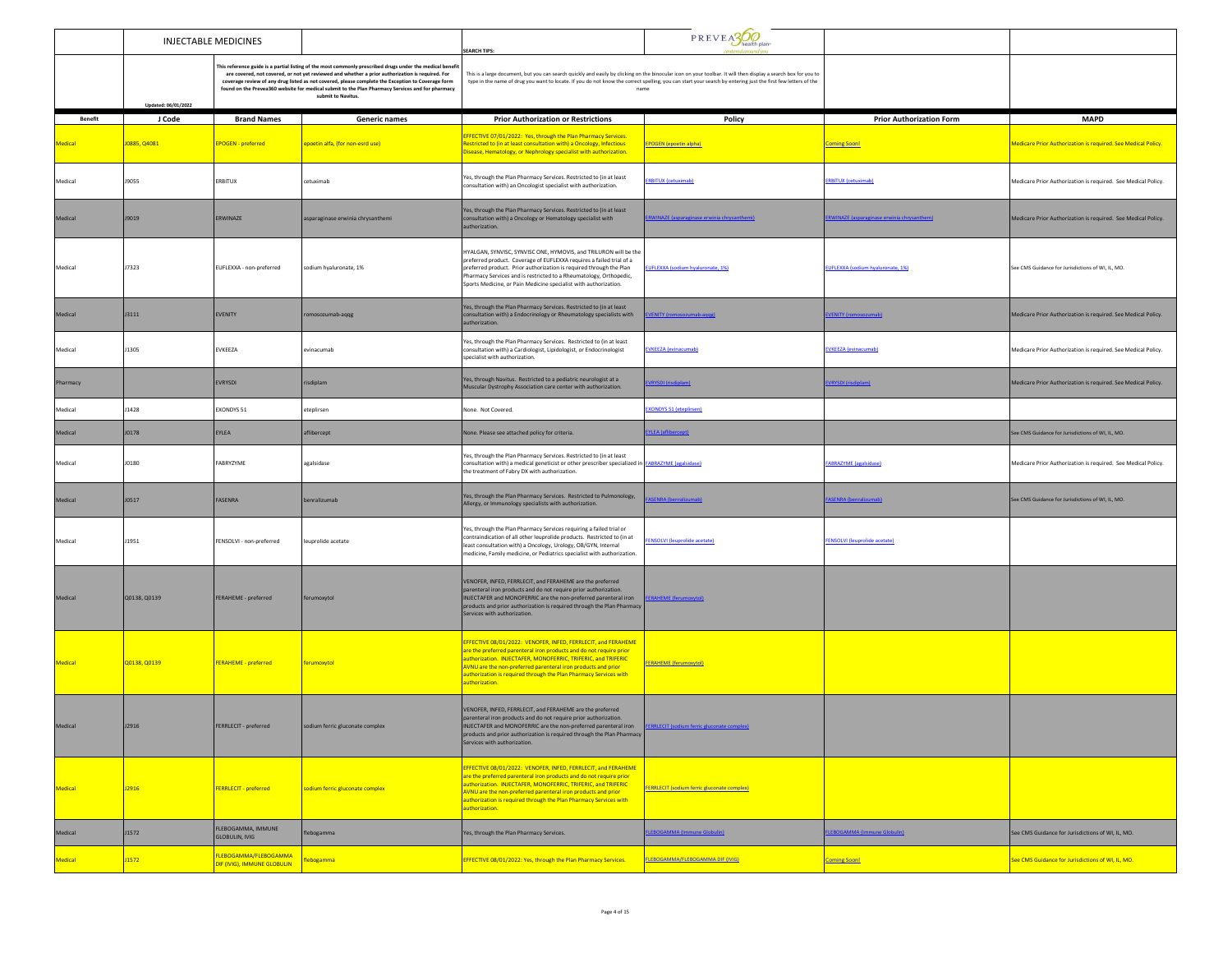|                |                     | <b>INJECTABLE MEDICINES</b>                          |                                                                                                                                                                                                                                                                                                                                                                                                                                            | <b>EARCH TIPS:</b>                                                                                                                                                                                                                                                                                                                                                  | PREVEA300                                          |                                            |                                                                      |
|----------------|---------------------|------------------------------------------------------|--------------------------------------------------------------------------------------------------------------------------------------------------------------------------------------------------------------------------------------------------------------------------------------------------------------------------------------------------------------------------------------------------------------------------------------------|---------------------------------------------------------------------------------------------------------------------------------------------------------------------------------------------------------------------------------------------------------------------------------------------------------------------------------------------------------------------|----------------------------------------------------|--------------------------------------------|----------------------------------------------------------------------|
|                | Updated: 06/01/2022 |                                                      | This reference guide is a partial listing of the most commonly prescribed drugs under the medical benefi<br>are covered, not covered, or not yet reviewed and whether a prior authorization is required. For<br>coverage review of any drug listed as not covered, please complete the Exception to Coverage form<br>found on the Prevea360 website for medical submit to the Plan Pharmacy Services and for pharmacy<br>submit to Navitus | This is a large document, but you can search quickly and easily by clicking on the binocular icon on your toolbar. It will then display a search box for you to<br>type in the name of drug you want to locate. If you do not know the correct spelling, you can start your search by entering just the first few letters of the<br>name                            |                                                    |                                            |                                                                      |
| <b>Benefit</b> | J Code              | <b>Brand Names</b>                                   | <b>Generic names</b>                                                                                                                                                                                                                                                                                                                                                                                                                       | <b>Prior Authorization or Restrictions</b>                                                                                                                                                                                                                                                                                                                          | Policy                                             | <b>Prior Authorization Form</b>            | <b>MAPD</b>                                                          |
| Medical        | J0885, Q4081        | <b>EPOGEN</b> - preferred                            | epoetin alfa, (for non-esrd use)                                                                                                                                                                                                                                                                                                                                                                                                           | <b>EFFECTIVE 07/01/2022: Yes, through the Plan Pharmacy Services.</b><br>lestricted to (in at least consultation with) a Oncology, Infectious<br>Disease, Hematology, or Nephrology specialist with authorization.                                                                                                                                                  | <b>EPOGEN</b> (epoetin alpha)                      | <b>Coming Soon!</b>                        | <b>Medicare Prior Authorization is required. See Medical Policy.</b> |
| Medical        | J9055               | ERBITUX                                              | cetuximab                                                                                                                                                                                                                                                                                                                                                                                                                                  | Yes, through the Plan Pharmacy Services. Restricted to (in at least<br>consultation with) an Oncologist specialist with authorization.                                                                                                                                                                                                                              | <b>RBITUX (cetuximab)</b>                          | <b>ERBITUX</b> (cetuximab)                 | Medicare Prior Authorization is required. See Medical Policy.        |
| Medical        | J9019               | ERWINAZE                                             | asparaginase erwinia chrysanthemi                                                                                                                                                                                                                                                                                                                                                                                                          | Yes, through the Plan Pharmacy Services. Restricted to (in at least<br>consultation with) a Oncology or Hematology specialist with<br>authorization.                                                                                                                                                                                                                | RWINAZE (asparaginase erwinia chrysanthemi)        | RWINAZE (asparaginase erwinia chrysanthem) | Medicare Prior Authorization is required. See Medical Policy.        |
| Medical        | J7323               | EUFLEXXA - non-preferred                             | sodium hyaluronate, 1%                                                                                                                                                                                                                                                                                                                                                                                                                     | HYALGAN, SYNVISC, SYNVISC ONE, HYMOVIS, and TRILURON will be the<br>preferred product. Coverage of EUFLEXXA requires a failed trial of a<br>preferred product. Prior authorization is required through the Plan<br>Pharmacy Services and is restricted to a Rheumatology, Orthopedic,<br>Sports Medicine, or Pain Medicine specialist with authorization.           | UFLEXXA (sodium hyaluronate, 1%)                   | EUFLEXXA (sodium hyaluronate, 1%)          | See CMS Guidance for Jurisdictions of WI, IL, MO.                    |
| Medical        | J3111               | EVENITY                                              | romosozumab-aqqg                                                                                                                                                                                                                                                                                                                                                                                                                           | Yes, through the Plan Pharmacy Services. Restricted to (in at least<br>consultation with) a Endocrinology or Rheumatology specialists with<br>authorization.                                                                                                                                                                                                        | <b>/ENITY</b> (romosozumab-aqqg                    | VENITY (romosozumab)                       | Medicare Prior Authorization is required. See Medical Policy.        |
| Medical        | J1305               | EVKEEZA                                              | evinacumab                                                                                                                                                                                                                                                                                                                                                                                                                                 | Yes, through the Plan Pharmacy Services. Restricted to (in at least<br>consultation with) a Cardiologist, Lipidologist, or Endocrinologist<br>pecialist with authorization.                                                                                                                                                                                         | <b>EVKEEZA</b> (evinacumab)                        | <b>EVKEEZA</b> (evinacumab)                | Medicare Prior Authorization is required. See Medical Policy.        |
| Pharmacy       |                     | <b>EVRYSDI</b>                                       | risdiplam                                                                                                                                                                                                                                                                                                                                                                                                                                  | Yes, through Navitus. Restricted to a pediatric neurologist at a<br>Muscular Dystrophy Association care center with authorization.                                                                                                                                                                                                                                  | VRYSDI (risdiplam)                                 | <b>VRYSDI</b> (risdiplam)                  | Medicare Prior Authorization is required. See Medical Policy.        |
| Medical        | J1428               | EXONDYS 51                                           | eteplirsen                                                                                                                                                                                                                                                                                                                                                                                                                                 | None. Not Covered.                                                                                                                                                                                                                                                                                                                                                  | (ONDYS 51 (eteplirsen)                             |                                            |                                                                      |
| Medical        | <b>JO178</b>        | EYLEA                                                | aflibercept                                                                                                                                                                                                                                                                                                                                                                                                                                | Vone. Please see attached policy for criteria.                                                                                                                                                                                                                                                                                                                      | <b>YLEA</b> (aflibercept)                          |                                            | See CMS Guidance for Jurisdictions of WI, IL, MO.                    |
| Medical        | J0180               | FABRYZYME                                            | agalsidase                                                                                                                                                                                                                                                                                                                                                                                                                                 | Yes, through the Plan Pharmacy Services. Restricted to (in at least<br>consultation with) a medical geneticist or other prescriber specialized in FABRAZYME (agalsidase)<br>the treatment of Fabry DX with authorization.                                                                                                                                           |                                                    | <b>FABRAZYME</b> (agalsidase)              | Medicare Prior Authorization is required. See Medical Policy.        |
| Medical        | J0517               | FASENRA                                              | benralizumab                                                                                                                                                                                                                                                                                                                                                                                                                               | Yes, through the Plan Pharmacy Services. Restricted to Pulmonology,<br>Allergy, or Immunology specialists with authorization.                                                                                                                                                                                                                                       | <b>ASENRA (benralizumab)</b>                       | FASENRA (benralizumab)                     | See CMS Guidance for Jurisdictions of WI, IL, MO.                    |
| Medical        | J1951               | FENSOLVI - non-preferred                             | leuprolide acetate                                                                                                                                                                                                                                                                                                                                                                                                                         | Yes, through the Plan Pharmacy Services requiring a failed trial or<br>contraindication of all other leuprolide products. Restricted to (in at<br>least consultation with) a Oncology, Urology, OB/GYN, Internal<br>medicine, Family medicine, or Pediatrics specialist with authorization.                                                                         | <b>ENSOLVI</b> (leuprolide acetate)                | <b>FENSOLVI</b> (leuprolide acetate)       |                                                                      |
| Medical        | Q0138, Q0139        | <b>FERAHEME</b> - preferred                          | ferumoxytol                                                                                                                                                                                                                                                                                                                                                                                                                                | VENOFER, INFED, FERRLECIT, and FERAHEME are the preferred<br>parenteral iron products and do not require prior authorization.<br>INJECTAFER and MONOFERRIC are the non-preferred parenteral iron<br>products and prior authorization is required through the Plan Pharmacy<br>Services with authorization.                                                          | <b>ERAHEME</b> (ferumoxytol                        |                                            |                                                                      |
| Medical        | Q0138, Q0139        | <b>FERAHEME - preferred</b>                          | <b>ferumoxytol</b>                                                                                                                                                                                                                                                                                                                                                                                                                         | <b>EFFECTIVE 08/01/2022: VENOFER, INFED, FERRLECIT, and FERAHEME</b><br>are the preferred parenteral iron products and do not require prior<br>authorization. INJECTAFER, MONOFERRIC, TRIFERIC, and TRIFERIC<br>AVNU are the non-preferred parenteral iron products and prior<br>uthorization is required through the Plan Pharmacy Services with<br>authorization. | <b>FERAHEME</b> (ferumoxytol)                      |                                            |                                                                      |
|                |                     | (LECTI - preferred                                   | remographers complex                                                                                                                                                                                                                                                                                                                                                                                                                       | VENOFER, INFED, FERRLECIT, and FERAHEME are the preferred<br>parenteral iron products and do not require prior authorization.<br>ruc are the non-preferred p<br>products and prior authorization is required through the Plan Pharmacy<br>Services with authorization.                                                                                              |                                                    |                                            |                                                                      |
| Medical        | J2916               | <b>FERRLECIT - preferred</b>                         | sodium ferric gluconate complex                                                                                                                                                                                                                                                                                                                                                                                                            | EFFECTIVE 08/01/2022: VENOFER, INFED, FERRLECIT, and FERAHEME<br>are the preferred parenteral iron products and do not require prior<br>authorization. INJECTAFER, MONOFERRIC, TRIFERIC, and TRIFERIC<br>AVNU are the non-preferred parenteral iron products and prior<br>authorization is required through the Plan Pharmacy Services with<br>authorization.       | <b>FERRLECIT (sodium ferric gluconate complex)</b> |                                            |                                                                      |
| Medical        | J1572               | FLEBOGAMMA, IMMUNE<br>GLOBULIN, IVIG                 | flebogamma                                                                                                                                                                                                                                                                                                                                                                                                                                 | Yes, through the Plan Pharmacy Services.                                                                                                                                                                                                                                                                                                                            | <b>EBOGAMMA</b> (Immune Globulin)                  | LEBOGAMMA (Immune Globulin)                | See CMS Guidance for Jurisdictions of WI, IL, MO.                    |
| Medical        | <b>J1572</b>        | FLEBOGAMMA/FLEBOGAMMA<br>DIF (IVIG), IMMUNE GLOBULIN | flebogamma                                                                                                                                                                                                                                                                                                                                                                                                                                 | EFFECTIVE 08/01/2022: Yes, through the Plan Pharmacy Services.                                                                                                                                                                                                                                                                                                      | <b>FLEBOGAMMA/FLEBOGAMMA DIF (IVIG)</b>            | <b>Coming Soon!</b>                        | See CMS Guidance for Jurisdictions of WI, IL, MO.                    |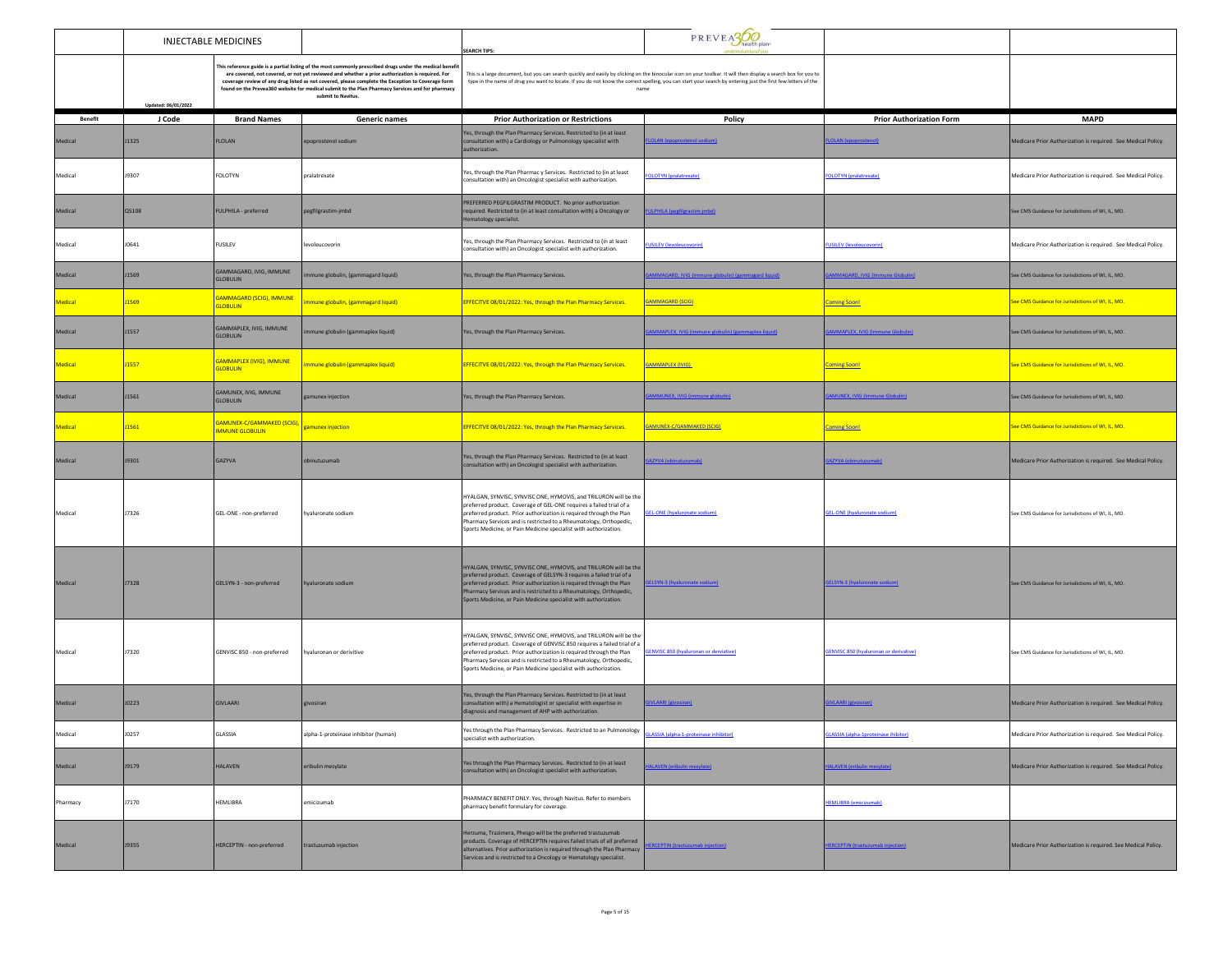| <b>INJECTABLE MEDICINES</b> |                     |                                                                        | <b>SEARCH TIPS:</b>                                                                                                                                                                                                                                                                                                                                                                                                                          | PREVEASO                                                                                                                                                                                                                                                                                                                                                     |                                                                                                                                                               |                                         |                                                               |
|-----------------------------|---------------------|------------------------------------------------------------------------|----------------------------------------------------------------------------------------------------------------------------------------------------------------------------------------------------------------------------------------------------------------------------------------------------------------------------------------------------------------------------------------------------------------------------------------------|--------------------------------------------------------------------------------------------------------------------------------------------------------------------------------------------------------------------------------------------------------------------------------------------------------------------------------------------------------------|---------------------------------------------------------------------------------------------------------------------------------------------------------------|-----------------------------------------|---------------------------------------------------------------|
|                             | Updated: 06/01/2022 |                                                                        | This reference guide is a partial listing of the most commonly prescribed drugs under the medical benefit<br>are covered, not covered, or not yet reviewed and whether a prior authorization is required. For<br>coverage review of any drug listed as not covered, please complete the Exception to Coverage form<br>found on the Prevea360 website for medical submit to the Plan Pharmacy Services and for pharmacy<br>submit to Navitus. | This is a large document, but you can search quickly and easily by clicking on the binocular icon on your toolbar. It will then display a search box for you to<br>name                                                                                                                                                                                      | type in the name of drug you want to locate. If you do not know the correct spelling, you can start your search by entering just the first few letters of the |                                         |                                                               |
| <b>Benefit</b>              | J Code              | <b>Brand Names</b>                                                     | Generic names                                                                                                                                                                                                                                                                                                                                                                                                                                | <b>Prior Authorization or Restrictions</b>                                                                                                                                                                                                                                                                                                                   | Policy                                                                                                                                                        | <b>Prior Authorization Form</b>         | <b>MAPD</b>                                                   |
| Medical                     | <b>J1325</b>        | <b>FLOLAN</b>                                                          | epoprostenol sodium                                                                                                                                                                                                                                                                                                                                                                                                                          | Yes, through the Plan Pharmacy Services. Restricted to (in at least<br>consultation with) a Cardiology or Pulmonology specialist with<br>authorization.                                                                                                                                                                                                      |                                                                                                                                                               | <b>DLAN (epoprosteno)</b>               | Medicare Prior Authorization is required. See Medical Policy. |
| Medical                     | <b>J9307</b>        | FOLOTYN                                                                | pralatrexate                                                                                                                                                                                                                                                                                                                                                                                                                                 | Yes, through the Plan Pharmac y Services. Restricted to (in at least<br>consultation with) an Oncologist specialist with authorization.                                                                                                                                                                                                                      | <b>IDTYN</b> (pralatrexate)                                                                                                                                   | OLOTYN (pralatrexate)                   | Medicare Prior Authorization is required. See Medical Policy. |
| Medical                     | Q5108               | FULPHILA - preferred                                                   | pegfilgrastim-jmbd                                                                                                                                                                                                                                                                                                                                                                                                                           | PREFERRED PEGFILGRASTIM PRODUCT. No prior authorization<br>required. Restricted to (in at least consultation with) a Oncology or<br>Hematology specialist.                                                                                                                                                                                                   | <b>PHILA (negfilgrastim-imhd)</b>                                                                                                                             |                                         | See CMS Guidance for Jurisdictions of WI, IL, MO.             |
| Medical                     | <b>J0641</b>        | FUSILEV                                                                | levoleucovorin                                                                                                                                                                                                                                                                                                                                                                                                                               | Yes, through the Plan Pharmacy Services. Restricted to (in at least<br>consultation with) an Oncologist specialist with authorization.                                                                                                                                                                                                                       | <b>JSILEV</b> (levoleucovorin)                                                                                                                                | <b>FUSILEV (levoleucovorin)</b>         | Medicare Prior Authorization is required. See Medical Policy. |
| Medical                     | J1569               | GAMMAGARD, IVIG, IMMUNE<br><b>GLOBULIN</b>                             | mune globulin, (gammagard liquid)                                                                                                                                                                                                                                                                                                                                                                                                            | Yes, through the Plan Pharmacy Services.                                                                                                                                                                                                                                                                                                                     | MAGARD, IVIG (immune globulin) (gammagard liquid)                                                                                                             | <b>MMAGARD, IVIG (Immune Globulin)</b>  | See CMS Guidance for Jurisdictions of WI, IL, MO.             |
| Medical                     | 11569               | <b>AMMAGARD (SCIG), IMMUNE</b><br><b>SLOBULIN</b>                      | mune globulin, (gammagard liquid)                                                                                                                                                                                                                                                                                                                                                                                                            | EFFECITVE 08/01/2022: Yes, through the Plan Pharmacy Services.                                                                                                                                                                                                                                                                                               | GAMMAGARD (SCIG)                                                                                                                                              | <b>Coming Soon!</b>                     | See CMS Guidance for Jurisdictions of WI, IL, MO.             |
| Medical                     | J1557               | GAMMAPLEX, IVIG, IMMUNE<br><b>GLOBULIN</b>                             | nmune globulin (gammaplex liquid)                                                                                                                                                                                                                                                                                                                                                                                                            | Yes, through the Plan Pharmacy Services.                                                                                                                                                                                                                                                                                                                     | MMAPLEX, IVIG (immune globulin) (gammaplex liquid)                                                                                                            | <b>MMAPLEX, IVIG (Immune Globulin</b>   | See CMS Guidance for Jurisdictions of WI, IL, MO.             |
| Medical                     | J1557               | SAMMAPLEX (IVIG), IMMUNE<br><b>GLOBULIN</b>                            | mmune globulin (gammaplex liquid)                                                                                                                                                                                                                                                                                                                                                                                                            | EFFECITVE 08/01/2022: Yes, through the Plan Pharmacy Services.                                                                                                                                                                                                                                                                                               | <b>GAMMAPLEX (IVIG)</b>                                                                                                                                       | <b>Coming Soon!</b>                     | See CMS Guidance for Jurisdictions of WI. IL. MO.             |
| Medical                     | J1561               | GAMUNEX, IVIG, IMMUNE<br><b>GLOBULIN</b>                               | gamunex injection                                                                                                                                                                                                                                                                                                                                                                                                                            | Yes, through the Plan Pharmacy Services.                                                                                                                                                                                                                                                                                                                     | <b>MMUNEX, IVIG (immune globulin)</b>                                                                                                                         | MUNEX, IVIG (Immune Globulin)           | See CMS Guidance for Jurisdictions of WI, IL, MO.             |
| <b>Medical</b>              | 1561                | GAMUNEX-C/GAMMAKED (SCIG), gamunex injection<br><b>IMMUNE GLOBULIN</b> |                                                                                                                                                                                                                                                                                                                                                                                                                                              | EFFECITVE 08/01/2022: Yes, through the Plan Pharmacy Services.                                                                                                                                                                                                                                                                                               | GAMUNEX-C/GAMMAKED (SCIG)                                                                                                                                     | <b>Coming Soon!</b>                     | See CMS Guidance for Jurisdictions of WI, IL, MO.             |
| Medical                     | J9301               | GAZYVA                                                                 | obinutuzumab                                                                                                                                                                                                                                                                                                                                                                                                                                 | Yes, through the Plan Pharmacy Services. Restricted to (in at least<br>consultation with) an Oncologist specialist with authorization.                                                                                                                                                                                                                       | <b>ZYVA</b> (obinutuzumab)                                                                                                                                    | AZYVA (obinutuzumab)                    | Medicare Prior Authorization is required. See Medical Policy. |
| Medical                     | <b>J7326</b>        | GEL-ONE - non-preferred                                                | hyaluronate sodium                                                                                                                                                                                                                                                                                                                                                                                                                           | HYALGAN, SYNVISC, SYNVISC ONE, HYMOVIS, and TRILURON will be the<br>preferred product. Coverage of GEL-ONE requires a failed trial of a<br>preferred product. Prior authorization is required through the Plan<br>Pharmacy Services and is restricted to a Rheumatology, Orthopedic,<br>Sports Medicine, or Pain Medicine specialist with authorization.     | <b>GEL-ONE</b> (hyaluronate sodium)                                                                                                                           | <b>GEL-ONE</b> (hyaluronate sodium)     | See CMS Guidance for Jurisdictions of WI, IL, MO.             |
| Medical                     | <b>J7328</b>        | GELSYN-3 - non-preferred                                               | hyaluronate sodium                                                                                                                                                                                                                                                                                                                                                                                                                           | HYALGAN, SYNVISC, SYNVISC ONE, HYMOVIS, and TRILURON will be the<br>preferred product. Coverage of GELSYN-3 requires a failed trial of a<br>preferred product. Prior authorization is required through the Plan<br>Pharmacy Services and is restricted to a Rheumatology, Orthopedic,<br>Sports Medicine, or Pain Medicine specialist with authorization.    | ELSYN-3 (hyaluronate sodium)                                                                                                                                  | ELSYN-3 (hyaluronate sodium)            | See CMS Guidance for Jurisdictions of WI, IL, MO.             |
| Medical                     | <b>J7320</b>        | GENVISC 850 - non-preferred                                            | hyaluronan or derivitive                                                                                                                                                                                                                                                                                                                                                                                                                     | HYALGAN, SYNVISC, SYNVISC ONE, HYMOVIS, and TRILURON will be the<br>preferred product. Coverage of GENVISC 850 requires a failed trial of a<br>preferred product. Prior authorization is required through the Plan<br>Pharmacy Services and is restricted to a Rheumatology, Orthopedic,<br>Sports Medicine, or Pain Medicine specialist with authorization. | <b>ENVISC 850 (hvaluronan or derviative)</b>                                                                                                                  | NVISC 850 (hvaluronan or derivative)    | See CMS Guidance for Jurisdictions of WI, IL, MO.             |
| Medical                     | J0223               | GIVLAARI                                                               | givosiran                                                                                                                                                                                                                                                                                                                                                                                                                                    | Yes, through the Plan Pharmacy Services. Restricted to (in at least<br>consultation with) a Hematologist or specialist with expertise in<br>diagnosis and management of AHP with authorization.                                                                                                                                                              | <b>LAARI (givosiran)</b>                                                                                                                                      | <b>VLAARI (givosiran)</b>               | Medicare Prior Authorization is required. See Medical Policy. |
| Medical                     | J0257               | GLASSIA                                                                | alpha-1-proteinase inhibitor (human)                                                                                                                                                                                                                                                                                                                                                                                                         | Yes through the Plan Pharmacy Services. Restricted to an Pulmonology GLASSIA (alpha-1-proteinase inhibitor)<br>specialist with authorization.                                                                                                                                                                                                                |                                                                                                                                                               | GLASSIA (alpha-1proteinase ihibitor)    | Medicare Prior Authorization is required. See Medical Policy. |
| Medical                     | J9179               | <b>HALAVEN</b>                                                         | eribulin mesylate                                                                                                                                                                                                                                                                                                                                                                                                                            | Yes through the Plan Pharmacy Services. Restricted to (in at least<br>consultation with) an Oncologist specialist with authorization.                                                                                                                                                                                                                        | <b>ALAVEN (eribulin mesylate)</b>                                                                                                                             | <b>ALAVEN (eribulin mesvlate)</b>       | Medicare Prior Authorization is required. See Medical Policy. |
| Pharmacy                    | <b>J7170</b>        | HEMLIBRA                                                               | emicizumab                                                                                                                                                                                                                                                                                                                                                                                                                                   | PHARMACY BENEFIT ONLY. Yes, through Navitus. Refer to members<br>pharmacy benefit formulary for coverage.                                                                                                                                                                                                                                                    |                                                                                                                                                               | <b>HEMLIBRA</b> (emicizumab)            |                                                               |
| Medical                     | <b>J9355</b>        | HERCEPTIN - non-preferred                                              | trastuzumab injection                                                                                                                                                                                                                                                                                                                                                                                                                        | Herzuma, Trazimera, Phesgo will be the preferred trastuzumab<br>products. Coverage of HERCEPTIN requires failed trials of all preferred<br>alternatives. Prior authorization is required through the Plan Pharmacy<br>Services and is restricted to a Oncology or Hematology specialist.                                                                     | <b>HERCEPTIN (trastuzumab injection)</b>                                                                                                                      | <b>ERCEPTIN</b> (trastuzumab injection) | Medicare Prior Authorization is required. See Medical Policy. |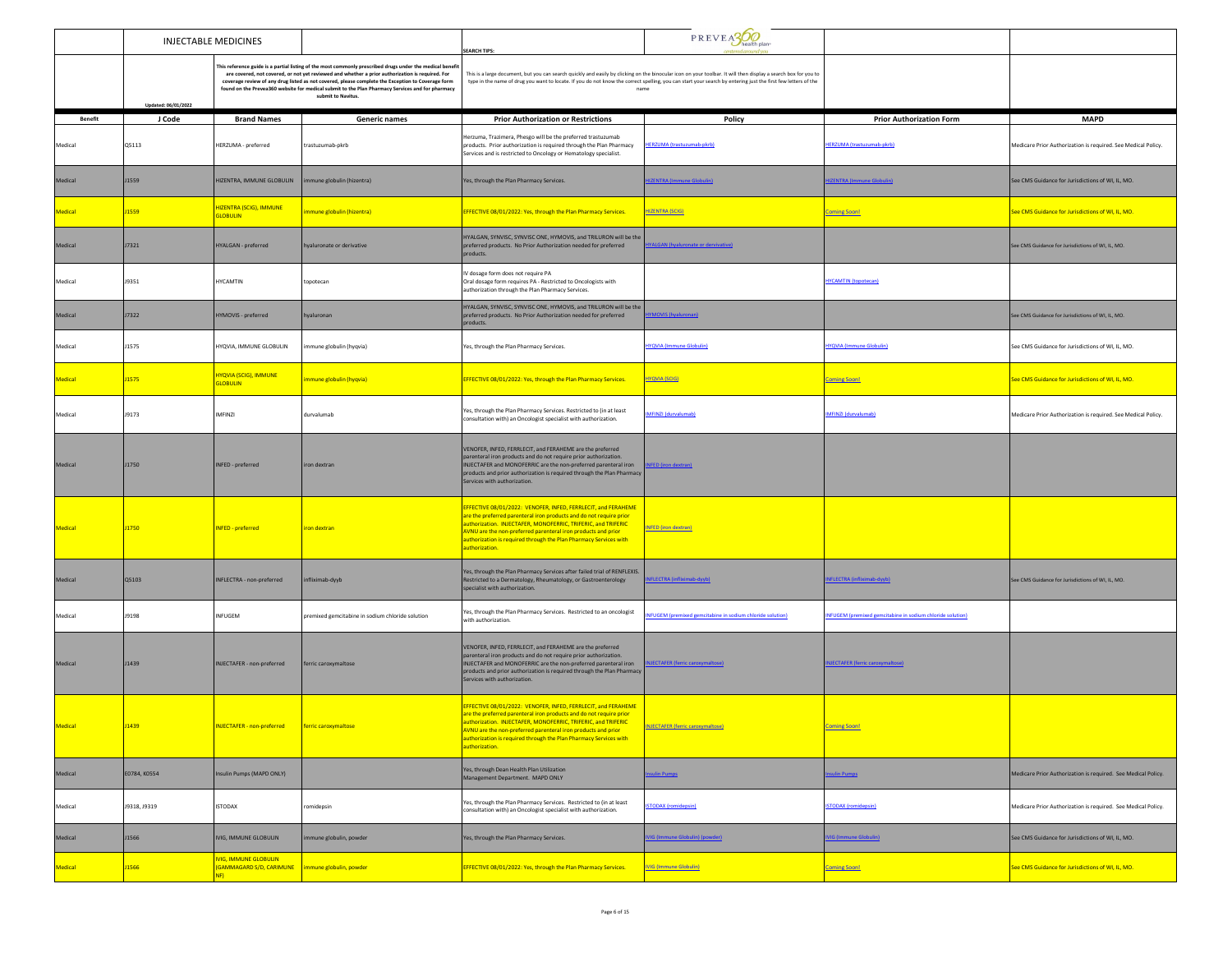|                | <b>INJECTABLE MEDICINES</b> |                                                                       |                                                                                                                                                                                                                                                                                                                                                                                                                                              | <b>SEARCH TIPS:</b>                                                                                                                                                                                                                                                                                                                                           | PREVEA300                                                 |                                                            |                                                               |
|----------------|-----------------------------|-----------------------------------------------------------------------|----------------------------------------------------------------------------------------------------------------------------------------------------------------------------------------------------------------------------------------------------------------------------------------------------------------------------------------------------------------------------------------------------------------------------------------------|---------------------------------------------------------------------------------------------------------------------------------------------------------------------------------------------------------------------------------------------------------------------------------------------------------------------------------------------------------------|-----------------------------------------------------------|------------------------------------------------------------|---------------------------------------------------------------|
|                | Updated: 06/01/2022         |                                                                       | This reference guide is a partial listing of the most commonly prescribed drugs under the medical benefit<br>are covered, not covered, or not yet reviewed and whether a prior authorization is required. For<br>coverage review of any drug listed as not covered, please complete the Exception to Coverage form<br>found on the Prevea360 website for medical submit to the Plan Pharmacy Services and for pharmacy<br>submit to Navitus. | This is a large document, but you can search quickly and easily by clicking on the binocular icon on your toolbar. It will then display a search box for you to<br>type in the name of drug you want to locate. If you do not know the correct spelling, you can start your search by entering just the first few letters of the<br>name                      |                                                           |                                                            |                                                               |
| <b>Benefit</b> | J Code                      | <b>Brand Names</b>                                                    | <b>Generic names</b>                                                                                                                                                                                                                                                                                                                                                                                                                         | <b>Prior Authorization or Restrictions</b>                                                                                                                                                                                                                                                                                                                    | Policy                                                    | <b>Prior Authorization Form</b>                            | <b>MAPD</b>                                                   |
| Medical        | Q5113                       | HERZUMA - preferred                                                   | trastuzumab-pkrb                                                                                                                                                                                                                                                                                                                                                                                                                             | Herzuma, Trazimera, Phesgo will be the preferred trastuzumab<br>products. Prior authorization is required through the Plan Pharmacy<br>Services and is restricted to Oncology or Hematology specialist.                                                                                                                                                       | HERZUMA (trastuzumab-pkrb)                                | HERZUMA (trastuzumab-pkrb)                                 | Medicare Prior Authorization is required. See Medical Policy. |
| Medical        | J1559                       | HIZENTRA, IMMUNE GLOBULIN                                             | nmune globulin (hizentra)                                                                                                                                                                                                                                                                                                                                                                                                                    | Yes, through the Plan Pharmacy Services.                                                                                                                                                                                                                                                                                                                      | <b>ZENTRA (Immune Globulin)</b>                           | <b>ZENTRA (Immune Globulin)</b>                            | See CMS Guidance for Jurisdictions of WI, IL, MO.             |
| Medical        | J1559                       | <b>HIZENTRA (SCIG), IMMUNE</b><br><b>GLOBULIN</b>                     | mmune globulin (hizentra)                                                                                                                                                                                                                                                                                                                                                                                                                    | EFFECTIVE 08/01/2022: Yes, through the Plan Pharmacy Services.                                                                                                                                                                                                                                                                                                | <b>HIZENTRA (SCIG)</b>                                    | <b>Coming Soon!</b>                                        | See CMS Guidance for Jurisdictions of WI, IL, MO.             |
| Medical        | J7321                       | HYALGAN - preferred                                                   | hyaluronate or derivative                                                                                                                                                                                                                                                                                                                                                                                                                    | HYALGAN, SYNVISC, SYNVISC ONE, HYMOVIS, and TRILURON will be the<br>preferred products. No Prior Authorization needed for preferred<br>products.                                                                                                                                                                                                              | <b>ALGAN</b> (hyaluronate or dervivative)                 |                                                            | See CMS Guidance for Jurisdictions of WI, IL, MO.             |
| Medical        | J9351                       | <b>HYCAMTIN</b>                                                       | topotecan                                                                                                                                                                                                                                                                                                                                                                                                                                    | IV dosage form does not require PA<br>Oral dosage form requires PA - Restricted to Oncologists with<br>authorization through the Plan Pharmacy Services.                                                                                                                                                                                                      |                                                           | <b>HYCAMTIN</b> (topotecan)                                |                                                               |
| Medical        | <b>J7322</b>                | HYMOVIS - preferred                                                   | hyaluronan                                                                                                                                                                                                                                                                                                                                                                                                                                   | HYALGAN, SYNVISC, SYNVISC ONE, HYMOVIS, and TRILURON will be the<br>preferred products. No Prior Authorization needed for preferred<br>products.                                                                                                                                                                                                              | <b>10VIS (hvaluronan</b>                                  |                                                            | ee CMS Guidance for Jurisdictions of WI, IL, MO.              |
| Medical        | J1575                       | HYQVIA, IMMUNE GLOBULIN                                               | mmune globulin (hyqvia)                                                                                                                                                                                                                                                                                                                                                                                                                      | Yes, through the Plan Pharmacy Services.                                                                                                                                                                                                                                                                                                                      | <b>IYQVIA</b> (Immune Globulin)                           | <b>HYQVIA</b> (Immune Globulin)                            | See CMS Guidance for Jurisdictions of WI, IL, MO.             |
| <b>Medical</b> | <b>J1575</b>                | <b>HYQVIA (SCIG), IMMUNE</b><br><b>GLOBULIN</b>                       | mmune globulin (hyqvia)                                                                                                                                                                                                                                                                                                                                                                                                                      | EFFECTIVE 08/01/2022: Yes, through the Plan Pharmacy Services.                                                                                                                                                                                                                                                                                                | <b>HYOVIA (SCIG)</b>                                      | <b>Coming Soon!</b>                                        | See CMS Guidance for Jurisdictions of WI, IL, MO.             |
| Medical        | J9173                       | <b>IMFINZI</b>                                                        | durvalumab                                                                                                                                                                                                                                                                                                                                                                                                                                   | Yes, through the Plan Pharmacy Services. Restricted to (in at least<br>consultation with) an Oncologist specialist with authorization.                                                                                                                                                                                                                        | <b>MFINZI</b> (durvalumab)                                | MFINZI (durvalumab)                                        | Medicare Prior Authorization is required. See Medical Policy. |
| Medical        | <b>J1750</b>                | INFED - preferred                                                     | iron dextran                                                                                                                                                                                                                                                                                                                                                                                                                                 | VENOFER, INFED, FERRLECIT, and FERAHEME are the preferred<br>parenteral iron products and do not require prior authorization.<br>INJECTAFER and MONOFERRIC are the non-preferred parenteral iron<br>products and prior authorization is required through the Plan Pharmacy<br>Services with authorization.                                                    | <b>IFED</b> (iron dextran                                 |                                                            |                                                               |
| Medical        | <b>J1750</b>                | INFED - preferred                                                     | iron dextran                                                                                                                                                                                                                                                                                                                                                                                                                                 | EFFECTIVE 08/01/2022: VENOFER, INFED, FERRLECIT, and FERAHEME<br>are the preferred parenteral iron products and do not require prior<br>authorization. INJECTAFER, MONOFERRIC, TRIFERIC, and TRIFERIC<br>AVNU are the non-preferred parenteral iron products and prior<br>authorization is required through the Plan Pharmacy Services with<br>authorization. | INFED (iron dextran)                                      |                                                            |                                                               |
| Medical        | Q5103                       | INFLECTRA - non-preferred                                             | infliximab-dyyb                                                                                                                                                                                                                                                                                                                                                                                                                              | Yes, through the Plan Pharmacy Services after failed trial of RENFLEXIS.<br>Restricted to a Dermatology, Rheumatology, or Gastroenterology<br>specialist with authorization.                                                                                                                                                                                  | <b>FLECTRA (infliximab-dvvb</b>                           | <b>VFLECTRA (infliximab-dyyb)</b>                          | See CMS Guidance for Jurisdictions of WI, IL, MO.             |
| Medical        | J9198                       | INFUGEM                                                               | premixed gemcitabine in sodium chloride solution                                                                                                                                                                                                                                                                                                                                                                                             | Yes, through the Plan Pharmacy Services. Restricted to an oncologist<br>with authorization.                                                                                                                                                                                                                                                                   | NFUGEM (premixed gemcitabine in sodium chloride solution) | INFUGEM (premixed gemcitabine in sodium chloride solution) |                                                               |
| Medical        | J1439                       | INJECTAFER - non-preferred                                            | ferric caroxymaltose                                                                                                                                                                                                                                                                                                                                                                                                                         | VENOFER, INFED, FERRLECIT, and FERAHEME are the preferred<br>parenteral iron products and do not require prior authorization.<br>INJECTAFER and MONOFERRIC are the non-preferred parenteral iron<br>products and prior authorization is required through the Plan Pharmacy<br>Services with authorization.                                                    | <b>JECTAFER (ferric caroxymaltose)</b>                    | <b>NJECTAFER (ferric caroxymaltose)</b>                    |                                                               |
|                |                             |                                                                       |                                                                                                                                                                                                                                                                                                                                                                                                                                              | EFFECTIVE 08/01/2022: VENOFER, INFED, FERRLECIT, and FERAHEME<br>are the preferred parenteral iron products and do not require prior<br>uthorization. INJECTAFER, MONOFERRIC, TRIFERIC, and TRIFERIC<br>AVNU are the non-preferred parenteral iron products and prior<br>authorization is required through the Plan Pharmacy Services with<br>authorization.  |                                                           |                                                            |                                                               |
| Medical        | E0784, K0554                | Insulin Pumps (MAPD ONLY)                                             |                                                                                                                                                                                                                                                                                                                                                                                                                                              | Yes, through Dean Health Plan Utilization<br>Management Department. MAPD ONLY                                                                                                                                                                                                                                                                                 | sulin Pumps                                               | ulin Pumps                                                 | Medicare Prior Authorization is required. See Medical Policy. |
| Medical        | J9318, J9319                | <b>ISTODAX</b>                                                        | romidepsin                                                                                                                                                                                                                                                                                                                                                                                                                                   | Yes, through the Plan Pharmacy Services. Restricted to (in at least<br>consultation with) an Oncologist specialist with authorization.                                                                                                                                                                                                                        | <b>TODAX (romidepsin)</b>                                 | <b>TODAX (romidensin</b>                                   | Medicare Prior Authorization is required. See Medical Policy. |
| Medical        | J1566                       | IVIG, IMMUNE GLOBULIN                                                 | mune globulin, powder                                                                                                                                                                                                                                                                                                                                                                                                                        | Yes, through the Plan Pharmacy Services.                                                                                                                                                                                                                                                                                                                      | (IG (Immune Globulin) (powder)                            | <b>IG (Immune Globulin)</b>                                | See CMS Guidance for Jurisdictions of WI, IL, MO.             |
| <b>Medical</b> | 1566                        | <b>IVIG, IMMUNE GLOBULIN</b><br><b>GAMMAGARD S/D, CARIMUNE</b><br>NF) | immune globulin, powder                                                                                                                                                                                                                                                                                                                                                                                                                      | EFFECTIVE 08/01/2022: Yes, through the Plan Pharmacy Services.                                                                                                                                                                                                                                                                                                | <b>IVIG (Immune Globulin)</b>                             | <b>Coming Soon!</b>                                        | See CMS Guidance for Jurisdictions of WI, IL, MO.             |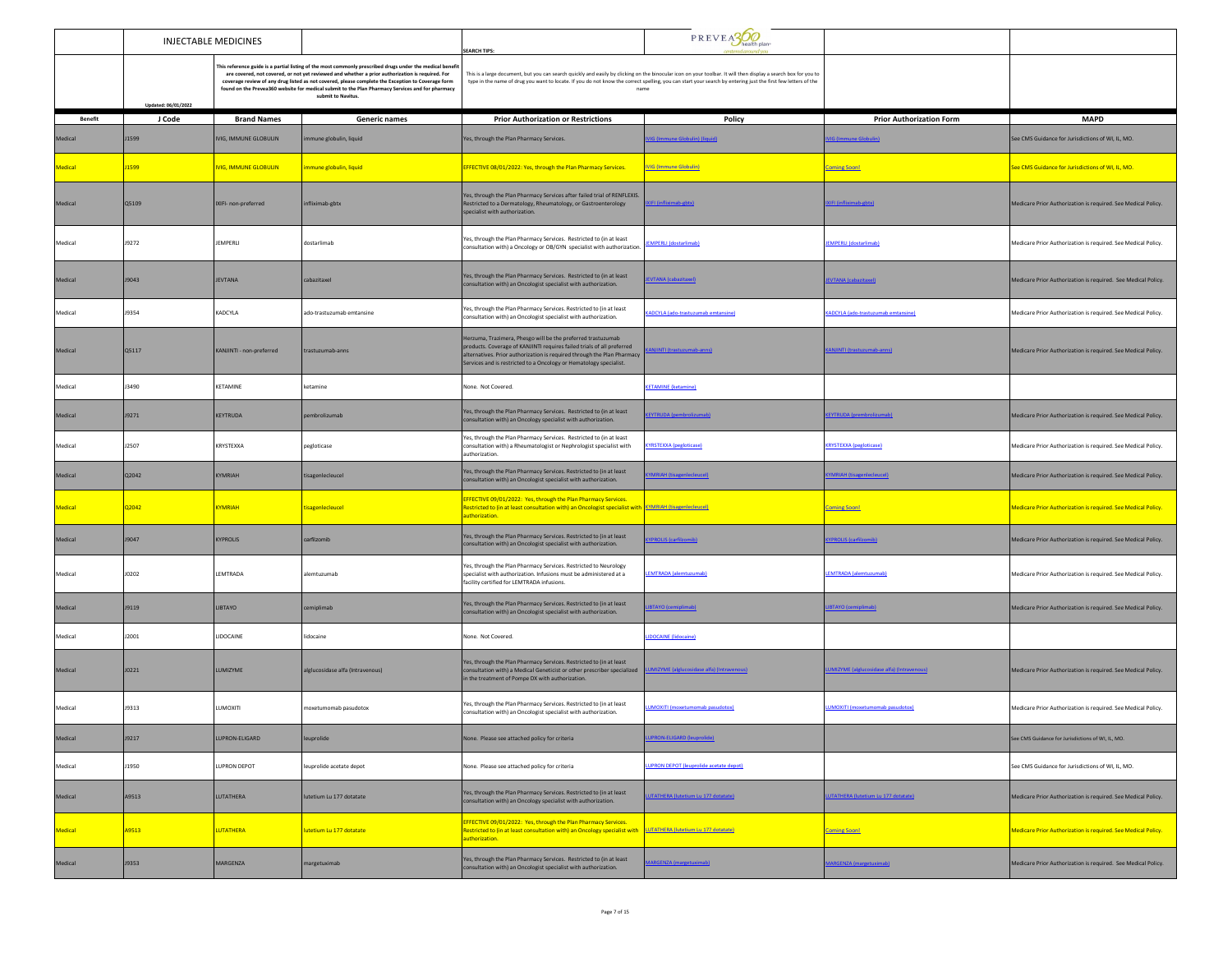|                |                     | <b>INJECTABLE MEDICINES</b>  |                                                                                                                                                                                                                                                                                                                                                                                                                                              | PREVEASO<br><b>EARCH TIPS:</b>                                                                                                                                                                                                                                                                                                   |                                            |                                            |                                                               |
|----------------|---------------------|------------------------------|----------------------------------------------------------------------------------------------------------------------------------------------------------------------------------------------------------------------------------------------------------------------------------------------------------------------------------------------------------------------------------------------------------------------------------------------|----------------------------------------------------------------------------------------------------------------------------------------------------------------------------------------------------------------------------------------------------------------------------------------------------------------------------------|--------------------------------------------|--------------------------------------------|---------------------------------------------------------------|
|                | Updated: 06/01/2022 |                              | This reference guide is a partial listing of the most commonly prescribed drugs under the medical benefit<br>are covered, not covered, or not yet reviewed and whether a prior authorization is required. For<br>coverage review of any drug listed as not covered, please complete the Exception to Coverage form<br>found on the Prevea360 website for medical submit to the Plan Pharmacy Services and for pharmacy<br>submit to Navitus. | This is a large document, but you can search quickly and easily by clicking on the binocular icon on your toolbar. It will then display a search box for you to<br>type in the name of drug you want to locate. If you do not know the correct spelling, you can start your search by entering just the first few letters of the |                                            |                                            |                                                               |
| <b>Benefit</b> | J Code              | <b>Brand Names</b>           | Generic names                                                                                                                                                                                                                                                                                                                                                                                                                                | <b>Prior Authorization or Restrictions</b>                                                                                                                                                                                                                                                                                       | Policy                                     | <b>Prior Authorization Form</b>            | <b>MAPD</b>                                                   |
| Medical        | J1599               | IVIG, IMMUNE GLOBULIN        | une globulin, liquid                                                                                                                                                                                                                                                                                                                                                                                                                         | Yes, through the Plan Pharmacy Services.                                                                                                                                                                                                                                                                                         | <b>IG (Immune Globulin) (liquid</b>        | <b>IG (Immune Globulin)</b>                | See CMS Guidance for Jurisdictions of WI, IL, MO.             |
| Medical        | J1599               | <b>IVIG, IMMUNE GLOBULIN</b> | nmune globulin, liquid                                                                                                                                                                                                                                                                                                                                                                                                                       | EFFECTIVE 08/01/2022: Yes, through the Plan Pharmacy Services.                                                                                                                                                                                                                                                                   | <b>IVIG (Immune Globulin)</b>              | <b>Coming Soon!</b>                        | See CMS Guidance for Jurisdictions of WI, IL, MO.             |
| Medical        | 05109               | IXIFI- non-preferred         | infliximab-gbtx                                                                                                                                                                                                                                                                                                                                                                                                                              | Yes, through the Plan Pharmacy Services after failed trial of RENFLEXIS.<br>Restricted to a Dermatology, Rheumatology, or Gastroenterology<br>specialist with authorization.                                                                                                                                                     | FI (infliximab-ebtx)                       | <b>IFI (infliximab-ebb)</b>                | Medicare Prior Authorization is required. See Medical Policy. |
| Medical        | J9272               | <b>JEMPERLI</b>              | dostarlimab                                                                                                                                                                                                                                                                                                                                                                                                                                  | Yes, through the Plan Pharmacy Services. Restricted to (in at least<br>consultation with) a Oncology or OB/GYN specialist with authorization.                                                                                                                                                                                    | <b>EMPERLI (dostarlimab)</b>               | <b>JEMPERLI (dostarlimab)</b>              | Medicare Prior Authorization is required. See Medical Policy. |
| Medical        | J9043               | <b>JEVTANA</b>               | cabazitaxel                                                                                                                                                                                                                                                                                                                                                                                                                                  | Yes, through the Plan Pharmacy Services. Restricted to (in at least<br>consultation with) an Oncologist specialist with authorization.                                                                                                                                                                                           | <b>EVTANA</b> (cabazitaxel)                | JEVTANA (cabazitaxel)                      | Medicare Prior Authorization is required. See Medical Policy. |
| Medical        | <b>J9354</b>        | KADCYLA                      | ado-trastuzumab emtansine                                                                                                                                                                                                                                                                                                                                                                                                                    | Yes, through the Plan Pharmacy Services. Restricted to (in at least<br>consultation with) an Oncologist specialist with authorization.                                                                                                                                                                                           | ADCYLA (ado-trastuzumab emtansine)         | KADCYLA (ado-trastuzumab emtansine)        | Medicare Prior Authorization is required. See Medical Policy. |
| Medical        | 05117               | KANJINTI - non-preferred     | trastuzumah-anns                                                                                                                                                                                                                                                                                                                                                                                                                             | Herzuma, Trazimera, Phesgo will be the preferred trastuzumab<br>products. Coverage of KANJINTI requires failed trials of all preferred<br>alternatives. Prior authorization is required through the Plan Pharmacy<br>Services and is restricted to a Oncology or Hematology specialist.                                          | <b>ANJINTI (trastuzumab-anns)</b>          | <b>ANJINTI (trastuzumab-anns</b>           | Medicare Prior Authorization is required. See Medical Policy. |
| Medical        | J3490               | KETAMINE                     | ketamine                                                                                                                                                                                                                                                                                                                                                                                                                                     | None. Not Covered.                                                                                                                                                                                                                                                                                                               | <b>ETAMINE</b> (ketamine)                  |                                            |                                                               |
| Medical        | J9271               | KEYTRUDA                     | pembrolizumab                                                                                                                                                                                                                                                                                                                                                                                                                                | Yes, through the Plan Pharmacy Services. Restricted to (in at least<br>consultation with) an Oncology specialist with authorization.                                                                                                                                                                                             | EYTRUDA (pembrolizumab)                    | <b>EYTRUDA (prembrolizumab)</b>            | Medicare Prior Authorization is required. See Medical Policy. |
| Medical        | J2507               | KRYSTEXXA                    | pegloticase                                                                                                                                                                                                                                                                                                                                                                                                                                  | Yes, through the Plan Pharmacy Services. Restricted to (in at least<br>consultation with) a Rheumatologist or Nephrologist specialist with<br>authorization.                                                                                                                                                                     | <b>KYRSTEXXA (pegloticase)</b>             | <b>KRYSTEXXA (pegloticase)</b>             | Medicare Prior Authorization is required. See Medical Policy. |
| Medical        | Q2042               | KYMRIAH                      | tisagenlecleucel                                                                                                                                                                                                                                                                                                                                                                                                                             | Yes, through the Plan Pharmacy Services. Restricted to (in at least<br>consultation with) an Oncologist specialist with authorization.                                                                                                                                                                                           | <b>AH (tisagenlecleucel</b>                | <b>MRIAH (tisagenlecleucel</b>             | Medicare Prior Authorization is required. See Medical Policy. |
| Medical        | Q2042               | <b>KYMRIAH</b>               | tisagenlecleucel                                                                                                                                                                                                                                                                                                                                                                                                                             | EFFECTIVE 09/01/2022: Yes, through the Plan Pharmacy Services.<br>Restricted to (in at least consultation with) an Oncologist specialist with <b>KYMRIAH (tisagenlecleucel)</b><br>authorization.                                                                                                                                |                                            | <b>Coming Soon!</b>                        | Medicare Prior Authorization is required. See Medical Policy. |
| Medical        | J9047               | <b>KYPROLIS</b>              | carfilzomib                                                                                                                                                                                                                                                                                                                                                                                                                                  | Yes, through the Plan Pharmacy Services. Restricted to (in at least<br>consultation with) an Oncologist specialist with authorization.                                                                                                                                                                                           | <b>YPROLIS (carfilzomib)</b>               | <b>YPROLIS (carfilzomib)</b>               | Medicare Prior Authorization is required. See Medical Policy. |
| Medical        | J0202               | LEMTRADA                     | alemtuzumab                                                                                                                                                                                                                                                                                                                                                                                                                                  | Yes, through the Plan Pharmacy Services. Restricted to Neurology<br>specialist with authorization. Infusions must be administered at a<br>facility certified for LEMTRADA infusions.                                                                                                                                             | <b>LEMTRADA</b> (alemtuzumab)              | LEMTRADA (alemtuzumab)                     | Medicare Prior Authorization is required. See Medical Policy. |
| Medical        | J9119               | <b>LIBTAYO</b>               | cemiplimab                                                                                                                                                                                                                                                                                                                                                                                                                                   | Yes, through the Plan Pharmacy Services. Restricted to (in at least<br>consultation with) an Oncologist specialist with authorization.                                                                                                                                                                                           |                                            | <b>BTAYO (cemiplimab)</b>                  | Medicare Prior Authorization is required. See Medical Policy. |
| Medical        | J2001               | LIDOCAINE                    | lidocaine                                                                                                                                                                                                                                                                                                                                                                                                                                    | None. Not Covered                                                                                                                                                                                                                                                                                                                | <b>DOCAINE</b> (lidocaine)                 |                                            |                                                               |
| Medical        | J0221               | LUMIZYME                     | alglucosidase alfa (Intravenous)                                                                                                                                                                                                                                                                                                                                                                                                             | Yes, through the Plan Pharmacy Services. Restricted to (in at least<br>consultation with) a Medical Geneticist or other prescriber specialized<br>in the treatment of Pompe DX with authorization.                                                                                                                               | MIZYME (alglucosidase alfa) (Intr          | <b>IMIZYME (alglucosidase alfa) (Intra</b> | Medicare Prior Authorization is required. See Medical Policy. |
| Medical        | J9313               | LUMOXITI                     | moxetumomab pasudotox                                                                                                                                                                                                                                                                                                                                                                                                                        | Yes, through the Plan Pharmacy Services. Restricted to (in at least<br>consultation with) an Oncologist specialist with authorization.                                                                                                                                                                                           | <b>UMOXITI (moxetumomab pasudotox)</b>     | <b>UMOXITI (moxetumomab pasudotox)</b>     | Medicare Prior Authorization is required. See Medical Policy. |
| Medical        | J9217               | LUPRON-ELIGARD               | leuprolide                                                                                                                                                                                                                                                                                                                                                                                                                                   | None. Please see attached policy for criteria                                                                                                                                                                                                                                                                                    | UPRON-ELIGARD (leuprolide)                 |                                            | See CMS Guidance for Jurisdictions of WLIL MO                 |
| Medical        | J1950               | LUPRON DEPOT                 | leuprolide acetate depot                                                                                                                                                                                                                                                                                                                                                                                                                     | None. Please see attached policy for criteria                                                                                                                                                                                                                                                                                    | LUPRON DEPOT (leuprolide acetate depot)    |                                            | See CMS Guidance for Jurisdictions of WI, IL, MO.             |
| Medical        | A9513               | LUTATHERA                    | lutetium Lu 177 dotatate                                                                                                                                                                                                                                                                                                                                                                                                                     | Yes, through the Plan Pharmacy Services. Restricted to (in at least<br>consultation with) an Oncology specialist with authorization.                                                                                                                                                                                             | <b>UTATHERA</b> (lutetium Lu 177 dotatate) | <b>UTATHERA (lutetium Lu 177 dotatate)</b> | Medicare Prior Authorization is required. See Medical Policy. |
| Medical        | A9513               | <b>LUTATHERA</b>             | lutetium Lu 177 dotatate                                                                                                                                                                                                                                                                                                                                                                                                                     | EFFECTIVE 09/01/2022: Yes, through the Plan Pharmacy Services.<br>Restricted to (in at least consultation with) an Oncology specialist with <b>LUTATHERA (lutetium Lu 177 dotatate)</b><br>authorization.                                                                                                                        |                                            | <b>Coming Soon!</b>                        | Medicare Prior Authorization is required. See Medical Policy. |
| Medical        | <b>J9353</b>        | MARGENZA                     | nargetuximab                                                                                                                                                                                                                                                                                                                                                                                                                                 | Yes, through the Plan Pharmacy Services. Restricted to (in at least<br>consultation with) an Oncologist specialist with authorization.                                                                                                                                                                                           | <b>ARGENZA</b> (margetuximab)              | <b>ARGENZA (margetuximab)</b>              | Medicare Prior Authorization is required. See Medical Policy. |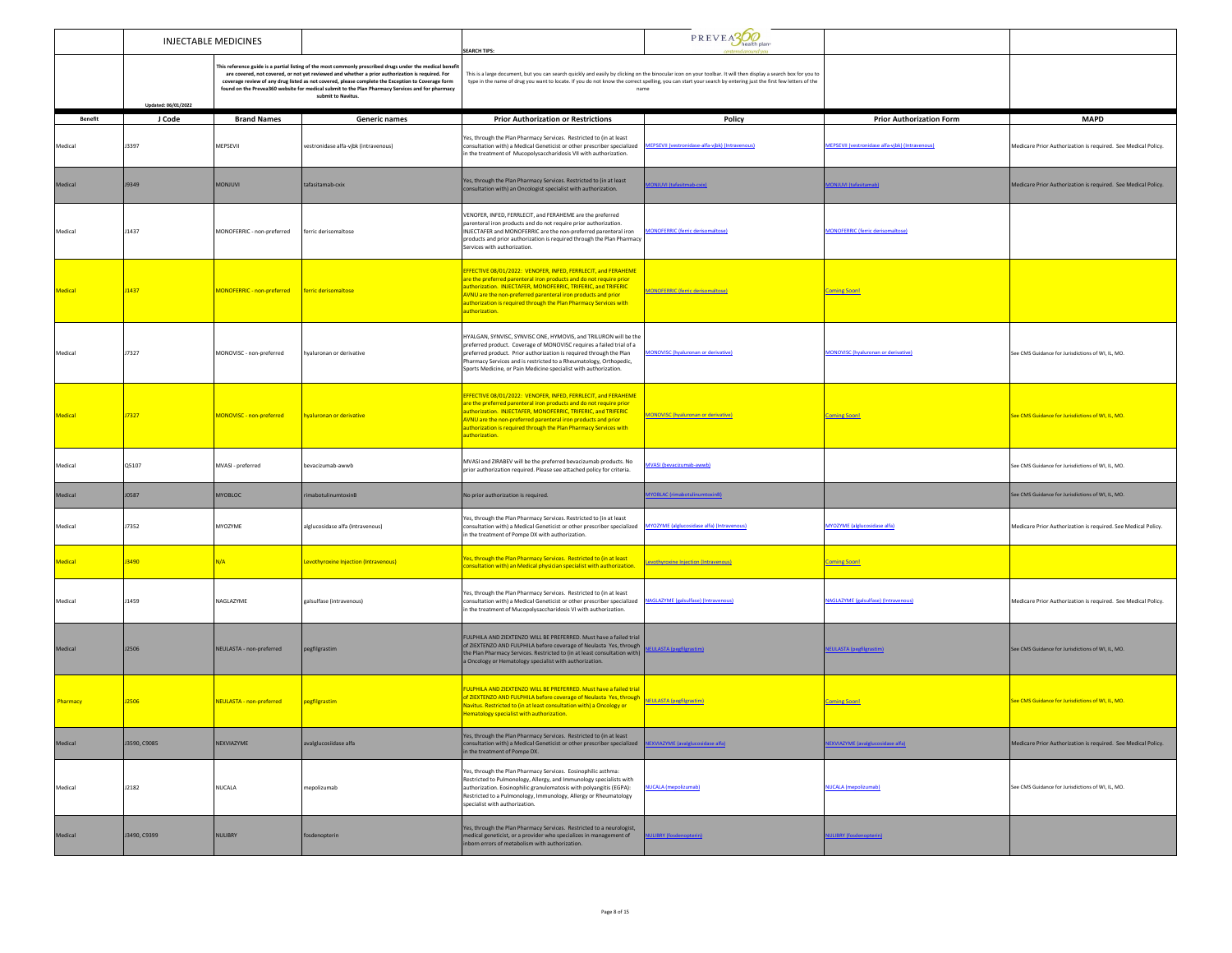|                | <b>INJECTABLE MEDICINES</b> |                                 |                                                                                                                                                                                                                                                                                                                                                                                                                                             | <b>SEARCH TIPS:</b>                                                                                                                                                                                                                                                                                                                                           | PREVEA300                                         |                                                |                                                               |
|----------------|-----------------------------|---------------------------------|---------------------------------------------------------------------------------------------------------------------------------------------------------------------------------------------------------------------------------------------------------------------------------------------------------------------------------------------------------------------------------------------------------------------------------------------|---------------------------------------------------------------------------------------------------------------------------------------------------------------------------------------------------------------------------------------------------------------------------------------------------------------------------------------------------------------|---------------------------------------------------|------------------------------------------------|---------------------------------------------------------------|
|                | Updated: 06/01/2022         |                                 | This reference guide is a partial listing of the most commonly prescribed drugs under the medical benefi<br>are covered, not covered, or not yet reviewed and whether a prior authorization is required. For<br>coverage review of any drug listed as not covered, please complete the Exception to Coverage form<br>found on the Prevea360 website for medical submit to the Plan Pharmacy Services and for pharmacy<br>submit to Navitus. | This is a large document, but you can search quickly and easily by clicking on the binocular icon on your toolbar. It will then display a search box for you to<br>type in the name of drug you want to locate. If you do not know the correct spelling, you can start your search by entering just the first few letters of the<br>name                      |                                                   |                                                |                                                               |
| <b>Benefit</b> | J Code                      | <b>Brand Names</b>              | Generic names                                                                                                                                                                                                                                                                                                                                                                                                                               | <b>Prior Authorization or Restrictions</b>                                                                                                                                                                                                                                                                                                                    | Policy                                            | <b>Prior Authorization Form</b>                | <b>MAPD</b>                                                   |
| Medical        | J3397                       | MEPSEVII                        | vestronidase alfa-vjbk (intravenous)                                                                                                                                                                                                                                                                                                                                                                                                        | Yes, through the Plan Pharmacy Services. Restricted to (in at least<br>consultation with) a Medical Geneticist or other prescriber specialized<br>n the treatment of Mucopolysaccharidosis VII with authorization.                                                                                                                                            | MEPSEVII (vestronidase-alfa-vibk) (Intravenous)   | EPSEVII (vestronidase alfa-vibk) (Intravenous) | Medicare Prior Authorization is required. See Medical Policy. |
| Medical        | J9349                       | <b>MONJUVI</b>                  | tafasitamab-cxix                                                                                                                                                                                                                                                                                                                                                                                                                            | Yes, through the Plan Pharmacy Services. Restricted to (in at least<br>consultation with) an Oncologist specialist with authorization.                                                                                                                                                                                                                        | <b>ONJUVI (tafasitmab-cxix)</b>                   | <b>ONJUVI</b> (tafasitamab)                    | Medicare Prior Authorization is required. See Medical Policy. |
| Medical        | J1437                       | MONOFERRIC - non-preferred      | ferric derisomaltose                                                                                                                                                                                                                                                                                                                                                                                                                        | VENOFER, INFED, FERRLECIT, and FERAHEME are the preferred<br>parenteral iron products and do not require prior authorization.<br>INJECTAFER and MONOFERRIC are the non-preferred parenteral iron<br>products and prior authorization is required through the Plan Pharmacy<br>Services with authorization.                                                    | <b>ONOFERRIC (ferric derisomaltose)</b>           | <b>AONOFERRIC (ferric derisomaltose)</b>       |                                                               |
| Medical        | J1437                       | MONOFERRIC - non-preferred      | ferric derisomaltose                                                                                                                                                                                                                                                                                                                                                                                                                        | EFFECTIVE 08/01/2022: VENOFER, INFED, FERRLECIT, and FERAHEME<br>are the preferred parenteral iron products and do not require prior<br>authorization. INJECTAFER, MONOFERRIC, TRIFERIC, and TRIFERIC<br>AVNU are the non-preferred parenteral iron products and prior<br>authorization is required through the Plan Pharmacy Services with<br>authorization. | <b>MONOFERRIC (ferric derisomaltose)</b>          | <b>Coming Soon</b>                             |                                                               |
| Medical        | <b>J7327</b>                | MONOVISC - non-preferred        | hvaluronan or derivative                                                                                                                                                                                                                                                                                                                                                                                                                    | HYALGAN, SYNVISC, SYNVISC ONE, HYMOVIS, and TRILURON will be the<br>preferred product. Coverage of MONOVISC requires a failed trial of a<br>preferred product. Prior authorization is required through the Plan<br>Pharmacy Services and is restricted to a Rheumatology, Orthopedic,<br>Sports Medicine, or Pain Medicine specialist with authorization.     | <b>MONOVISC (hvaluronan or derivative)</b>        | <b>MONOVISC</b> (hyaluronan or derivative)     | See CMS Guidance for Jurisdictions of WI, IL, MO.             |
| Medical        | J7327                       | MONOVISC - non-preferred        | hyaluronan or derivative                                                                                                                                                                                                                                                                                                                                                                                                                    | EFFECTIVE 08/01/2022: VENOFER, INFED, FERRLECIT, and FERAHEME<br>are the preferred parenteral iron products and do not require prior<br>authorization. INJECTAFER, MONOFERRIC, TRIFERIC, and TRIFERIC<br>AVNU are the non-preferred parenteral iron products and prior<br>authorization is required through the Plan Pharmacy Services with<br>authorization. | MONOVISC (hyaluronan or derivative)               | <b>Coming Soon!</b>                            | See CMS Guidance for Jurisdictions of WLIL MO                 |
| Medical        | Q5107                       | MVASI - preferred               | bevacizumab-awwb                                                                                                                                                                                                                                                                                                                                                                                                                            | MVASI and ZIRABEV will be the preferred bevacizumab products. No<br>prior authorization required. Please see attached policy for criteria.                                                                                                                                                                                                                    | VASI (hevacizumab-awwb)                           |                                                | See CMS Guidance for Jurisdictions of WI, IL, MO.             |
| Medical        | <b>J0587</b>                | <b>MYOBLOC</b>                  | imabotulinumtoxinB                                                                                                                                                                                                                                                                                                                                                                                                                          | No prior authorization is required.                                                                                                                                                                                                                                                                                                                           | <b>YOBLAC</b> (rimabotulinumtoxinB                |                                                | See CMS Guidance for Jurisdictions of WI, IL, MO.             |
| Medical        | J7352                       | MYOZYME                         | alglucosidase alfa (Intravenous)                                                                                                                                                                                                                                                                                                                                                                                                            | Yes, through the Plan Pharmacy Services. Restricted to (in at least<br>consultation with) a Medical Geneticist or other prescriber specialized<br>in the treatment of Pompe DX with authorization.                                                                                                                                                            | <b>MYOZYME</b> (alglucosidase alfa) (Intravenous) | <b>MYOZYME</b> (alglucosidase alfa)            | Medicare Prior Authorization is required. See Medical Policy. |
| Medical        | J3490                       | N/A                             | Levothyroxine Injection (Intravenous)                                                                                                                                                                                                                                                                                                                                                                                                       | Yes, through the Plan Pharmacy Services. Restricted to (in at least<br>consultation with) an Medical physician specialist with authorization.                                                                                                                                                                                                                 | Levothyroxine Injection (Intravenous)             | <b>Coming Soon!</b>                            |                                                               |
| Medical        | J1459                       | NAGLAZYME                       | galsulfase (intravenous)                                                                                                                                                                                                                                                                                                                                                                                                                    | Yes, through the Plan Pharmacy Services. Restricted to (in at least<br>consultation with) a Medical Geneticist or other prescriber specialized<br>in the treatment of Mucopolysaccharidosis VI with authorization.                                                                                                                                            | <b>NAGLAZYME</b> (galsulfase) (Intravenous)       | <b>NAGLAZYME</b> (galsulfase) (Intravenous)    | Medicare Prior Authorization is required. See Medical Policy. |
| Medical        | J2506                       | NEULASTA - non-preferred        | pegfilgrastim                                                                                                                                                                                                                                                                                                                                                                                                                               | FULPHILA AND ZIEXTENZO WILL BE PREFERRED. Must have a failed trial<br>of ZIEXTENZO AND FULPHILA before coverage of Neulasta Yes, through<br>the Plan Pharmacy Services. Restricted to (in at least consultation with)<br>a Oncology or Hematology specialist with authorization.                                                                              | <b>EULASTA</b> (pegfilgrastim)                    | <b>EULASTA</b> (pegfilgrastim)                 | See CMS Guidance for Jurisdictions of WI. IL. MO.             |
| Pharmacy       | <b>J2506</b>                | <b>NEULASTA - non-preferred</b> | pegfilgrastim                                                                                                                                                                                                                                                                                                                                                                                                                               | FULPHILA AND ZIEXTENZO WILL BE PREFERRED. Must have a failed trial<br>of ZIEXTENZO AND FULPHILA before coverage of Neulasta Yes, through<br>Navitus. Restricted to (in at least consultation with) a Oncology or<br>ematology specialist with authorization.                                                                                                  | NEULASTA (pegfilgrastim)                          | <b>Coming Soon!</b>                            | See CMS Guidance for Jurisdictions of WI. IL. MO.             |
| Medical        | J3590, C9085                | NEXVIAZYME                      | avalglucosiidase alfa                                                                                                                                                                                                                                                                                                                                                                                                                       | Yes, through the Plan Pharmacy Services. Restricted to (in at least<br>consultation with) a Medical Geneticist or other prescriber specialized NEXVIAZYME (avalglucosidase alfa)<br>in the treatment of Pompe DX.                                                                                                                                             |                                                   | <b>EXVIAZYME</b> (avaiglucosidase alfa)        | Medicare Prior Authorization is required. See Medical Policy. |
| Medical        | J2182                       | NUCALA                          | mepolizumab                                                                                                                                                                                                                                                                                                                                                                                                                                 | Yes, through the Plan Pharmacy Services. Eosinophilic asthma:<br>Restricted to Pulmonology, Allergy, and Immunology specialists with<br>authorization. Eosinophilic granulomatosis with polyangitis (EGPA):<br>Restricted to a Pulmonology, Immunology, Allergy or Rheumatology<br>specialist with authorization.                                             | <b>NUCALA</b> (mepolizumab)                       | <b>VUCALA</b> (mepolizumab)                    | See CMS Guidance for Jurisdictions of WI, IL, MO.             |
| Medical        | J3490, C9399                | <b>NULIBRY</b>                  | fosdenopterin                                                                                                                                                                                                                                                                                                                                                                                                                               | Yes, through the Plan Pharmacy Services. Restricted to a neurologist,<br>medical geneticist, or a provider who specializes in management of<br>nborn errors of metabolism with authorization.                                                                                                                                                                 | <b>JLIBRY</b> (fosdenopterin)                     | <b>ULIBRY (fosdenopterin)</b>                  |                                                               |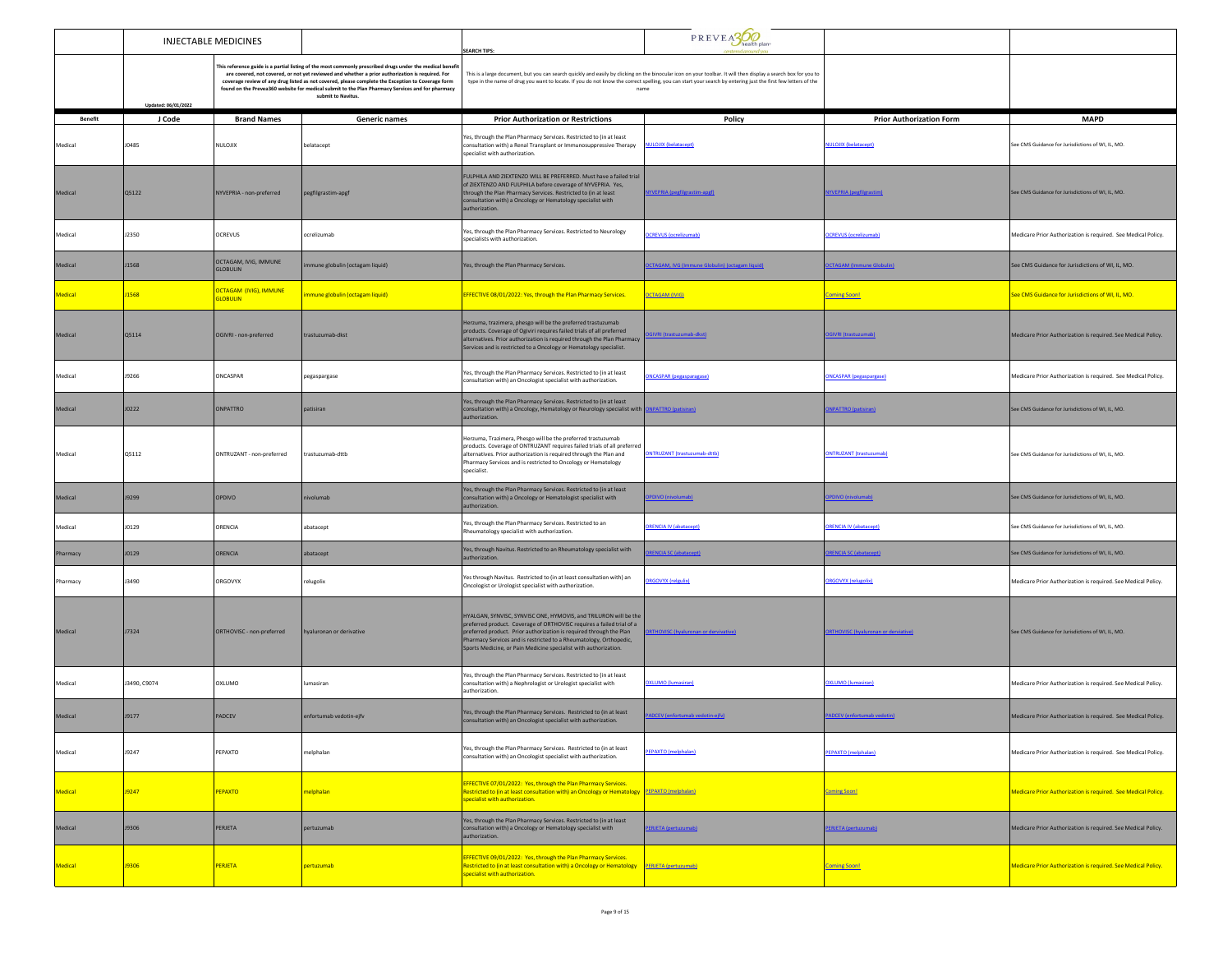|                |                     | <b>INJECTABLE MEDICINES</b>                                                                                                                                                                                                                                                                                                                                                                                                                  |                                 | <b>SEARCH TIPS:</b>                                                                                                                                                                                                                                                                                                                                        | PREVEAS                                                |                                            |                                                                      |
|----------------|---------------------|----------------------------------------------------------------------------------------------------------------------------------------------------------------------------------------------------------------------------------------------------------------------------------------------------------------------------------------------------------------------------------------------------------------------------------------------|---------------------------------|------------------------------------------------------------------------------------------------------------------------------------------------------------------------------------------------------------------------------------------------------------------------------------------------------------------------------------------------------------|--------------------------------------------------------|--------------------------------------------|----------------------------------------------------------------------|
|                | Updated: 06/01/2022 | This reference guide is a partial listing of the most commonly prescribed drugs under the medical benefit<br>are covered, not covered, or not yet reviewed and whether a prior authorization is required. For<br>coverage review of any drug listed as not covered, please complete the Exception to Coverage form<br>found on the Prevea360 website for medical submit to the Plan Pharmacy Services and for pharmacy<br>submit to Navitus. |                                 | This is a large document, but you can search quickly and easily by clicking on the binocular icon on your toolbar. It will then display a search box for you to<br>type in the name of drug you want to locate. If you do not know the correct spelling, you can start your search by entering just the first few letters of the<br>name                   |                                                        |                                            |                                                                      |
| <b>Benefit</b> | J Code              | <b>Brand Names</b>                                                                                                                                                                                                                                                                                                                                                                                                                           | <b>Generic names</b>            | <b>Prior Authorization or Restrictions</b>                                                                                                                                                                                                                                                                                                                 | Policy                                                 | <b>Prior Authorization Form</b>            | <b>MAPD</b>                                                          |
| Medical        | <b>J0485</b>        | NULOJIX                                                                                                                                                                                                                                                                                                                                                                                                                                      | belatacept                      | Yes, through the Plan Pharmacy Services. Restricted to (in at least<br>consultation with) a Renal Transplant or Immunosuppressive Therapy<br>specialist with authorization.                                                                                                                                                                                | <b>NULOJIX (belatacept)</b>                            | NULOJIX (belatacept)                       | See CMS Guidance for Jurisdictions of WI, IL, MO.                    |
| Medical        | Q5122               | NYVEPRIA - non-preferred                                                                                                                                                                                                                                                                                                                                                                                                                     | pegfilgrastim-apgf              | FULPHILA AND ZIEXTENZO WILL BE PREFERRED. Must have a failed trial<br>of ZIEXTENZO AND FULPHILA before coverage of NYVEPRIA. Yes,<br>through the Plan Pharmacy Services. Restricted to (in at least<br>consultation with) a Oncology or Hematology specialist with<br>authorization.                                                                       | NYVEPRIA (pegfilgrastim-apgf)                          | <b>VYVEPRIA</b> (pegfilgrastim)            | See CMS Guidance for Jurisdictions of WI, IL, MO.                    |
| Medical        | J2350               | OCREVUS                                                                                                                                                                                                                                                                                                                                                                                                                                      | ocrelizumab                     | Yes, through the Plan Pharmacy Services. Restricted to Neurology<br>specialists with authorization.                                                                                                                                                                                                                                                        | <b>OCREVUS</b> (ocrelizumab)                           | <b>DCREVUS</b> (ocrelizumab)               | Medicare Prior Authorization is required. See Medical Policy.        |
| Medical        | J1568               | OCTAGAM, IVIG, IMMUNE<br><b>GLOBULIN</b>                                                                                                                                                                                                                                                                                                                                                                                                     | nmune globulin (octagam liquid) | Yes, through the Plan Pharmacy Services.                                                                                                                                                                                                                                                                                                                   | <b>ICTAGAM, IVG (Immune Globulin) (octagam liquid)</b> | <b>CTAGAM</b> (Immune Globulin)            | See CMS Guidance for Jurisdictions of WI, IL, MO.                    |
| <b>Medical</b> | <b>J1568</b>        | <b>OCTAGAM (IVIG), IMMUNE</b><br><b>GLOBULIN</b>                                                                                                                                                                                                                                                                                                                                                                                             | mmune globulin (octagam liquid) | EFFECTIVE 08/01/2022: Yes, through the Plan Pharmacy Services.                                                                                                                                                                                                                                                                                             | <b>OCTAGAM (IVIG)</b>                                  | <b>Coming Soon!</b>                        | See CMS Guidance for Jurisdictions of WI, IL, MO.                    |
| Medical        | Q5114               | OGIVRI - non-preferred                                                                                                                                                                                                                                                                                                                                                                                                                       | trastuzumab-dkst                | Herzuma, trazimera, phesgo will be the preferred trastuzumab<br>products. Coverage of Ogiviri requires failed trials of all preferred<br>alternatives. Prior authorization is required through the Plan Pharmacy<br>Services and is restricted to a Oncology or Hematology specialist.                                                                     | i IVRI (trastuzumab-dkst                               | GIVRI (trastuzun                           | Medicare Prior Authorization is required. See Medical Policy.        |
| Medical        | <b>J9266</b>        | ONCASPAR                                                                                                                                                                                                                                                                                                                                                                                                                                     | pegaspargase                    | Yes, through the Plan Pharmacy Services. Restricted to (in at least<br>consultation with) an Oncologist specialist with authorization.                                                                                                                                                                                                                     | <b>ONCASPAR (pegasparagase)</b>                        | <b>ONCASPAR (pegaspargase)</b>             | Medicare Prior Authorization is required. See Medical Policy.        |
| Medical        | J0222               | <b>ONPATTRO</b>                                                                                                                                                                                                                                                                                                                                                                                                                              | patisiran                       | Yes, through the Plan Pharmacy Services. Restricted to (in at least<br>consultation with) a Oncology, Hematology or Neurology specialist with ONPATTRO (patisiran)<br>authorization.                                                                                                                                                                       |                                                        | <b>NPATTRO</b> (patisiran)                 | See CMS Guidance for Jurisdictions of WI, IL, MO.                    |
| Medical        | Q5112               | ONTRUZANT - non-preferred                                                                                                                                                                                                                                                                                                                                                                                                                    | trastuzumab-dttb                | Herzuma, Trazimera, Phesgo will be the preferred trastuzumab<br>products. Coverage of ONTRUZANT requires failed trials of all preferred<br>alternatives. Prior authorization is required through the Plan and<br>Pharmacy Services and is restricted to Oncology or Hematology<br>specialist.                                                              | ONTRUZANT (trastuzumab-dttb)                           | <b>ONTRUZANT</b> (trastuzumab)             | See CMS Guidance for Jurisdictions of WI, IL, MO.                    |
| Medical        | <b>J9299</b>        | <b>OPDIVO</b>                                                                                                                                                                                                                                                                                                                                                                                                                                | nivolumab                       | Yes, through the Plan Pharmacy Services. Restricted to (in at least<br>consultation with) a Oncology or Hematologist specialist with<br>authorization.                                                                                                                                                                                                     | PDIVO (nivolumab)                                      | PDIVO (nivolumab)                          | See CMS Guidance for Jurisdictions of WI, IL, MO.                    |
| Medical        | J0129               | ORENCIA                                                                                                                                                                                                                                                                                                                                                                                                                                      | abatacept                       | Yes, through the Plan Pharmacy Services. Restricted to an<br>Rheumatology specialist with authorization.                                                                                                                                                                                                                                                   | <b>RENCIA IV (abatacept)</b>                           | <b>RENCIA IV (abatacept)</b>               | ee CMS Guidance for Jurisdictions of WI, IL, MO.                     |
| Pharmacy       | J0129               | ORENCIA                                                                                                                                                                                                                                                                                                                                                                                                                                      | abatacept                       | Yes, through Navitus. Restricted to an Rheumatology specialist with<br>authorization.                                                                                                                                                                                                                                                                      | <b>RENCIA SC (abatacept)</b>                           | <b>RENCIA SC (abatacept)</b>               | See CMS Guidance for Jurisdictions of WI, IL, MO.                    |
| Pharmacy       | J3490               | ORGOVYX                                                                                                                                                                                                                                                                                                                                                                                                                                      | relugolix                       | Yes through Navitus. Restricted to (in at least consultation with) an<br>Oncologist or Urologist specialist with authorization.                                                                                                                                                                                                                            | <b>RGOVYX (relgulix)</b>                               | RGOVYX (relugolix)                         | Medicare Prior Authorization is required. See Medical Policy.        |
| Medical        | <b>J7324</b>        | ORTHOVISC - non-preferred                                                                                                                                                                                                                                                                                                                                                                                                                    | hyaluronan or derivative        | HYALGAN, SYNVISC, SYNVISC ONE, HYMOVIS, and TRILURON will be the<br>preferred product. Coverage of ORTHOVISC requires a failed trial of a<br>preferred product. Prior authorization is required through the Plan<br>Pharmacy Services and is restricted to a Rheumatology, Orthopedic,<br>Sports Medicine, or Pain Medicine specialist with authorization. | <b>RTHOVISC (hyaluronan or dervivative</b>             | <b>RTHOVISC (hyaluronan or derviative)</b> | See CMS Guidance for Jurisdictions of WI. IL. MO.                    |
| Medical        | J3490, C9074        | OXLUMO                                                                                                                                                                                                                                                                                                                                                                                                                                       | lumasiran                       | Yes, through the Plan Pharmacy Services. Restricted to (in at least<br>consultation with) a Nephrologist or Urologist specialist with<br>authorization                                                                                                                                                                                                     | <b>XLUMO</b> (lumasiran)                               | <b>DXLUMO</b> (lumasiran)                  | Medicare Prior Authorization is required. See Medical Policy.        |
| Medical        | <b>J9177</b>        | PADCEV                                                                                                                                                                                                                                                                                                                                                                                                                                       | enfortumab vedotin-ejfv         | Yes, through the Plan Pharmacy Services. Restricted to (in at least<br>consultation with) an Oncologist specialist with authorization.                                                                                                                                                                                                                     | ADCEV (enfortumab vedotin-eify)                        | ADCEV (enfortumab vedotin                  | Medicare Prior Authorization is required. See Medical Policy.        |
| Medical        | J9247               | PEPAXTO                                                                                                                                                                                                                                                                                                                                                                                                                                      | melphalan                       | Yes, through the Plan Pharmacy Services. Restricted to (in at least<br>consultation with) an Oncologist specialist with authorization.                                                                                                                                                                                                                     | PEPAXTO (melphalan)                                    | <b>PEPAXTO</b> (melphalan)                 | Medicare Prior Authorization is required. See Medical Policy.        |
| <b>Medical</b> | J9247               | PEPAXTO                                                                                                                                                                                                                                                                                                                                                                                                                                      | melphalan                       | EFFECTIVE 07/01/2022: Yes, through the Plan Pharmacy Services.<br>Restricted to (in at least consultation with) an Oncology or Hematology PEPAXTO (melphalan)<br>specialist with authorization.                                                                                                                                                            |                                                        | <b>Coming Soon!</b>                        | Medicare Prior Authorization is required. See Medical Policy.        |
| Medical        | <b>J9306</b>        | PERJETA                                                                                                                                                                                                                                                                                                                                                                                                                                      | pertuzumab                      | Yes, through the Plan Pharmacy Services. Restricted to (in at least<br>consultation with) a Oncology or Hematology specialist with<br>authorization.                                                                                                                                                                                                       | ERJETA (pertuzumab)                                    | <b>ERJETA</b> (pertuzumab)                 | Medicare Prior Authorization is required. See Medical Policy.        |
| <b>Medical</b> | <b>J9306</b>        | <b>PERJETA</b>                                                                                                                                                                                                                                                                                                                                                                                                                               | pertuzumab                      | EFFECTIVE 09/01/2022: Yes, through the Plan Pharmacy Services.<br>Restricted to (in at least consultation with) a Oncology or Hematology PERJETA (pertuzumab)<br>specialist with authorization.                                                                                                                                                            |                                                        | <b>Coming Soon!</b>                        | <b>Medicare Prior Authorization is required. See Medical Policy.</b> |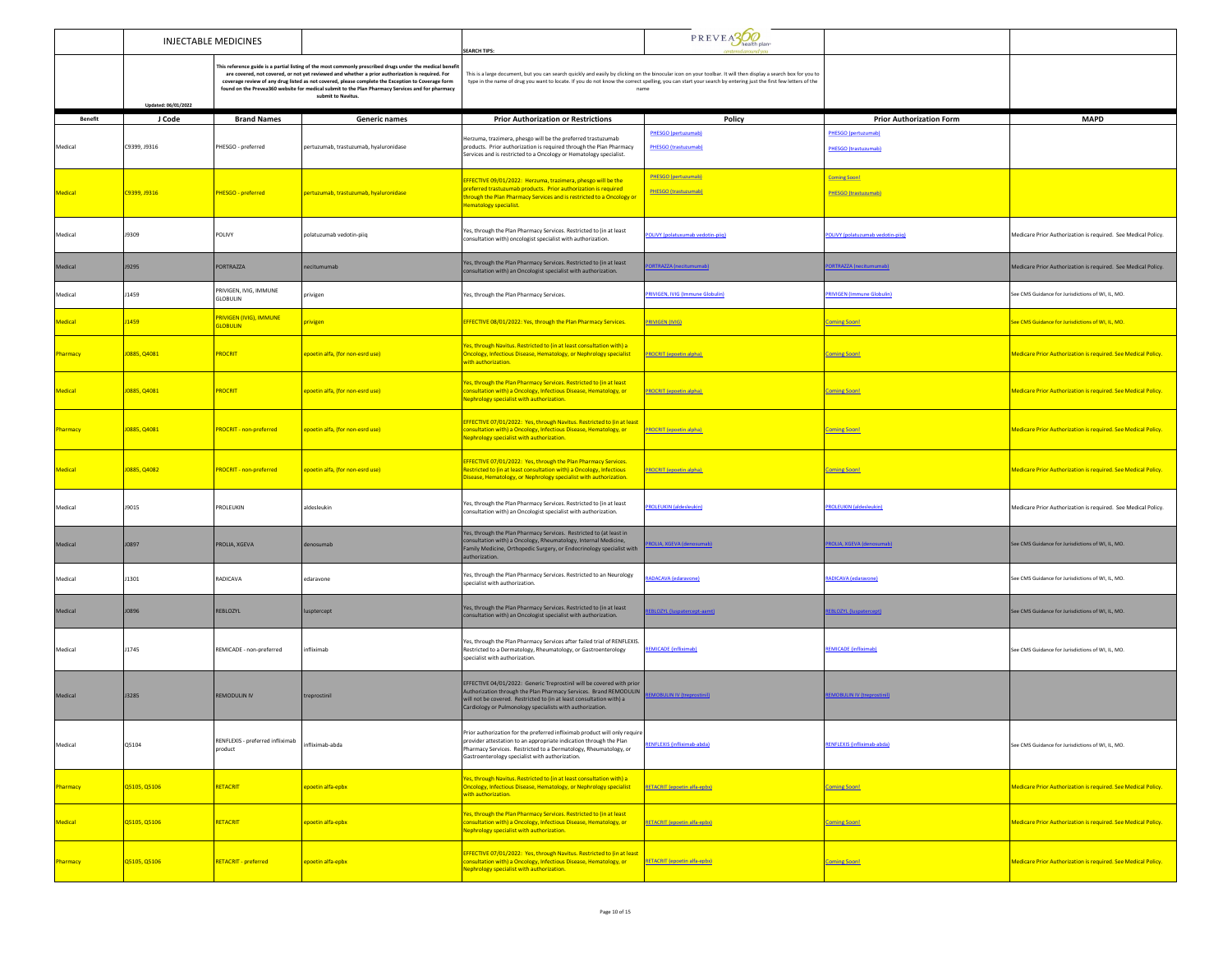|                | INJECTABLE MEDICINES |                                             |                                                                                                                                                                                                                                                                                                                                                                                                                                             | <b>EARCH TIPS:</b>                                                                                                                                                                                                                                                             | PREVEA300                                                                                                                                                                                                                                                                                                                                |                                                           |                                                                      |
|----------------|----------------------|---------------------------------------------|---------------------------------------------------------------------------------------------------------------------------------------------------------------------------------------------------------------------------------------------------------------------------------------------------------------------------------------------------------------------------------------------------------------------------------------------|--------------------------------------------------------------------------------------------------------------------------------------------------------------------------------------------------------------------------------------------------------------------------------|------------------------------------------------------------------------------------------------------------------------------------------------------------------------------------------------------------------------------------------------------------------------------------------------------------------------------------------|-----------------------------------------------------------|----------------------------------------------------------------------|
|                | Updated: 06/01/2022  |                                             | This reference guide is a partial listing of the most commonly prescribed drugs under the medical benefi<br>are covered, not covered, or not yet reviewed and whether a prior authorization is required. For<br>coverage review of any drug listed as not covered, please complete the Exception to Coverage form<br>found on the Prevea360 website for medical submit to the Plan Pharmacy Services and for pharmacy<br>submit to Navitus. |                                                                                                                                                                                                                                                                                | This is a large document, but you can search quickly and easily by clicking on the binocular icon on your toolbar. It will then display a search box for you to<br>type in the name of drug you want to locate. If you do not know the correct spelling, you can start your search by entering just the first few letters of the<br>name |                                                           |                                                                      |
| <b>Benefit</b> | J Code               | <b>Brand Names</b>                          | <b>Generic names</b>                                                                                                                                                                                                                                                                                                                                                                                                                        | <b>Prior Authorization or Restrictions</b>                                                                                                                                                                                                                                     | Policy                                                                                                                                                                                                                                                                                                                                   | <b>Prior Authorization Form</b>                           | <b>MAPD</b>                                                          |
| Medical        | C9399, J9316         | PHESGO - preferred                          | pertuzumab, trastuzumab, hyaluronidase                                                                                                                                                                                                                                                                                                                                                                                                      | lerzuma, trazimera, phesgo will be the preferred trastuzumab<br>products. Prior authorization is required through the Plan Pharmacy<br>Services and is restricted to a Oncology or Hematology specialist.                                                                      | PHESGO (pertuzumab)<br>PHESGO (trastuzumab)                                                                                                                                                                                                                                                                                              | <b>PHESGO (pertuzumab)</b><br><b>PHESGO</b> (trastuzumab) |                                                                      |
| Medical        | C9399, J9316         | PHESGO - preferred                          | pertuzumab, trastuzumab, hyaluronidase                                                                                                                                                                                                                                                                                                                                                                                                      | EFFECTIVE 09/01/2022: Herzuma, trazimera, phesgo will be the<br>referred trastuzumab products. Prior authorization is required<br>hrough the Plan Pharmacy Services and is restricted to a Oncology or<br>ematology specialist.                                                | PHESGO (pertuzumab)<br><b>PHESGO (trastuzumab)</b>                                                                                                                                                                                                                                                                                       | <b>Coming Soon!</b><br>PHESGO (trastuzumab)               |                                                                      |
| Medical        | J9309                | POLIVY                                      | polatuzumab vedotin-piiq                                                                                                                                                                                                                                                                                                                                                                                                                    | Yes, through the Plan Pharmacy Services. Restricted to (in at least<br>consultation with) oncologist specialist with authorization.                                                                                                                                            | OLIVY (polatuxumab vedotin-piin)                                                                                                                                                                                                                                                                                                         | POLIVY (nolatuzumah vedotin-niin)                         | Medicare Prior Authorization is required. See Medical Policy.        |
| Medical        | J9295                | PORTRAZZA                                   | necitumumab                                                                                                                                                                                                                                                                                                                                                                                                                                 | Yes, through the Plan Pharmacy Services. Restricted to (in at least<br>onsultation with) an Oncologist specialist with authorization.                                                                                                                                          | <b>RTRAZZA (necitumumab</b>                                                                                                                                                                                                                                                                                                              | <b>ORTRAZZA (necitumumab)</b>                             | Medicare Prior Authorization is required. See Medical Policy.        |
| Medical        | J1459                | PRIVIGEN, IVIG, IMMUNE<br>GLOBULIN          | privigen                                                                                                                                                                                                                                                                                                                                                                                                                                    | Yes, through the Plan Pharmacy Services.                                                                                                                                                                                                                                       | <b>PRIVIGEN, IVIG (Immune Globulin)</b>                                                                                                                                                                                                                                                                                                  | <b>PRIVIGEN (Immune Globulin)</b>                         | See CMS Guidance for Jurisdictions of WI, IL, MO.                    |
| Medical        | J1459                | PRIVIGEN (IVIG), IMMUNE<br><b>GLOBULIN</b>  | <mark>privigen</mark>                                                                                                                                                                                                                                                                                                                                                                                                                       | EFFECTIVE 08/01/2022: Yes, through the Plan Pharmacy Services.                                                                                                                                                                                                                 | <b>PRIVIGEN (IVIG)</b>                                                                                                                                                                                                                                                                                                                   | <b>Coming Soon!</b>                                       | See CMS Guidance for Jurisdictions of WI, IL, MO.                    |
| Pharmacy       | J0885, Q4081         | <b>PROCRIT</b>                              | epoetin alfa, (for non-esrd use)                                                                                                                                                                                                                                                                                                                                                                                                            | es, through Navitus. Restricted to (in at least consultation with) a<br><b>Oncology, Infectious Disease, Hematology, or Nephrology specialist</b><br>vith authorization.                                                                                                       | <b>PROCRIT</b> (epoetin alpha)                                                                                                                                                                                                                                                                                                           | <b>Coming Soon!</b>                                       | <b>Medicare Prior Authorization is required. See Medical Policy.</b> |
| Medical        | 0885, Q4081          | <b>PROCRIT</b>                              | epoetin alfa, (for non-esrd use)                                                                                                                                                                                                                                                                                                                                                                                                            | es, through the Plan Pharmacy Services. Restricted to (in at least<br>onsultation with) a Oncology, Infectious Disease, Hematology, or<br>lephrology specialist with authorization.                                                                                            | <b>PROCRIT (epoetin alpha)</b>                                                                                                                                                                                                                                                                                                           | <b>Coming Soon!</b>                                       | Medicare Prior Authorization is required. See Medical Policy.        |
| harmacy        | J0885, Q4081         | <b>PROCRIT - non-preferred</b>              | epoetin alfa, (for non-esrd use)                                                                                                                                                                                                                                                                                                                                                                                                            | FFECTIVE 07/01/2022: Yes, through Navitus. Restricted to (in at least<br>consultation with) a Oncology, Infectious Disease, Hematology, or<br><b>Vephrology specialist with authorization.</b>                                                                                 | <b>PROCRIT</b> (epoetin alpha)                                                                                                                                                                                                                                                                                                           | <b>Coming Soon!</b>                                       | Medicare Prior Authorization is required. See Medical Policy.        |
| Medical        | J0885, Q4082         | <b>PROCRIT - non-preferred</b>              | epoetin alfa, (for non-esrd use)                                                                                                                                                                                                                                                                                                                                                                                                            | <b>EFFECTIVE 07/01/2022: Yes, through the Plan Pharmacy Services.</b><br>estricted to (in at least consultation with) a Oncology, Infectious<br>Disease, Hematology, or Nephrology specialist with authorization.                                                              | <b>PROCRIT</b> (epoetin alpha)                                                                                                                                                                                                                                                                                                           | <b>Coming Soon!</b>                                       | Medicare Prior Authorization is required. See Medical Policy.        |
| Medical        | J9015                | PROLEUKIN                                   | aldesleukin                                                                                                                                                                                                                                                                                                                                                                                                                                 | Yes, through the Plan Pharmacy Services. Restricted to (in at least<br>consultation with) an Oncologist specialist with authorization.                                                                                                                                         | <b>DLEUKIN (aldesleukir</b>                                                                                                                                                                                                                                                                                                              | <b>PROLEUKIN (aldesleukin</b>                             | Medicare Prior Authorization is required. See Medical Policy.        |
| Medical        | J0897                | PROLIA, XGEVA                               | denosumab                                                                                                                                                                                                                                                                                                                                                                                                                                   | Yes, through the Plan Pharmacy Services. Restricted to (at least in<br>consultation with) a Oncology, Rheumatology, Internal Medicine,<br>amily Medicine, Orthopedic Surgery, or Endocrinology specialist with<br>uthorization.                                                | ROLIA, XGEVA (deno                                                                                                                                                                                                                                                                                                                       | ROLIA, XGEVA (denosumab)                                  | See CMS Guidance for Jurisdictions of WI, IL, MO.                    |
| Medical        | J1301                | RADICAVA                                    | edaravone                                                                                                                                                                                                                                                                                                                                                                                                                                   | Yes, through the Plan Pharmacy Services. Restricted to an Neurology<br>specialist with authorization.                                                                                                                                                                          | <b>ADACAVA</b> (edaravone)                                                                                                                                                                                                                                                                                                               | RADICAVA (edaravone)                                      | iee CMS Guidance for Jurisdictions of WI, IL, MO.                    |
| Medical        | J0896                | REBLOZYL                                    | lusptercept                                                                                                                                                                                                                                                                                                                                                                                                                                 | Yes, through the Plan Pharmacy Services. Restricted to (in at least<br>consultation with) an Oncologist specialist with authorization.                                                                                                                                         | BLOZYL (luspatercept-aamt)                                                                                                                                                                                                                                                                                                               | <b>REBLOZYL (luspatercept)</b>                            | See CMS Guidance for Jurisdictions of WI, IL, MO.                    |
| Medical        | J1745                | REMICADE - non-preferred                    | infliximab                                                                                                                                                                                                                                                                                                                                                                                                                                  | Yes, through the Plan Pharmacy Services after failed trial of RENFLEXIS.<br>Restricted to a Dermatology, Rheumatology, or Gastroenterology<br>specialist with authorization.                                                                                                   | <b>REMICADE</b> (infliximab)                                                                                                                                                                                                                                                                                                             | <b>REMICADE</b> (infliximab)                              | See CMS Guidance for Jurisdictions of WI, IL, MO.                    |
| Medical        | J3285                | <b>REMODULIN IV</b>                         | treprostinil                                                                                                                                                                                                                                                                                                                                                                                                                                | EFFECTIVE 04/01/2022: Generic Treprostinil will be covered with prior<br>Authorization through the Plan Pharmacy Services. Brand REMODULIN<br>will not be covered. Restricted to (in at least consultation with) a<br>ardiology or Pulmonology specialists with authorization. | <b>EMOBULIN IV (treprostinil)</b>                                                                                                                                                                                                                                                                                                        | <b>REMOBULIN IV (treprostinil)</b>                        |                                                                      |
| Medical        | Q5104                | RENFLEXIS - preferred infliximab<br>product | infliximab-abda                                                                                                                                                                                                                                                                                                                                                                                                                             | Prior authorization for the preferred infliximab product will only require<br>provider attestation to an appropriate indication through the Plan<br>Pharmacy Services. Restricted to a Dermatology, Rheumatology, or<br>Gastroenterology specialist with authorization.        | ENFLEXIS (infliximab-abda)                                                                                                                                                                                                                                                                                                               | <b>RENFLEXIS (infliximab-abda)</b>                        | See CMS Guidance for Jurisdictions of WI, IL, MO.                    |
| Pharmacy       | Q5105, Q5106         | RETACRIT                                    | epoetin alfa-epbx                                                                                                                                                                                                                                                                                                                                                                                                                           | Yes, through Navitus. Restricted to (in at least consultation with) a<br><b>Dncology, Infectious Disease, Hematology, or Nephrology specialist</b><br>with authorization.                                                                                                      | <b>RETACRIT (epoetin alfa-epbx)</b>                                                                                                                                                                                                                                                                                                      | <b>Coming Soon!</b>                                       | <b>Medicare Prior Authorization is required. See Medical Policy.</b> |
| Medical        | Q5105, Q5106         | <b>RETACRIT</b>                             | epoetin alfa-epbx                                                                                                                                                                                                                                                                                                                                                                                                                           | Yes, through the Plan Pharmacy Services. Restricted to (in at least<br>consultation with) a Oncology, Infectious Disease, Hematology, or<br><b>Vephrology specialist with authorization.</b>                                                                                   | <b>RETACRIT (epoetin alfa-epbx)</b>                                                                                                                                                                                                                                                                                                      | <b>Coming Soon!</b>                                       | Medicare Prior Authorization is required. See Medical Policy.        |
| Pharmacy       | Q5105, Q5106         | <b>RETACRIT - preferred</b>                 | epoetin alfa-epbx                                                                                                                                                                                                                                                                                                                                                                                                                           | EFFECTIVE 07/01/2022: Yes, through Navitus. Restricted to (in at least<br>consultation with) a Oncology, Infectious Disease, Hematology, or<br>ephrology specialist with authorization.                                                                                        | <b>RETACRIT (epoetin alfa-epbx)</b>                                                                                                                                                                                                                                                                                                      | <b>Coming Soon!</b>                                       | Medicare Prior Authorization is required. See Medical Policy.        |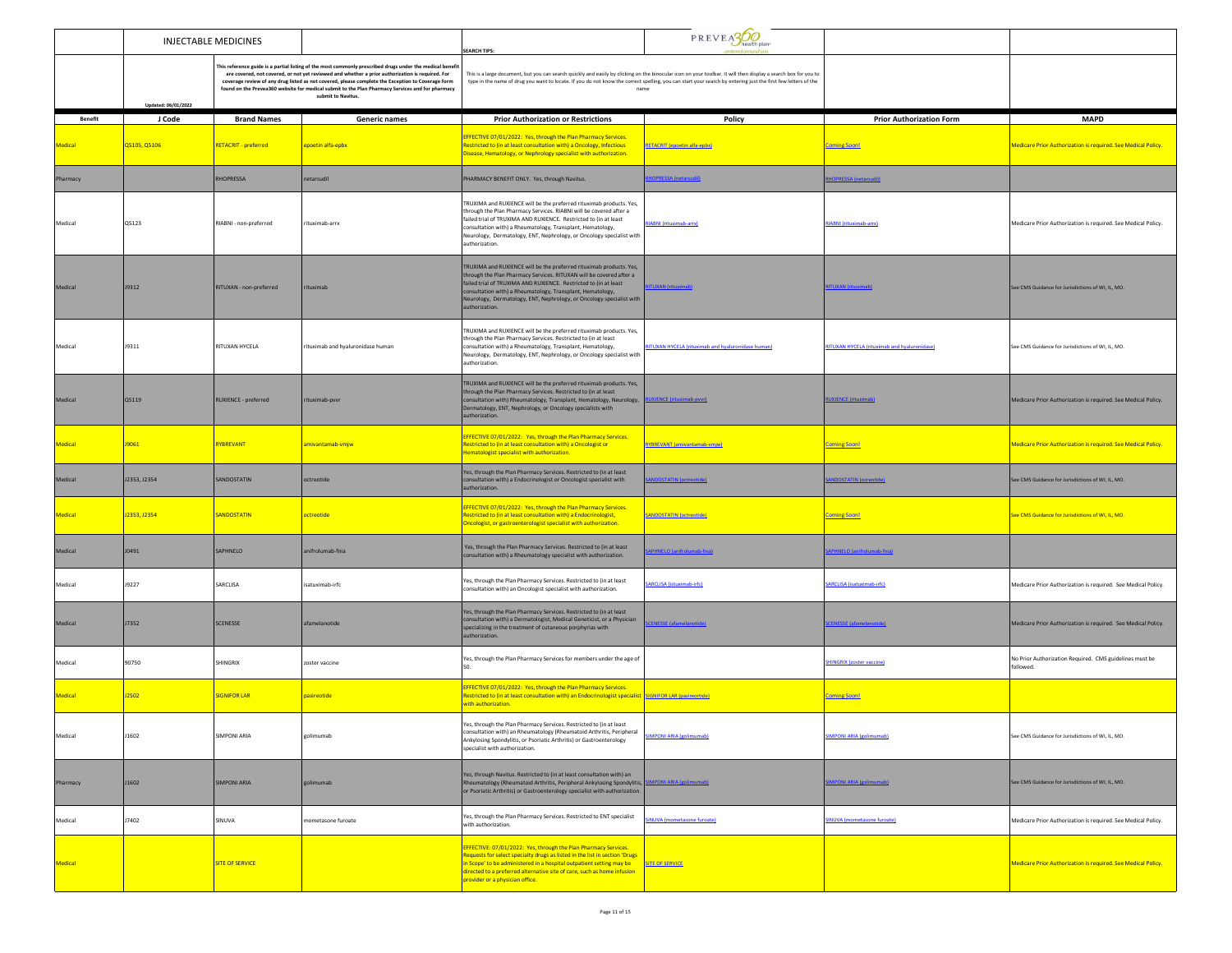|                | <b>INJECTABLE MEDICINES</b> |                             |                                                                                                                                                                                                                                                                                                                                                                                                                                            | <b>SEARCH TIPS:</b>                                                                                                                                                                                                                                                                                                                                                    | $P$ R EV E $\frac{1}{2}$ health plan:                                                                                                                                                                                                                                                                                                    |                                              |                                                                      |
|----------------|-----------------------------|-----------------------------|--------------------------------------------------------------------------------------------------------------------------------------------------------------------------------------------------------------------------------------------------------------------------------------------------------------------------------------------------------------------------------------------------------------------------------------------|------------------------------------------------------------------------------------------------------------------------------------------------------------------------------------------------------------------------------------------------------------------------------------------------------------------------------------------------------------------------|------------------------------------------------------------------------------------------------------------------------------------------------------------------------------------------------------------------------------------------------------------------------------------------------------------------------------------------|----------------------------------------------|----------------------------------------------------------------------|
|                | Updated: 06/01/2022         |                             | This reference guide is a partial listing of the most commonly prescribed drugs under the medical benefi<br>are covered, not covered, or not yet reviewed and whether a prior authorization is required. For<br>coverage review of any drug listed as not covered, please complete the Exception to Coverage form<br>found on the Prevea360 website for medical submit to the Plan Pharmacy Services and for pharmacy<br>submit to Navitus |                                                                                                                                                                                                                                                                                                                                                                        | This is a large document, but you can search quickly and easily by clicking on the binocular icon on your toolbar. It will then display a search box for you to<br>type in the name of drug you want to locate. If you do not know the correct spelling, you can start your search by entering just the first few letters of the<br>name |                                              |                                                                      |
| <b>Benefit</b> | J Code                      | <b>Brand Names</b>          | <b>Generic names</b>                                                                                                                                                                                                                                                                                                                                                                                                                       | <b>Prior Authorization or Restrictions</b>                                                                                                                                                                                                                                                                                                                             | Policy                                                                                                                                                                                                                                                                                                                                   | <b>Prior Authorization Form</b>              | <b>MAPD</b>                                                          |
| Medical        | Q5105, Q5106                | <b>RETACRIT - preferred</b> | <mark>epoetin alfa-epbx</mark>                                                                                                                                                                                                                                                                                                                                                                                                             | <b>EFFECTIVE 07/01/2022: Yes, through the Plan Pharmacy Services.</b><br>Restricted to (in at least consultation with) a Oncology, Infectious<br>isease, Hematology, or Nephrology specialist with authorization.                                                                                                                                                      | <b>RETACRIT (epoetin alfa-epbx)</b>                                                                                                                                                                                                                                                                                                      | <b>Coming Soon!</b>                          | Medicare Prior Authorization is required. See Medical Policy.        |
| Pharmacy       |                             | <b>RHOPRESSA</b>            | netarsudil                                                                                                                                                                                                                                                                                                                                                                                                                                 | PHARMACY BENEFIT ONLY. Yes, through Navitus.                                                                                                                                                                                                                                                                                                                           | <b>IOPRESSA</b> (netarsudil)                                                                                                                                                                                                                                                                                                             | <b>HOPRESSA</b> (netarsudil)                 |                                                                      |
| Medical        | Q5123                       | RIABNI - non-preferred      | rituximab-arrx                                                                                                                                                                                                                                                                                                                                                                                                                             | TRUXIMA and RUXIENCE will be the preferred rituximab products. Yes,<br>through the Plan Pharmacy Services. RIABNI will be covered after a<br>failed trial of TRUXIMA AND RUXIENCE. Restricted to (in at least<br>consultation with) a Rheumatology, Transplant, Hematology,<br>Neurology, Dermatology, ENT, Nephrology, or Oncology specialist with<br>authorization.  | RIABNI (rituximab-arrx)                                                                                                                                                                                                                                                                                                                  | RIABNI (rituximab-arrx)                      | Medicare Prior Authorization is required. See Medical Policy.        |
| Medical        | J9312                       | RITUXAN - non-preferred     | ituximab                                                                                                                                                                                                                                                                                                                                                                                                                                   | TRUXIMA and RUXIENCE will be the preferred rituximab products. Yes,<br>through the Plan Pharmacy Services. RITUXAN will be covered after a<br>failed trial of TRUXIMA AND RUXIENCE. Restricted to (in at least<br>consultation with) a Rheumatology, Transplant, Hematology,<br>Neurology, Dermatology, ENT, Nephrology, or Oncology specialist with<br>authorization. | <b>TUXAN (rituximab</b>                                                                                                                                                                                                                                                                                                                  | <b>RITUXAN (rituximab)</b>                   | See CMS Guidance for Jurisdictions of WI, IL, MO.                    |
| Medical        | J9311                       | RITUXAN HYCELA              | rituximab and hyaluronidase human                                                                                                                                                                                                                                                                                                                                                                                                          | TRUXIMA and RUXIENCE will be the preferred rituximab products. Yes,<br>through the Plan Pharmacy Services. Restricted to (in at least<br>consultation with) a Rheumatology, Transplant, Hematology,<br>Neurology, Dermatology, ENT, Nephrology, or Oncology specialist with<br>uthorization.                                                                           | RITUXAN HYCELA (rituximab and hyaluronidase human)                                                                                                                                                                                                                                                                                       | RITUXAN HYCELA (rituximab and hyaluronidase) | See CMS Guidance for Jurisdictions of WI, IL, MO.                    |
| Medical        | Q5119                       | RUXIENCE - preferred        | ituximab-pvvr                                                                                                                                                                                                                                                                                                                                                                                                                              | TRUXIMA and RUXIENCE will be the preferred rituximab products. Yes,<br>through the Plan Pharmacy Services. Restricted to (in at least<br>consultation with) Rheumatology, Transplant, Hematology, Neurology,  <br>Dermatology, ENT, Nephrology, or Oncology specialists with<br>authorization.                                                                         | <b>UXIENCE</b> (rituximab-pwr)                                                                                                                                                                                                                                                                                                           | <b>RUXIENCE (rituximab)</b>                  | Medicare Prior Authorization is required. See Medical Policy.        |
| Medical        | J9061                       | RYBREVANT                   | amivantamab-vmjw                                                                                                                                                                                                                                                                                                                                                                                                                           | EFFECTIVE 07/01/2022: Yes, through the Plan Pharmacy Services.<br>Restricted to (in at least consultation with) a Oncologist or<br>ematologist specialist with authorization.                                                                                                                                                                                          | <b>RYBREVANT (amivantamab-vmjw)</b>                                                                                                                                                                                                                                                                                                      | <b>Coming Soon!</b>                          | Medicare Prior Authorization is required. See Medical Policy.        |
| Medical        | J2353, J2354                | SANDOSTATIN                 | octreotide                                                                                                                                                                                                                                                                                                                                                                                                                                 | Yes, through the Plan Pharmacy Services. Restricted to (in at least<br>consultation with) a Endocrinologist or Oncologist specialist with<br>authorization.                                                                                                                                                                                                            | NDOSTATIN (octreotide)                                                                                                                                                                                                                                                                                                                   | <b>MDOSTATIN (ocreotide)</b>                 | See CMS Guidance for Jurisdictions of WI, IL, MO.                    |
| Medical        | J2353, J2354                | <b>SANDOSTATIN</b>          | octreotide                                                                                                                                                                                                                                                                                                                                                                                                                                 | EFFECTIVE 07/01/2022: Yes, through the Plan Pharmacy Services.<br>Restricted to (in at least consultation with) a Endocrinologist,<br>Oncologist, or gastroenterologist specialist with authorization.                                                                                                                                                                 | <b>SANDOSTATIN (octreotide)</b>                                                                                                                                                                                                                                                                                                          | <b>Coming Soon!</b>                          | See CMS Guidance for Jurisdictions of WI, IL, MO.                    |
| Medical        | J0491                       | SAPHNELO                    | anifrolumab-fnia                                                                                                                                                                                                                                                                                                                                                                                                                           | Yes, through the Plan Pharmacy Services. Restricted to (in at least<br>consultation with) a Rheumatology specialist with authorization.                                                                                                                                                                                                                                | PHNELO (anifrolumab-fnia)                                                                                                                                                                                                                                                                                                                | APHNELO (anifrolumab-fnia)                   |                                                                      |
| Medical        | J9227                       | SARCLISA                    | isatuximab-irfc                                                                                                                                                                                                                                                                                                                                                                                                                            | Yes, through the Plan Pharmacy Services. Restricted to (in at least<br>consultation with) an Oncologist specialist with authorization.                                                                                                                                                                                                                                 | <b>ARCLISA</b> (istuximab-irfc)                                                                                                                                                                                                                                                                                                          | SARCLISA (isatuximab-irfc)                   | Medicare Prior Authorization is required. See Medical Policy.        |
| Medical        | J7352                       | SCENESSE                    | afamelanotide                                                                                                                                                                                                                                                                                                                                                                                                                              | Yes, through the Plan Pharmacy Services. Restricted to (in at least<br>consultation with) a Dermatologist, Medical Geneticist, or a Physician<br>specializing in the treatment of cutaneous porphyrias with<br>authorization.                                                                                                                                          | <b>FNESSE (afamelanotide)</b>                                                                                                                                                                                                                                                                                                            | <b>SCENESSE (afamelanotide</b>               | Medicare Prior Authorization is required. See Medical Policy.        |
| Medical        | 90750                       | SHINGRIX                    | zoster vaccine                                                                                                                                                                                                                                                                                                                                                                                                                             | Yes, through the Plan Pharmacy Services for members under the age of                                                                                                                                                                                                                                                                                                   |                                                                                                                                                                                                                                                                                                                                          | <b>SHINGRIX (zoster vaccine)</b>             | No Prior Authorization Required. CMS guidelines must be<br>followed. |
| Medical        | J2502                       | <b>SIGNIFOR LAR</b>         | pasireotide                                                                                                                                                                                                                                                                                                                                                                                                                                | <b>EFFECTIVE 07/01/2022: Yes, through the Plan Pharmacy Services.</b><br>Restricted to (in at least consultation with) an Endocrinologist specialist SIGNIFOR LAR (pasireortide)<br>with authorization.                                                                                                                                                                |                                                                                                                                                                                                                                                                                                                                          | <b>Coming Soon!</b>                          |                                                                      |
| Medical        | J1602                       | SIMPONI ARIA                | golimumab                                                                                                                                                                                                                                                                                                                                                                                                                                  | Yes, through the Plan Pharmacy Services. Restricted to (in at least<br>consultation with) an Rheumatology (Rheumatoid Arthritis, Peripheral<br>Ankylosing Spondylitis, or Psoriatic Arthritis) or Gastroenterology<br>specialist with authorization.                                                                                                                   | MPONI ARIA (golimumab)                                                                                                                                                                                                                                                                                                                   | SIMPONI ARIA (golimumab)                     | See CMS Guidance for Jurisdictions of WI, IL, MO.                    |
| Pharmacy       | J1602                       | <b>SIMPONI ARIA</b>         | golimumab                                                                                                                                                                                                                                                                                                                                                                                                                                  | Yes, through Navitus. Restricted to (in at least consultation with) an<br>Rheumatology (Rheumatoid Arthritis, Peripheral Ankylosing Spondylitis, SIMPONI ARIA (golimumab)<br>or Psoriatic Arthritis) or Gastroenterology specialist with authorization.                                                                                                                |                                                                                                                                                                                                                                                                                                                                          | <b>MPONI ARIA (golimumab)</b>                | See CMS Guidance for Jurisdictions of WI, IL, MO.                    |
| Medical        | J7402                       | SINUVA                      | nometasone furoate                                                                                                                                                                                                                                                                                                                                                                                                                         | Yes, through the Plan Pharmacy Services. Restricted to ENT specialist<br>with authorization.                                                                                                                                                                                                                                                                           | NUVA (mometasone furoate)                                                                                                                                                                                                                                                                                                                | SINUVA (mometasone furoate)                  | Medicare Prior Authorization is required. See Medical Policy.        |
| Medical        |                             | <b>SITE OF SERVICE</b>      |                                                                                                                                                                                                                                                                                                                                                                                                                                            | EFFECTIVE: 07/01/2022: Yes, through the Plan Pharmacy Services.<br>Requests for select specialty drugs as listed in the list in section 'Drugs<br>in Scope' to be administered in a hospital outpatient setting may be SITE OF SERVICE<br>directed to a preferred alternative site of care, such as home infusion<br>rovider or a physician office.                    |                                                                                                                                                                                                                                                                                                                                          |                                              | Medicare Prior Authorization is required. See Medical Policy.        |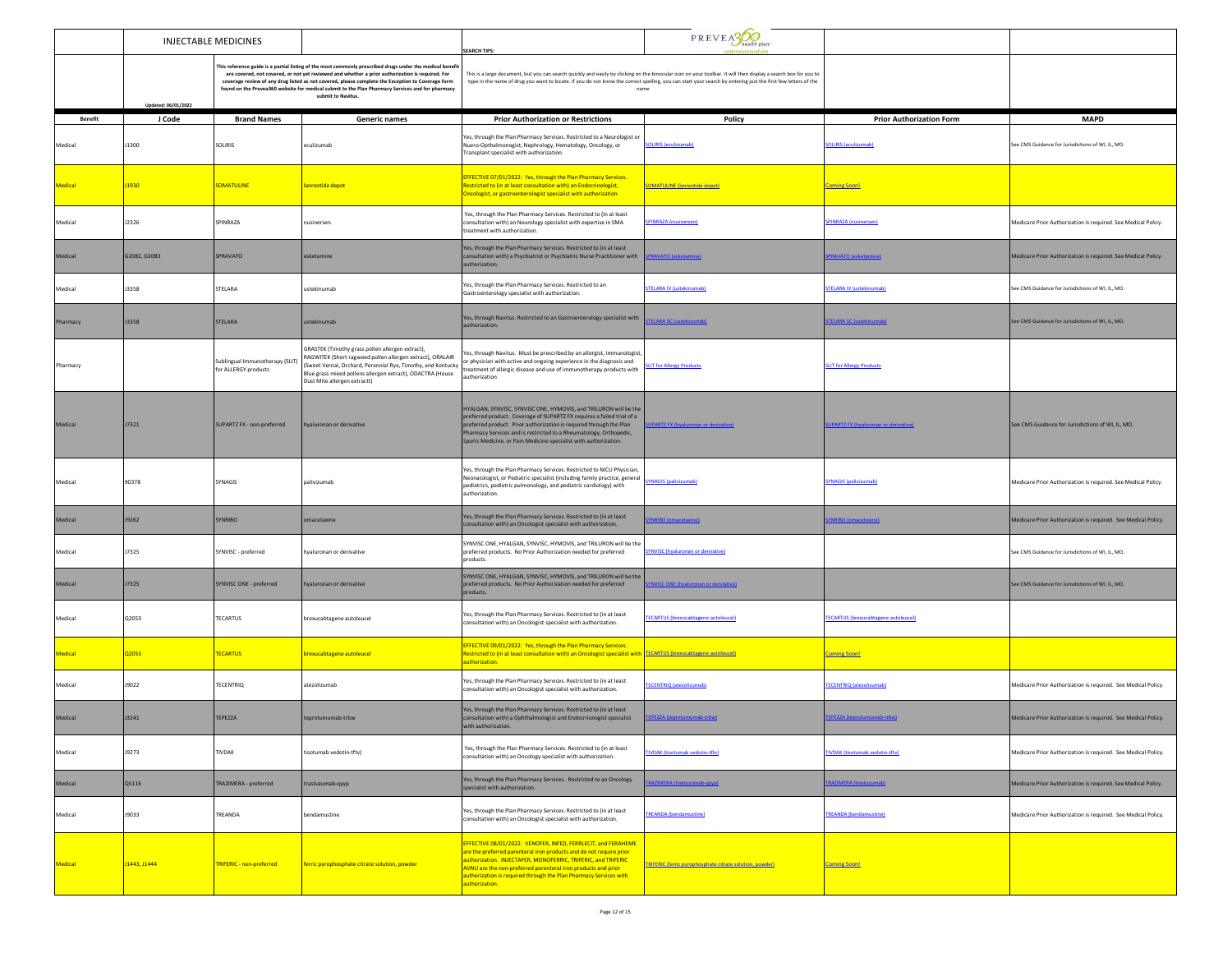|                |                                                                                                                                                                                                                                                                                                                                                                                                                                                                   | <b>INJECTABLE MEDICINES</b>                             |                                                                                                                                                                                                                                                                                                                                          | <b>SEARCH TIPS:</b>                                                                                                                                                                                                                                                                                                                                         | $P$ R EV E $\frac{1}{2}$ health plan:                    |                                             |                                                               |
|----------------|-------------------------------------------------------------------------------------------------------------------------------------------------------------------------------------------------------------------------------------------------------------------------------------------------------------------------------------------------------------------------------------------------------------------------------------------------------------------|---------------------------------------------------------|------------------------------------------------------------------------------------------------------------------------------------------------------------------------------------------------------------------------------------------------------------------------------------------------------------------------------------------|-------------------------------------------------------------------------------------------------------------------------------------------------------------------------------------------------------------------------------------------------------------------------------------------------------------------------------------------------------------|----------------------------------------------------------|---------------------------------------------|---------------------------------------------------------------|
|                | This reference guide is a partial listing of the most commonly prescribed drugs under the medical benefi<br>are covered, not covered, or not yet reviewed and whether a prior authorization is required. For<br>coverage review of any drug listed as not covered, please complete the Exception to Coverage form<br>found on the Prevea360 website for medical submit to the Plan Pharmacy Services and for pharmacy<br>submit to Navitus<br>Updated: 06/01/2022 |                                                         | This is a large document, but you can search quickly and easily by clicking on the binocular icon on your toolbar. It will then display a search box for you to<br>type in the name of drug you want to locate. If you do not know the correct spelling, you can start your search by entering just the first few letters of the<br>name |                                                                                                                                                                                                                                                                                                                                                             |                                                          |                                             |                                                               |
| <b>Benefit</b> | J Code                                                                                                                                                                                                                                                                                                                                                                                                                                                            | <b>Brand Names</b>                                      | <b>Generic names</b>                                                                                                                                                                                                                                                                                                                     | <b>Prior Authorization or Restrictions</b>                                                                                                                                                                                                                                                                                                                  | Policy                                                   | <b>Prior Authorization Form</b>             | <b>MAPD</b>                                                   |
| Medical        | J1300                                                                                                                                                                                                                                                                                                                                                                                                                                                             | <b>SOLIRIS</b>                                          | eculizumab                                                                                                                                                                                                                                                                                                                               | Yes, through the Plan Pharmacy Services. Restricted to a Neurologist or<br>Nuero-Opthalmonogist, Nephrology, Hematology, Oncology, or<br>ransplant specialist with authorization.                                                                                                                                                                           | <b>SOLIRIS (eculizumab)</b>                              | SOLIRIS (eculizumab)                        | See CMS Guidance for Jurisdictions of WI. IL. MO.             |
| Medical        | J1930                                                                                                                                                                                                                                                                                                                                                                                                                                                             | <b>SOMATULINE</b>                                       | <mark>anreotide depot</mark>                                                                                                                                                                                                                                                                                                             | EFFECTIVE 07/01/2022: Yes, through the Plan Pharmacy Services.<br>estricted to (in at least consultation with) an Endocrinologist,<br>Oncologist, or gastroenterologist specialist with authorization.                                                                                                                                                      | <b>SOMATULINE</b> (lanreotide depot)                     | <b>Coming Soon!</b>                         |                                                               |
| Medical        | J2326                                                                                                                                                                                                                                                                                                                                                                                                                                                             | SPINRAZA                                                | nusinersen                                                                                                                                                                                                                                                                                                                               | Yes, through the Plan Pharmacy Services. Restricted to (in at least<br>consultation with) an Neurology specialist with expertise in SMA<br>treatment with authorization.                                                                                                                                                                                    | <b>PINRAZA</b> (nusinersen)                              | <b>SPINRAZA (nusinersen)</b>                | Medicare Prior Authorization is required. See Medical Policy. |
| Medical        | G2082, G2083                                                                                                                                                                                                                                                                                                                                                                                                                                                      | SPRAVATO                                                | esketamine                                                                                                                                                                                                                                                                                                                               | Yes, through the Plan Pharmacy Services. Restricted to (in at least<br>consultation with) a Psychiatrist or Psychiatric Nurse Practitioner with<br>authorization                                                                                                                                                                                            | <b>PRAVATO (esketamine)</b>                              | <b>SPRAVATO (esketamine)</b>                | Medicare Prior Authorization is required. See Medical Policy. |
| Medical        | <b>J3358</b>                                                                                                                                                                                                                                                                                                                                                                                                                                                      | STELARA                                                 | ustekinumab                                                                                                                                                                                                                                                                                                                              | Yes, through the Plan Pharmacy Services. Restricted to an<br>Gastroenterology specialist with authorization.                                                                                                                                                                                                                                                | <b>TELARA IV (ustekinumab)</b>                           | <b>STELARA IV (ustekinumab)</b>             | iee CMS Guidance for Jurisdictions of WI, IL, MO.             |
| Pharmacy       | J3358                                                                                                                                                                                                                                                                                                                                                                                                                                                             | STELARA                                                 | ustekinumab                                                                                                                                                                                                                                                                                                                              | Yes, through Navitus. Restricted to an Gastroenterology specialist with<br>uthorization.                                                                                                                                                                                                                                                                    | <b>FELARA SC (ustekinumab)</b>                           | <b>STELARA SC (ustekinumab)</b>             | See CMS Guidance for Jurisdictions of WI, IL, MO.             |
| Pharmacy       |                                                                                                                                                                                                                                                                                                                                                                                                                                                                   | Sublingual Immunotherapy (SLIT)<br>for ALLERGY products | GRASTEK (Timothy grass pollen allergen extract),<br>RAGWITEK (Short ragweed pollen allergen extract), ORALAIR<br>(Sweet Vernal, Orchard, Perennial Rye, Timothy, and Kentucky<br>Blue grass mixed pollens allergen extract), ODACTRA (House<br>Dust Mite allergen extractt)                                                              | Yes, through Navitus. Must be prescribed by an allergist, immunologist,<br>or physician with active and ongoing experience in the diagnosis and<br>treatment of allergic disease and use of immunotherapy products with<br>authorization                                                                                                                    | <b>IT for Allergy Products</b>                           | <b>SLIT for Allergy Products</b>            |                                                               |
| Medical        | J7321                                                                                                                                                                                                                                                                                                                                                                                                                                                             | SUPARTZ FX - non-preferred                              | hyaluronan or derivative                                                                                                                                                                                                                                                                                                                 | HYALGAN, SYNVISC, SYNVISC ONE, HYMOVIS, and TRILURON will be the<br>preferred product. Coverage of SUPARTZ FX requires a failed trial of a<br>preferred product. Prior authorization is required through the Plan<br>harmacy Services and is restricted to a Rheumatology, Orthopedic,<br>Sports Medicine, or Pain Medicine specialist with authorization.  | <b>JPARTZ FX (hyaluronan or derivative</b>               | <b>UPARTZ FX (hyaluronan or derivative</b>  | See CMS Guidance for Jurisdictions of WI. IL. MO.             |
| Medical        | 90378                                                                                                                                                                                                                                                                                                                                                                                                                                                             | SYNAGIS                                                 | palivizumab                                                                                                                                                                                                                                                                                                                              | Yes, through the Plan Pharmacy Services. Restricted to NICU Physician,<br>Neonatologist, or Pediatric specialist (including family practice, general<br>pediatrics, pediatric pulmonology, and pediatric cardiology) with<br>authorization.                                                                                                                 | <b>SYNAGIS (palivizumab)</b>                             | <b>SYNAGIS (palivizumab)</b>                | Medicare Prior Authorization is required. See Medical Policy. |
| Medical        | J9262                                                                                                                                                                                                                                                                                                                                                                                                                                                             | <b>SYNRIBO</b>                                          | omacetaxine                                                                                                                                                                                                                                                                                                                              | Yes, through the Plan Pharmacy Services. Restricted to (in at least<br>consultation with) an Oncologist specialist with authorization.                                                                                                                                                                                                                      | <b>VRIBO</b> (omacetaxine)                               | <b>NRIBO</b> (omacetaxine)                  | Medicare Prior Authorization is required. See Medical Policy. |
| Medical        | <b>J7325</b>                                                                                                                                                                                                                                                                                                                                                                                                                                                      | SYNVISC - preferred                                     | <b>Ivaluronan or derivative</b>                                                                                                                                                                                                                                                                                                          | SYNVISC ONE, HYALGAN, SYNVISC, HYMOVIS, and TRILURON will be the<br>preferred products. No Prior Authorization needed for preferred<br>products.                                                                                                                                                                                                            | <b>YNVISC</b> (hyaluronan or derviative)                 |                                             | See CMS Guidance for Jurisdictions of WI, IL, MO.             |
| Medical        | J7325                                                                                                                                                                                                                                                                                                                                                                                                                                                             | SYNVISC ONE - preferred                                 | iyaluronan or derivative                                                                                                                                                                                                                                                                                                                 | SYNVISC ONE, HYALGAN, SYNVISC, HYMOVIS, and TRILURON will be the<br>preferred products. No Prior Authorization needed for preferred<br>products.                                                                                                                                                                                                            | <b>NVISC ONE (hyaluronan or derviative)</b>              |                                             | See CMS Guidance for Jurisdictions of WI, IL, MO.             |
| Medical        | Q2053                                                                                                                                                                                                                                                                                                                                                                                                                                                             | TECARTUS                                                | brexucabtagene autoleucel                                                                                                                                                                                                                                                                                                                | Yes, through the Plan Pharmacy Services. Restricted to (in at least<br>consultation with) an Oncologist specialist with authorization.                                                                                                                                                                                                                      | <b>FECARTUS (brexucabtagene autoleucel)</b>              | <b>TECARTUS (brexucabtagene autoleucel)</b> |                                                               |
| <b>Medical</b> | Q2053                                                                                                                                                                                                                                                                                                                                                                                                                                                             | <b>TECARTUS</b>                                         | brexucabtagene autoleucel                                                                                                                                                                                                                                                                                                                | EFFECTIVE 09/01/2022: Yes, through the Plan Pharmacy Services.<br><u>lestricted to (in at least consultation with) an Oncologist specialist with TECARTUS (brexucabtagene autoleucel)</u><br>authorization.                                                                                                                                                 |                                                          | <b>Coming Soon!</b>                         |                                                               |
| Medical        | J9022                                                                                                                                                                                                                                                                                                                                                                                                                                                             | <b>TECENTRIQ</b>                                        | atezolizumab                                                                                                                                                                                                                                                                                                                             | Yes, through the Plan Pharmacy Services. Restricted to (in at least<br>onsultation with) an Oncologist specialist with authorization.                                                                                                                                                                                                                       | <b>ECENTRIQ</b> (atezolizumab)                           | <b>TECENTRIQ</b> (atezolizumab)             | Medicare Prior Authorization is required. See Medical Policy. |
| Medical        | J3241                                                                                                                                                                                                                                                                                                                                                                                                                                                             | TEPEZZA                                                 | teprotumumab-trbw                                                                                                                                                                                                                                                                                                                        | Yes, through the Plan Pharmacy Services. Restricted to (in at least<br>consultation with) a Ophthalmologist and Endocrinologist specialist<br>itii autriorizationi                                                                                                                                                                                          | EPEZZA (teprotumumab-trbw)                               | <b>TEPEZZA (teprotumumab-trbw)</b>          | Medicare Prior Authorization is required. See Medical Policy. |
| Medical        | J9273                                                                                                                                                                                                                                                                                                                                                                                                                                                             | TIVDAK                                                  | tisotumab vedotin-tftv)                                                                                                                                                                                                                                                                                                                  | Yes, through the Plan Pharmacy Services. Restricted to (in at least<br>consultation with) an Oncology specialist with authorization.                                                                                                                                                                                                                        | <b>TIVDAK</b> (tisotumab vedotin-tftv)                   | <b>TIVDAK</b> (tisotumab vedotin-tftv)      | Medicare Prior Authorization is required. See Medical Policy. |
| Medical        | Q5116                                                                                                                                                                                                                                                                                                                                                                                                                                                             | TRAZIMERA - preferred                                   | trastuzumab-gyyp                                                                                                                                                                                                                                                                                                                         | Yes, through the Plan Pharmacy Services. Restricted to an Oncology<br>specialist with authorization.                                                                                                                                                                                                                                                        | AZIMERA (trastuzumab-qyyp)                               | AZIMERA (trastuzumab                        | Medicare Prior Authorization is required. See Medical Policy. |
| Medical        | <b>J9033</b>                                                                                                                                                                                                                                                                                                                                                                                                                                                      | TREANDA                                                 | bendamustine                                                                                                                                                                                                                                                                                                                             | Yes, through the Plan Pharmacy Services. Restricted to (in at least<br>consultation with) an Oncologist specialist with authorization.                                                                                                                                                                                                                      | <b>TREANDA</b> (bendamustine)                            | <b>TREANDA</b> (bendamustine)               | Medicare Prior Authorization is required. See Medical Policy. |
| Medical        | J1443, J1444                                                                                                                                                                                                                                                                                                                                                                                                                                                      | <b>TRIFERIC - non-preferred</b>                         | ferric pyrophosphate citrate solution, powder                                                                                                                                                                                                                                                                                            | EFFECTIVE 08/01/2022: VENOFER, INFED, FERRLECIT, and FERAHEME<br>are the preferred parenteral iron products and do not require prior<br>authorization. INJECTAFER, MONOFERRIC, TRIFERIC, and TRIFERIC<br>AVNU are the non-preferred parenteral iron products and prior<br>uthorization is required through the Plan Pharmacy Services with<br>uthorization. | TRIFERIC (ferric pyrophosphate citrate solution, powder) | <b>Coming Soon!</b>                         |                                                               |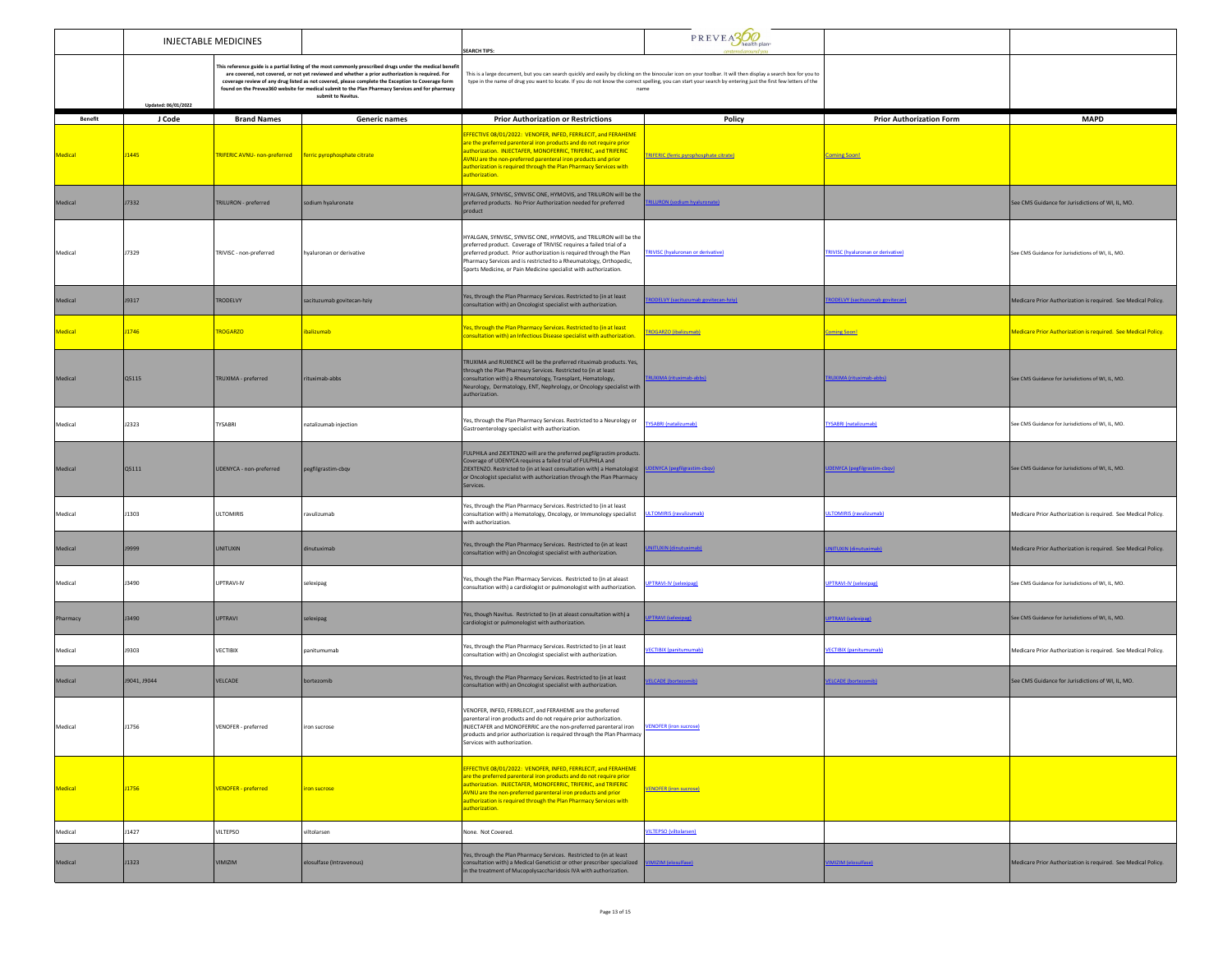|                | <b>INJECTABLE MEDICINES</b> |                                                             |                                                                                                                                                                                                                                                                                                                                                                                                                                            | <b>SEARCH TIPS:</b>                                                                                                                                                                                                                                                                                                                                               | PREVEA300                                 |                                           |                                                               |
|----------------|-----------------------------|-------------------------------------------------------------|--------------------------------------------------------------------------------------------------------------------------------------------------------------------------------------------------------------------------------------------------------------------------------------------------------------------------------------------------------------------------------------------------------------------------------------------|-------------------------------------------------------------------------------------------------------------------------------------------------------------------------------------------------------------------------------------------------------------------------------------------------------------------------------------------------------------------|-------------------------------------------|-------------------------------------------|---------------------------------------------------------------|
|                | Updated: 06/01/2022         |                                                             | This reference guide is a partial listing of the most commonly prescribed drugs under the medical benefi<br>are covered, not covered, or not yet reviewed and whether a prior authorization is required. For<br>coverage review of any drug listed as not covered, please complete the Exception to Coverage form<br>found on the Prevea360 website for medical submit to the Plan Pharmacy Services and for pharmacy<br>submit to Navitus | This is a large document, but you can search quickly and easily by clicking on the binocular icon on your toolbar. It will then display a search box for you to<br>type in the name of drug you want to locate. If you do not know the correct spelling, you can start your search by entering just the first few letters of the<br>name                          |                                           |                                           |                                                               |
| <b>Benefit</b> | J Code                      | <b>Brand Names</b>                                          | <b>Generic names</b>                                                                                                                                                                                                                                                                                                                                                                                                                       | <b>Prior Authorization or Restrictions</b>                                                                                                                                                                                                                                                                                                                        | Policy                                    | <b>Prior Authorization Form</b>           | <b>MAPD</b>                                                   |
| Medical        | <b>J1445</b>                | TRIFERIC AVNU- non-preferred   ferric pyrophosphate citrate |                                                                                                                                                                                                                                                                                                                                                                                                                                            | <b>EFFECTIVE 08/01/2022: VENOFER, INFED, FERRLECIT, and FERAHEME</b><br>re the preferred parenteral iron products and do not require prior<br>authorization. INJECTAFER, MONOFERRIC, TRIFERIC, and TRIFERIC<br>AVNU are the non-preferred parenteral iron products and prior<br>uthorization is required through the Plan Pharmacy Services with<br>uthorization. | TRIFERIC (ferric pyrophosphate citrate)   | <b>Coming Soon!</b>                       |                                                               |
| Medical        | J7332                       | TRILURON - preferred                                        | sodium hyaluronate                                                                                                                                                                                                                                                                                                                                                                                                                         | HYALGAN, SYNVISC, SYNVISC ONE, HYMOVIS, and TRILURON will be the<br>preferred products. No Prior Authorization needed for preferred<br>product                                                                                                                                                                                                                    | <b>IILURON</b> (sodium hyaluronate)       |                                           | See CMS Guidance for Jurisdictions of WI, IL, MO.             |
| Medical        | J7329                       | TRIVISC - non-preferred                                     | waluronan or derivative                                                                                                                                                                                                                                                                                                                                                                                                                    | HYALGAN, SYNVISC, SYNVISC ONE, HYMOVIS, and TRILURON will be the<br>preferred product. Coverage of TRIVISC requires a failed trial of a<br>preferred product. Prior authorization is required through the Plan<br>Pharmacy Services and is restricted to a Rheumatology, Orthopedic,<br>Sports Medicine, or Pain Medicine specialist with authorization.          | <b>TRIVISC</b> (hyaluronan or derivative) | <b>TRIVISC</b> (hyaluronan or derivative) | See CMS Guidance for Jurisdictions of WI, IL, MO.             |
| Medical        | J9317                       | TRODELVY                                                    | sacituzumab govitecan-hziy                                                                                                                                                                                                                                                                                                                                                                                                                 | Yes, through the Plan Pharmacy Services. Restricted to (in at least<br>consultation with) an Oncologist specialist with authorization.                                                                                                                                                                                                                            | RODELVY (sacituzumab govitecan-hziy)      | <b>RODELVY (sacituzumab govitecan)</b>    | Medicare Prior Authorization is required. See Medical Policy. |
| Medical        | J1746                       | <b>TROGARZO</b>                                             | ibalizumab                                                                                                                                                                                                                                                                                                                                                                                                                                 | Yes, through the Plan Pharmacy Services. Restricted to (in at least<br>consultation with) an Infectious Disease specialist with authorization.                                                                                                                                                                                                                    | TROGARZO (ibalizumab)                     | <b>Coming Soon!</b>                       | Medicare Prior Authorization is required. See Medical Policy. |
| Medical        | Q5115                       | TRUXIMA - preferred                                         | rituximab-abbs                                                                                                                                                                                                                                                                                                                                                                                                                             | TRUXIMA and RUXIENCE will be the preferred rituximab products. Yes,<br>through the Plan Pharmacy Services. Restricted to (in at least<br>consultation with) a Rheumatology, Transplant, Hematology,<br>Neurology, Dermatology, ENT, Nephrology, or Oncology specialist with<br>uthorization.                                                                      | RUXIMA (rituximab-abbs)                   | <b>FRUXIMA</b> (rituximab-abbs)           | See CMS Guidance for Jurisdictions of WI, IL, MO.             |
| Medical        | J2323                       | TYSABRI                                                     | natalizumab injection                                                                                                                                                                                                                                                                                                                                                                                                                      | Yes, through the Plan Pharmacy Services. Restricted to a Neurology or<br>Gastroenterology specialist with authorization.                                                                                                                                                                                                                                          | <b>TYSABRI</b> (natalizumab)              | <b>TYSABRI</b> (natalizumab)              | See CMS Guidance for Jurisdictions of WI, IL, MO.             |
| Medical        | Q5111                       | UDENYCA - non-preferred                                     | pegfilgrastim-cbqv                                                                                                                                                                                                                                                                                                                                                                                                                         | FULPHILA and ZIEXTENZO will are the preferred pegfilgrastim products.<br>Coverage of UDENYCA requires a failed trial of FULPHILA and<br>ZIEXTENZO. Restricted to (in at least consultation with) a Hematologist<br>or Oncologist specialist with authorization through the Plan Pharmacy<br>Services.                                                             | <b>DENYCA (pegfilgrastim-chgv</b>         | <b>DENYCA</b> (pegfilgrastim-cbo)         | See CMS Guidance for Jurisdictions of WI, IL, MO.             |
| Medical        | <b>J1303</b>                | <b>ULTOMIRIS</b>                                            | ravulizumab                                                                                                                                                                                                                                                                                                                                                                                                                                | Yes, through the Plan Pharmacy Services. Restricted to (in at least<br>consultation with) a Hematology, Oncology, or Immunology specialist<br>with authorization.                                                                                                                                                                                                 | <b>JLTOMIRIS</b> (ravulizumab)            | <b>ULTOMIRIS (ravulizumab)</b>            | Medicare Prior Authorization is required. See Medical Policy. |
| Medical        | J9999                       | <b>UNITUXIN</b>                                             | dinutuximab                                                                                                                                                                                                                                                                                                                                                                                                                                | Yes, through the Plan Pharmacy Services. Restricted to (in at least<br>consultation with) an Oncologist specialist with authorization.                                                                                                                                                                                                                            | <b>ITUXIN (dinutuximah</b>                | <b>WITLIXIN (dinutuximah</b>              | Medicare Prior Authorization is required. See Medical Policy. |
| Medical        | J3490                       | <b>UPTRAVI-IV</b>                                           | selexipag                                                                                                                                                                                                                                                                                                                                                                                                                                  | Yes, though the Plan Pharmacy Services. Restricted to (in at aleast<br>consultation with) a cardiologist or pulmonologist with authorization.                                                                                                                                                                                                                     | <b>IPTRAVI-IV (selexipag)</b>             | <b>UPTRAVI-IV (selexipag)</b>             | See CMS Guidance for Jurisdictions of WI. IL. MO.             |
| Pharmacy       | J3490                       | <b>UPTRAVI</b>                                              | selexipag                                                                                                                                                                                                                                                                                                                                                                                                                                  | Yes, though Navitus. Restricted to (in at aleast consultation with) a<br>cardiologist or pulmonologist with authorization.                                                                                                                                                                                                                                        | <b>PTRAVI (selexipag</b>                  | <b>JPTRAVI</b> (selexipa)                 | See CMS Guidance for Jurisdictions of WI, IL, MO.             |
| Medical        | 19303                       | VECTIBIX                                                    | panitumumab                                                                                                                                                                                                                                                                                                                                                                                                                                | Yes, through the Plan Pharmacy Services. Restricted to (in at least<br>consultation with) an Oncologist specialist with authorization.                                                                                                                                                                                                                            | <b>ECTIBIX</b> (panitumumab)              | <b>VECTIBIX</b> (panitumumab)             | Medicare Prior Authorization is required. See Medical Policy. |
| Medical        | J9041, J9044                | VELCADE                                                     | bortezomib                                                                                                                                                                                                                                                                                                                                                                                                                                 | Yes, through the Plan Pharmacy Services. Restricted to (in at least<br>consultation with) an Oncologist specialist with authorization.                                                                                                                                                                                                                            | ELCADE (bortezomib)                       | <b>VELCADE (bortezomib)</b>               | See CMS Guidance for Jurisdictions of WI, IL, MO.             |
|                | 1756                        | ENOFER - preferred                                          | on sucrose                                                                                                                                                                                                                                                                                                                                                                                                                                 | VENOFER, INFED, FERRLECIT, and FERAHEME are the preferred<br>parenteral iron products and do not require prior authorization.<br>ECTAFER and MONOFERRIC are the non-preferred parenteral iron<br>products and prior authorization is required through the Plan Pharmacy<br>Services with authorization.                                                           |                                           |                                           |                                                               |
| Medical        | J1756                       | <b>VENOFER</b> - preferred                                  | iron sucrose                                                                                                                                                                                                                                                                                                                                                                                                                               | EFFECTIVE 08/01/2022: VENOFER, INFED, FERRLECIT, and FERAHEME<br>are the preferred parenteral iron products and do not require prior<br>authorization. INJECTAFER, MONOFERRIC, TRIFERIC, and TRIFERIC<br>AVNU are the non-preferred parenteral iron products and prior<br>authorization is required through the Plan Pharmacy Services with<br>authorization.     | <b>VENOFER</b> (iron sucrose)             |                                           |                                                               |
| Medical        | J1427                       | <b>VILTEPSO</b>                                             | viltolarsen                                                                                                                                                                                                                                                                                                                                                                                                                                | None. Not Covered.                                                                                                                                                                                                                                                                                                                                                | <b>ILTEPSO (viltolarsen)</b>              |                                           |                                                               |
| Medical        | J1323                       | VIMIZIM                                                     | elosulfase (Intravenous)                                                                                                                                                                                                                                                                                                                                                                                                                   | Yes, through the Plan Pharmacy Services. Restricted to (in at least<br>consultation with) a Medical Geneticist or other prescriber specialized<br>in the treatment of Mucopolysaccharidosis IVA with authorization.                                                                                                                                               | MIZIM (elosulfase)                        | IMIZIM (elosulfase)                       | Medicare Prior Authorization is required. See Medical Policy. |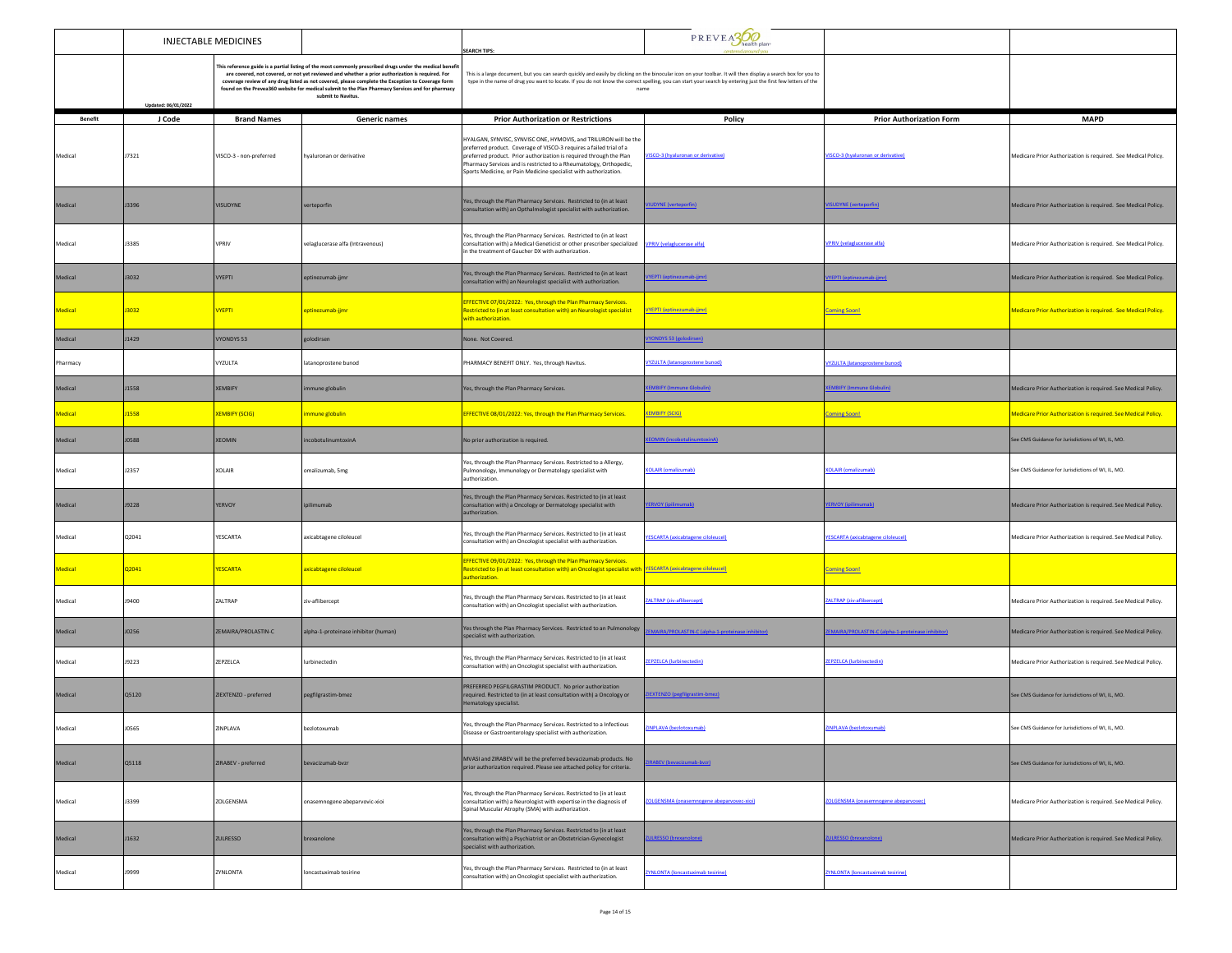|                | INJECTABLE MEDICINES                                                                                                                                                                                                                                                                                                                                                                                                                                               |                         |                                      | <b>SEARCH TIPS:</b>                                                                                                                                                                                                                                                                                                                                     | PREVEASOO                                        |                                                   |                                                               |
|----------------|--------------------------------------------------------------------------------------------------------------------------------------------------------------------------------------------------------------------------------------------------------------------------------------------------------------------------------------------------------------------------------------------------------------------------------------------------------------------|-------------------------|--------------------------------------|---------------------------------------------------------------------------------------------------------------------------------------------------------------------------------------------------------------------------------------------------------------------------------------------------------------------------------------------------------|--------------------------------------------------|---------------------------------------------------|---------------------------------------------------------------|
|                | This reference guide is a partial listing of the most commonly prescribed drugs under the medical benefi<br>are covered, not covered, or not yet reviewed and whether a prior authorization is required. For<br>coverage review of any drug listed as not covered, please complete the Exception to Coverage form<br>found on the Prevea360 website for medical submit to the Plan Pharmacy Services and for pharmacy<br>submit to Navitus.<br>Updated: 06/01/2022 |                         |                                      | This is a large document, but you can search quickly and easily by clicking on the binocular icon on your toolbar. It will then display a search box for you to<br>type in the name of drug you want to locate. If you do not know the correct spelling, you can start your search by entering just the first few letters of the<br>name                |                                                  |                                                   |                                                               |
| <b>Benefit</b> | J Code                                                                                                                                                                                                                                                                                                                                                                                                                                                             | <b>Brand Names</b>      | Generic names                        | <b>Prior Authorization or Restrictions</b>                                                                                                                                                                                                                                                                                                              | Policy                                           | <b>Prior Authorization Form</b>                   | <b>MAPD</b>                                                   |
| Medical        | J7321                                                                                                                                                                                                                                                                                                                                                                                                                                                              | VISCO-3 - non-preferred | hyaluronan or derivative             | IYALGAN, SYNVISC, SYNVISC ONE, HYMOVIS, and TRILURON will be the<br>preferred product. Coverage of VISCO-3 requires a failed trial of a<br>preferred product. Prior authorization is required through the Plan<br>harmacy Services and is restricted to a Rheumatology, Orthopedic,<br>Sports Medicine, or Pain Medicine specialist with authorization. | ISCO-3 (hyaluronan or derivative)                | <b>VISCO-3</b> (hyaluronan or derivative)         | Medicare Prior Authorization is required. See Medical Policy. |
| Medical        | J3396                                                                                                                                                                                                                                                                                                                                                                                                                                                              | <b>VISUDYNE</b>         | verteporfin                          | Yes, through the Plan Pharmacy Services. Restricted to (in at least<br>consultation with) an Opthalmologist specialist with authorization.                                                                                                                                                                                                              | <b>UDYNE</b> (verteporfin)                       | <b>SUDYNE</b> (verteporfin)                       | Medicare Prior Authorization is required. See Medical Policy. |
| Medical        | <b>J3385</b>                                                                                                                                                                                                                                                                                                                                                                                                                                                       | <b>VPRIV</b>            | velaglucerase alfa (Intravenous)     | Yes, through the Plan Pharmacy Services. Restricted to (in at least<br>consultation with) a Medical Geneticist or other prescriber specialized<br>n the treatment of Gaucher DX with authorization.                                                                                                                                                     | <b>PRIV</b> (velaglucerase alfa)                 | <b>VPRIV</b> (velaglucerase alfa)                 | Medicare Prior Authorization is required. See Medical Policy. |
| Medical        | J3032                                                                                                                                                                                                                                                                                                                                                                                                                                                              | <b>VYEPTI</b>           | eptinezumab-jjmr                     | Yes, through the Plan Pharmacy Services. Restricted to (in at least<br>consultation with) an Neurologist specialist with authorization.                                                                                                                                                                                                                 | EPTI (eptinezumab-iimr)                          | VYEPTI (eptinezumab-jjmr)                         | Medicare Prior Authorization is required. See Medical Policy. |
| Medical        | J3032                                                                                                                                                                                                                                                                                                                                                                                                                                                              | <b>VYEPTI</b>           | <mark>eptinezumab-jjmr</mark>        | EFFECTIVE 07/01/2022: Yes, through the Plan Pharmacy Services.<br>Restricted to (in at least consultation with) an Neurologist specialist<br>with authorization.                                                                                                                                                                                        | VYEPTI (eptinezumab-jimr)                        | <b>Coming Soon!</b>                               | Medicare Prior Authorization is required. See Medical Policy. |
| Medical        | J1429                                                                                                                                                                                                                                                                                                                                                                                                                                                              | VYONDYS 53              | golodirsen                           | None. Not Covered.                                                                                                                                                                                                                                                                                                                                      | (ONDYS 53 (golodirsen)                           |                                                   |                                                               |
| Pharmacy       |                                                                                                                                                                                                                                                                                                                                                                                                                                                                    | VYZULTA                 | latanoprostene bunod                 | PHARMACY BENEFIT ONLY. Yes, through Navitus.                                                                                                                                                                                                                                                                                                            | <b>VYZULTA (latanoprostene bunod)</b>            | YZULTA (latanoprostene bunod                      |                                                               |
| Medical        | J1558                                                                                                                                                                                                                                                                                                                                                                                                                                                              | <b>XEMBIFY</b>          | nmune globulin                       | Yes, through the Plan Pharmacy Services.                                                                                                                                                                                                                                                                                                                | <b>MBIFY (Immune Globulin)</b>                   | <b>MBIFY (Immune Globulin</b>                     | Medicare Prior Authorization is required. See Medical Policy. |
| Medical        | <b>J1558</b>                                                                                                                                                                                                                                                                                                                                                                                                                                                       | <b>XEMBIFY (SCIG)</b>   | <mark>mmune globulin</mark>          | EFFECTIVE 08/01/2022: Yes, through the Plan Pharmacy Services.                                                                                                                                                                                                                                                                                          | <b>XEMBIFY (SCIG)</b>                            | <b>Coming Soon!</b>                               | Medicare Prior Authorization is required. See Medical Policy. |
| Medical        | <b>JO588</b>                                                                                                                                                                                                                                                                                                                                                                                                                                                       | XEOMIN                  | ncobotulinumtoxinA                   | No prior authorization is required.                                                                                                                                                                                                                                                                                                                     | <b>COMIN (incobotulinumtoxinA)</b>               |                                                   | See CMS Guidance for Jurisdictions of WI, IL, MO.             |
| Medical        | J2357                                                                                                                                                                                                                                                                                                                                                                                                                                                              | XOLAIR                  | omalizumab, 5mg                      | Yes, through the Plan Pharmacy Services. Restricted to a Allergy,<br>Pulmonology, Immunology or Dermatology specialist with<br>authorization.                                                                                                                                                                                                           | <b>KOLAIR</b> (omalizumab)                       | <b>COLAIR</b> (omalizumab)                        | See CMS Guidance for Jurisdictions of WI, IL, MO.             |
| Medical        | J9228                                                                                                                                                                                                                                                                                                                                                                                                                                                              | <b>YERVOY</b>           | ipilimumab                           | Yes, through the Plan Pharmacy Services. Restricted to (in at least<br>consultation with) a Oncology or Dermatology specialist with<br>authorization.                                                                                                                                                                                                   | <b>ERVOY</b> (ipilimumab)                        | <b>ERVOY (ipilimumab)</b>                         | Medicare Prior Authorization is required. See Medical Policy. |
| Medical        | Q2041                                                                                                                                                                                                                                                                                                                                                                                                                                                              | YESCARTA                | axicabtagene ciloleucel              | Yes, through the Plan Pharmacy Services. Restricted to (in at least<br>consultation with) an Oncologist specialist with authorization.                                                                                                                                                                                                                  | <b>ESCARTA</b> (axicabtagene ciloleucel)         | <b>YESCARTA</b> (axicabtagene ciloleucel)         | Medicare Prior Authorization is required. See Medical Policy. |
| Medical        | Q2041                                                                                                                                                                                                                                                                                                                                                                                                                                                              | <b>YESCARTA</b>         | axicabtagene ciloleucel              | EFFECTIVE 09/01/2022: Yes, through the Plan Pharmacy Services.<br>Restricted to (in at least consultation with) an Oncologist specialist with <b>YESCARTA</b> (axicabtagene ciloleucel)<br>uthorization.                                                                                                                                                |                                                  | <b>Coming Soon!</b>                               |                                                               |
| Medical        | J9400                                                                                                                                                                                                                                                                                                                                                                                                                                                              | ZALTRAP                 | ziv-aflibercept                      | Yes, through the Plan Pharmacy Services. Restricted to (in at least<br>consultation with) an Oncologist specialist with authorization.                                                                                                                                                                                                                  | ALTRAP (ziv-aflibercept)                         | <b>JALTRAP</b> (ziv-aflibercept)                  | Medicare Prior Authorization is required. See Medical Policy. |
| Medical        | J0256                                                                                                                                                                                                                                                                                                                                                                                                                                                              | ZEMAIRA/PROLASTIN-C     | alpha-1-proteinase inhibitor (human) | Yes through the Plan Pharmacy Services. Restricted to an Pulmonology<br>pecialist with authorization.                                                                                                                                                                                                                                                   | MAIRA/PROLASTIN-C (alpha-1-proteinase inhibitor) | EMAIRA/PROLASTIN-C (alpha-1-proteinase inhibitor) | Medicare Prior Authorization is required. See Medical Policy. |
| Medical        | <b>J9223</b>                                                                                                                                                                                                                                                                                                                                                                                                                                                       | ZEPZELCA                | lurbinectedin                        | Yes, through the Plan Pharmacy Services. Restricted to (in at least<br>consultation with) an Oncologist specialist with authorization.                                                                                                                                                                                                                  | <b>EPZELCA (lurbinectedin)</b>                   | <b>ZEPZELCA (lurbinectedin)</b>                   | Medicare Prior Authorization is required. See Medical Policy. |
| Medical        | Q5120                                                                                                                                                                                                                                                                                                                                                                                                                                                              | ZIEXTENZO - preferred   | pegfilgrastim-bmez                   | PREFERRED PEGFILGRASTIM PRODUCT. No prior authorization<br>required. Restricted to (in at least consultation with) a Oncology or<br>ematology specialist.                                                                                                                                                                                               | <b>EXTENZO (pegfilgrastim-bmez)</b>              |                                                   | See CMS Guidance for Jurisdictions of WI, IL, MO.             |
| Medical        | <b>JO565</b>                                                                                                                                                                                                                                                                                                                                                                                                                                                       | ZINPLAVA                | bezlotoxumab                         | Yes, through the Plan Pharmacy Services. Restricted to a Infectious<br>Disease or Gastroenterology specialist with authorization.                                                                                                                                                                                                                       |                                                  |                                                   | See CMS Guidance for Jurisdictions of WI, IL, MO.             |
| Medical        | Q5118                                                                                                                                                                                                                                                                                                                                                                                                                                                              | ZIRABEV - preferred     | bevacizumab-bvzr                     | MVASI and ZIRABEV will be the preferred bevacizumab products. No<br>prior authorization required. Please see attached policy for criteria.                                                                                                                                                                                                              | RABEV (bevacizumab-bvzr)                         |                                                   | See CMS Guidance for Jurisdictions of WI, IL, MO.             |
| Medical        | J3399                                                                                                                                                                                                                                                                                                                                                                                                                                                              | ZOLGENSMA               | onasemnogene abeparvovic-xioi        | Yes, through the Plan Pharmacy Services. Restricted to (in at least<br>consultation with) a Neurologist with expertise in the diagnosis of<br>Spinal Muscular Atrophy (SMA) with authorization.                                                                                                                                                         | ZOLGENSMA (onasemnogene abeparvovec-xioi)        | ZOLGENSMA (onasemnogene abeparvovec)              | Medicare Prior Authorization is required. See Medical Policy. |
| Medical        | J1632                                                                                                                                                                                                                                                                                                                                                                                                                                                              | ZULRESSO                | brexanolone                          | Yes, through the Plan Pharmacy Services. Restricted to (in at least<br>consultation with) a Psychiatrist or an Obstetrician-Gynecologist<br>specialist with authorization.                                                                                                                                                                              | <b>JLRESSO</b> (brexanolone)                     | ZULRESSO (brexanolone)                            | Medicare Prior Authorization is required. See Medical Policy. |
| Medical        | <b>9999</b>                                                                                                                                                                                                                                                                                                                                                                                                                                                        | ZYNLONTA                | loncastuximab tesirine               | Yes, through the Plan Pharmacy Services. Restricted to (in at least<br>onsultation with) an Oncologist specialist with authorization.                                                                                                                                                                                                                   | <b>YNLONTA</b> (loncastuximab tesirine)          | <b>ZYNLONTA</b> (loncastuximab tesirine)          |                                                               |